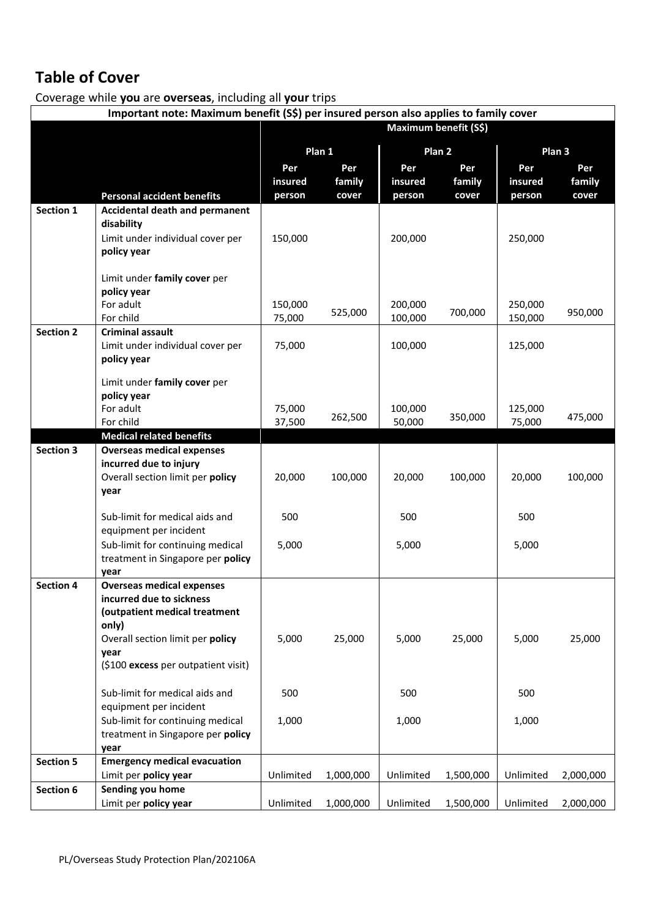# **Table of Cover**

Coverage while **you** are **overseas**, including all **your** trips

|                  | Important note: Maximum benefit (S\$) per insured person also applies to family cover |           |           |           |                   |           |           |  |
|------------------|---------------------------------------------------------------------------------------|-----------|-----------|-----------|-------------------|-----------|-----------|--|
|                  | Maximum benefit (S\$)                                                                 |           |           |           |                   |           |           |  |
|                  |                                                                                       |           |           |           |                   | Plan 3    |           |  |
|                  |                                                                                       |           | Plan 1    |           | Plan <sub>2</sub> |           |           |  |
|                  |                                                                                       | Per       | Per       | Per       | Per               | Per       | Per       |  |
|                  |                                                                                       | insured   | family    | insured   | family            | insured   | family    |  |
|                  | <b>Personal accident benefits</b>                                                     | person    | cover     | person    | cover             | person    | cover     |  |
| Section 1        | <b>Accidental death and permanent</b>                                                 |           |           |           |                   |           |           |  |
|                  | disability                                                                            |           |           |           |                   |           |           |  |
|                  | Limit under individual cover per<br>policy year                                       | 150,000   |           | 200,000   |                   | 250,000   |           |  |
|                  |                                                                                       |           |           |           |                   |           |           |  |
|                  | Limit under family cover per                                                          |           |           |           |                   |           |           |  |
|                  | policy year                                                                           |           |           |           |                   |           |           |  |
|                  | For adult                                                                             | 150,000   |           | 200,000   |                   | 250,000   |           |  |
|                  | For child                                                                             | 75,000    | 525,000   | 100,000   | 700,000           | 150,000   | 950,000   |  |
| <b>Section 2</b> | <b>Criminal assault</b>                                                               |           |           |           |                   |           |           |  |
|                  | Limit under individual cover per                                                      | 75,000    |           | 100,000   |                   | 125,000   |           |  |
|                  | policy year                                                                           |           |           |           |                   |           |           |  |
|                  |                                                                                       |           |           |           |                   |           |           |  |
|                  | Limit under family cover per<br>policy year                                           |           |           |           |                   |           |           |  |
|                  | For adult                                                                             | 75,000    |           | 100,000   |                   | 125,000   |           |  |
|                  | For child                                                                             | 37,500    | 262,500   | 50,000    | 350,000           | 75,000    | 475,000   |  |
|                  | <b>Medical related benefits</b>                                                       |           |           |           |                   |           |           |  |
| <b>Section 3</b> | <b>Overseas medical expenses</b>                                                      |           |           |           |                   |           |           |  |
|                  | incurred due to injury                                                                |           |           |           |                   |           |           |  |
|                  | Overall section limit per policy                                                      | 20,000    | 100,000   | 20,000    | 100,000           | 20,000    | 100,000   |  |
|                  | year                                                                                  |           |           |           |                   |           |           |  |
|                  |                                                                                       |           |           |           |                   |           |           |  |
|                  | Sub-limit for medical aids and                                                        | 500       |           | 500       |                   | 500       |           |  |
|                  | equipment per incident                                                                |           |           |           |                   |           |           |  |
|                  | Sub-limit for continuing medical                                                      | 5,000     |           | 5,000     |                   | 5,000     |           |  |
|                  | treatment in Singapore per policy                                                     |           |           |           |                   |           |           |  |
| <b>Section 4</b> | year<br><b>Overseas medical expenses</b>                                              |           |           |           |                   |           |           |  |
|                  | incurred due to sickness                                                              |           |           |           |                   |           |           |  |
|                  | (outpatient medical treatment                                                         |           |           |           |                   |           |           |  |
|                  | only)                                                                                 |           |           |           |                   |           |           |  |
|                  | Overall section limit per policy                                                      | 5,000     | 25,000    | 5,000     | 25,000            | 5,000     | 25,000    |  |
|                  | year                                                                                  |           |           |           |                   |           |           |  |
|                  | (\$100 excess per outpatient visit)                                                   |           |           |           |                   |           |           |  |
|                  |                                                                                       |           |           |           |                   |           |           |  |
|                  | Sub-limit for medical aids and                                                        | 500       |           | 500       |                   | 500       |           |  |
|                  | equipment per incident                                                                |           |           |           |                   |           |           |  |
|                  | Sub-limit for continuing medical                                                      | 1,000     |           | 1,000     |                   | 1,000     |           |  |
|                  | treatment in Singapore per policy                                                     |           |           |           |                   |           |           |  |
| <b>Section 5</b> | year<br><b>Emergency medical evacuation</b>                                           |           |           |           |                   |           |           |  |
|                  | Limit per policy year                                                                 | Unlimited | 1,000,000 | Unlimited | 1,500,000         | Unlimited | 2,000,000 |  |
| Section 6        | Sending you home                                                                      |           |           |           |                   |           |           |  |
|                  | Limit per policy year                                                                 | Unlimited | 1,000,000 | Unlimited | 1,500,000         | Unlimited | 2,000,000 |  |
|                  |                                                                                       |           |           |           |                   |           |           |  |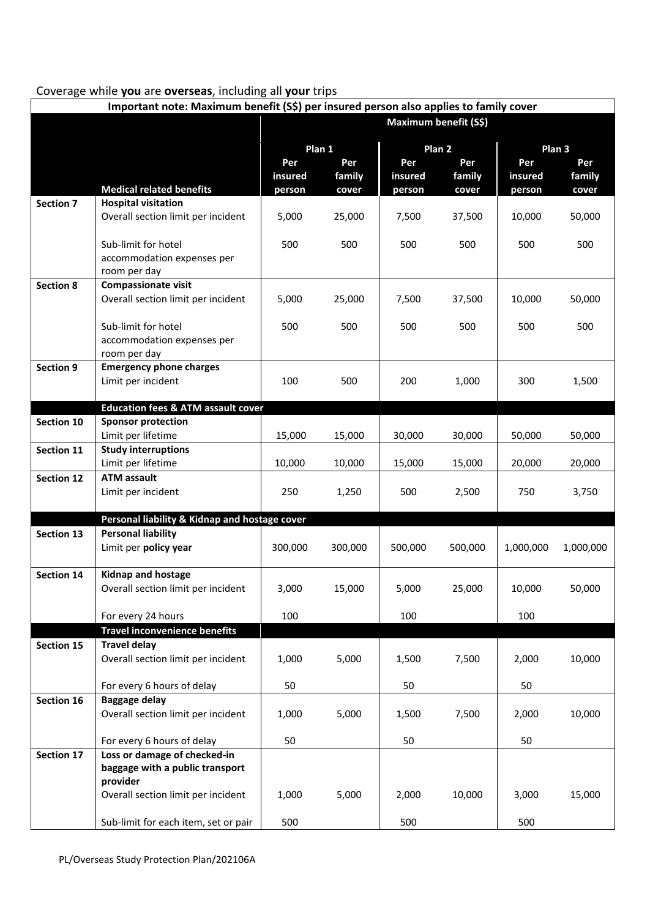#### Coverage while **you** are **overseas**, including all **your** trips

| Important note: Maximum benefit (S\$) per insured person also applies to family cover |                                                                            |         |         |         |                       |           |                   |
|---------------------------------------------------------------------------------------|----------------------------------------------------------------------------|---------|---------|---------|-----------------------|-----------|-------------------|
|                                                                                       |                                                                            |         |         |         | Maximum benefit (S\$) |           |                   |
|                                                                                       |                                                                            |         | Plan 1  |         | Plan <sub>2</sub>     |           | Plan <sub>3</sub> |
|                                                                                       |                                                                            | Per     | Per     | Per     | Per                   | Per       | Per               |
|                                                                                       |                                                                            | insured | family  | insured | family                | insured   | family            |
|                                                                                       | <b>Medical related benefits</b>                                            | person  | cover   | person  | cover                 | person    | cover             |
| <b>Section 7</b>                                                                      | <b>Hospital visitation</b>                                                 |         |         |         |                       |           |                   |
|                                                                                       | Overall section limit per incident                                         | 5,000   | 25,000  | 7,500   | 37,500                | 10,000    | 50,000            |
|                                                                                       | Sub-limit for hotel                                                        | 500     | 500     | 500     | 500                   | 500       | 500               |
|                                                                                       | accommodation expenses per                                                 |         |         |         |                       |           |                   |
|                                                                                       | room per day                                                               |         |         |         |                       |           |                   |
| <b>Section 8</b>                                                                      | <b>Compassionate visit</b>                                                 |         |         |         |                       |           |                   |
|                                                                                       | Overall section limit per incident                                         | 5,000   | 25,000  | 7,500   | 37,500                | 10,000    | 50,000            |
|                                                                                       |                                                                            |         |         |         |                       |           |                   |
|                                                                                       | Sub-limit for hotel<br>accommodation expenses per                          | 500     | 500     | 500     | 500                   | 500       | 500               |
|                                                                                       | room per day                                                               |         |         |         |                       |           |                   |
| <b>Section 9</b>                                                                      | <b>Emergency phone charges</b>                                             |         |         |         |                       |           |                   |
|                                                                                       | Limit per incident                                                         | 100     | 500     | 200     | 1,000                 | 300       | 1,500             |
|                                                                                       |                                                                            |         |         |         |                       |           |                   |
| Section 10                                                                            | <b>Education fees &amp; ATM assault cover</b><br><b>Sponsor protection</b> |         |         |         |                       |           |                   |
|                                                                                       | Limit per lifetime                                                         | 15,000  | 15,000  | 30,000  | 30,000                | 50,000    | 50,000            |
| Section 11                                                                            | <b>Study interruptions</b>                                                 |         |         |         |                       |           |                   |
|                                                                                       | Limit per lifetime                                                         | 10,000  | 10,000  | 15,000  | 15,000                | 20,000    | 20,000            |
| <b>Section 12</b>                                                                     | <b>ATM assault</b>                                                         |         |         |         |                       |           |                   |
|                                                                                       | Limit per incident                                                         | 250     | 1,250   | 500     | 2,500                 | 750       | 3,750             |
|                                                                                       | Personal liability & Kidnap and hostage cover                              |         |         |         |                       |           |                   |
| Section 13                                                                            | <b>Personal liability</b>                                                  |         |         |         |                       |           |                   |
|                                                                                       | Limit per policy year                                                      | 300,000 | 300,000 | 500,000 | 500,000               | 1,000,000 | 1,000,000         |
|                                                                                       |                                                                            |         |         |         |                       |           |                   |
| Section 14                                                                            | <b>Kidnap and hostage</b>                                                  |         |         |         |                       |           |                   |
|                                                                                       | Overall section limit per incident                                         | 3,000   | 15,000  | 5,000   | 25,000                | 10,000    | 50,000            |
|                                                                                       | For every 24 hours                                                         | 100     |         | 100     |                       | 100       |                   |
|                                                                                       | <b>Travel inconvenience benefits</b>                                       |         |         |         |                       |           |                   |
| Section 15                                                                            | <b>Travel delay</b>                                                        |         |         |         |                       |           |                   |
|                                                                                       | Overall section limit per incident                                         | 1,000   | 5,000   | 1,500   | 7,500                 | 2,000     | 10,000            |
|                                                                                       |                                                                            |         |         |         |                       |           |                   |
|                                                                                       | For every 6 hours of delay                                                 | 50      |         | 50      |                       | 50        |                   |
| Section 16                                                                            | <b>Baggage delay</b>                                                       | 1,000   |         |         |                       |           | 10,000            |
|                                                                                       | Overall section limit per incident                                         |         | 5,000   | 1,500   | 7,500                 | 2,000     |                   |
|                                                                                       | For every 6 hours of delay                                                 | 50      |         | 50      |                       | 50        |                   |
| Section 17                                                                            | Loss or damage of checked-in                                               |         |         |         |                       |           |                   |
|                                                                                       | baggage with a public transport                                            |         |         |         |                       |           |                   |
|                                                                                       | provider                                                                   |         |         |         |                       |           |                   |
|                                                                                       | Overall section limit per incident                                         | 1,000   | 5,000   | 2,000   | 10,000                | 3,000     | 15,000            |
|                                                                                       | Sub-limit for each item, set or pair                                       | 500     |         | 500     |                       | 500       |                   |
|                                                                                       |                                                                            |         |         |         |                       |           |                   |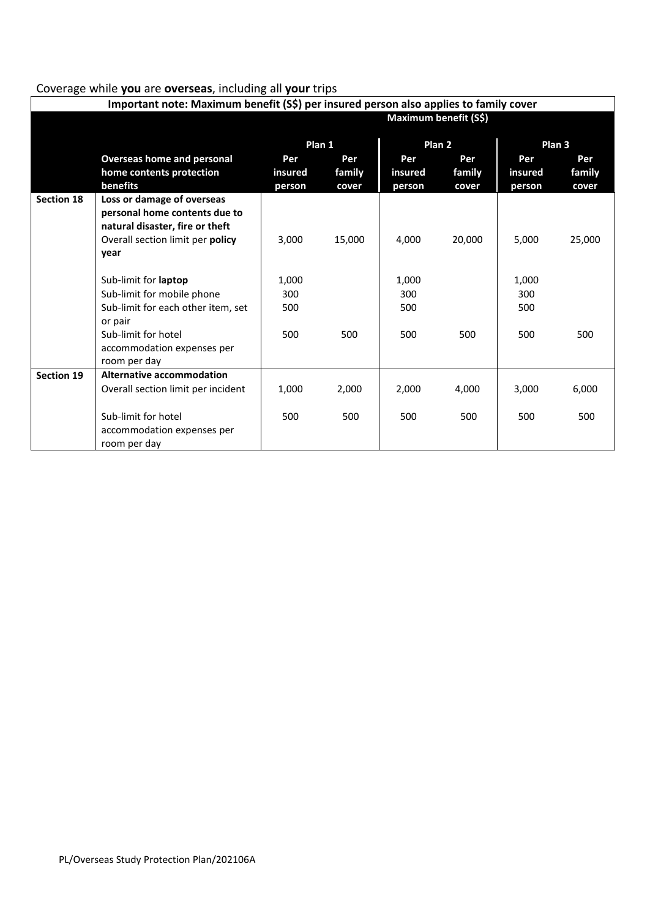#### Coverage while **you** are **overseas**, including all **your** trips

| Important note: Maximum benefit (S\$) per insured person also applies to family cover |                                                                                                            |                     |        |                     |        |                     |        |
|---------------------------------------------------------------------------------------|------------------------------------------------------------------------------------------------------------|---------------------|--------|---------------------|--------|---------------------|--------|
|                                                                                       | <b>Maximum benefit (S\$)</b>                                                                               |                     |        |                     |        |                     |        |
|                                                                                       | Plan 1                                                                                                     |                     |        |                     | Plan 2 | Plan <sub>3</sub>   |        |
|                                                                                       | <b>Overseas home and personal</b>                                                                          | Per                 | Per    | Per                 | Per    | Per                 | Per    |
|                                                                                       | home contents protection                                                                                   | insured             | family | insured             | family | insured             | family |
|                                                                                       | benefits                                                                                                   | person              | cover  | person              | cover  | person              | cover  |
| <b>Section 18</b>                                                                     | Loss or damage of overseas<br>personal home contents due to<br>natural disaster, fire or theft             |                     |        |                     |        |                     |        |
|                                                                                       | Overall section limit per policy                                                                           | 3,000               | 15,000 | 4,000               | 20,000 | 5,000               | 25,000 |
|                                                                                       | year                                                                                                       |                     |        |                     |        |                     |        |
|                                                                                       | Sub-limit for <b>laptop</b><br>Sub-limit for mobile phone<br>Sub-limit for each other item, set<br>or pair | 1,000<br>300<br>500 |        | 1,000<br>300<br>500 |        | 1,000<br>300<br>500 |        |
|                                                                                       | Sub-limit for hotel<br>accommodation expenses per<br>room per day                                          | 500                 | 500    | 500                 | 500    | 500                 | 500    |
| <b>Section 19</b>                                                                     | Alternative accommodation                                                                                  |                     |        |                     |        |                     |        |
|                                                                                       | Overall section limit per incident                                                                         | 1,000               | 2,000  | 2,000               | 4,000  | 3,000               | 6,000  |
|                                                                                       | Sub-limit for hotel<br>accommodation expenses per<br>room per day                                          | 500                 | 500    | 500                 | 500    | 500                 | 500    |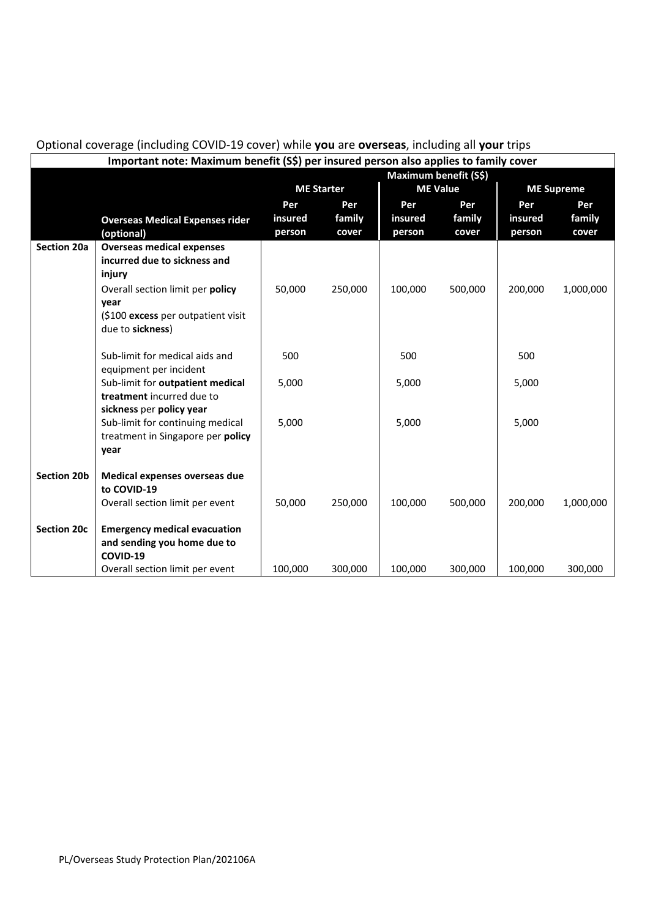|                    | Important note: Maximum benefit (S\$) per insured person also applies to family cover |         |                   |                 |         |         |                   |
|--------------------|---------------------------------------------------------------------------------------|---------|-------------------|-----------------|---------|---------|-------------------|
|                    | Maximum benefit (S\$)                                                                 |         |                   |                 |         |         |                   |
|                    |                                                                                       |         | <b>ME Starter</b> | <b>ME Value</b> |         |         | <b>ME Supreme</b> |
|                    |                                                                                       | Per     | Per               | Per             | Per     | Per     | Per               |
|                    | <b>Overseas Medical Expenses rider</b>                                                | insured | family            | insured         | family  | insured | family            |
|                    | (optional)                                                                            | person  | cover             | person          | cover   | person  | cover             |
| <b>Section 20a</b> | <b>Overseas medical expenses</b>                                                      |         |                   |                 |         |         |                   |
|                    | incurred due to sickness and                                                          |         |                   |                 |         |         |                   |
|                    | injury                                                                                |         |                   |                 |         |         |                   |
|                    | Overall section limit per policy                                                      | 50,000  | 250,000           | 100,000         | 500,000 | 200,000 | 1,000,000         |
|                    | year                                                                                  |         |                   |                 |         |         |                   |
|                    | (\$100 excess per outpatient visit                                                    |         |                   |                 |         |         |                   |
|                    | due to sickness)                                                                      |         |                   |                 |         |         |                   |
|                    | Sub-limit for medical aids and                                                        | 500     |                   | 500             |         | 500     |                   |
|                    | equipment per incident                                                                |         |                   |                 |         |         |                   |
|                    | Sub-limit for outpatient medical                                                      | 5,000   |                   | 5,000           |         | 5,000   |                   |
|                    | treatment incurred due to                                                             |         |                   |                 |         |         |                   |
|                    | sickness per policy year                                                              |         |                   |                 |         |         |                   |
|                    | Sub-limit for continuing medical                                                      | 5,000   |                   | 5,000           |         | 5,000   |                   |
|                    | treatment in Singapore per policy                                                     |         |                   |                 |         |         |                   |
|                    | year                                                                                  |         |                   |                 |         |         |                   |
|                    |                                                                                       |         |                   |                 |         |         |                   |
| <b>Section 20b</b> | Medical expenses overseas due                                                         |         |                   |                 |         |         |                   |
|                    | to COVID-19                                                                           |         |                   |                 |         |         |                   |
|                    | Overall section limit per event                                                       | 50,000  | 250,000           | 100,000         | 500,000 | 200,000 | 1,000,000         |
| <b>Section 20c</b> | <b>Emergency medical evacuation</b>                                                   |         |                   |                 |         |         |                   |
|                    | and sending you home due to                                                           |         |                   |                 |         |         |                   |
|                    | COVID-19                                                                              |         |                   |                 |         |         |                   |
|                    | Overall section limit per event                                                       | 100,000 | 300,000           | 100,000         | 300,000 | 100,000 | 300,000           |

#### Optional coverage (including COVID-19 cover) while **you** are **overseas**, including all **your** trips **Important note: Maximum benefit (S\$) per insured person also applies to family cover**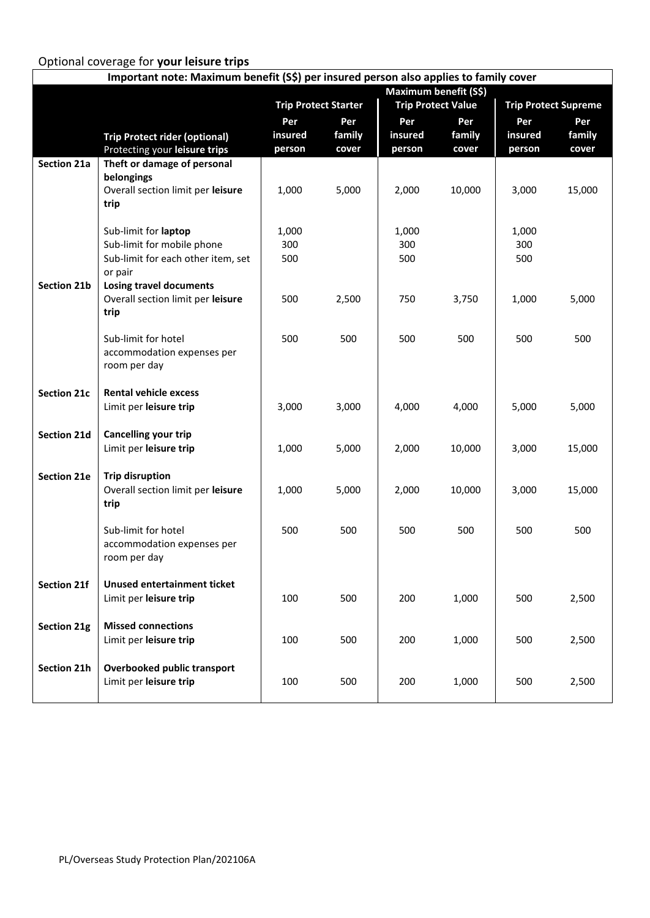# Optional coverage for **your leisure trips**

| Important note: Maximum benefit (S\$) per insured person also applies to family cover |                                      |                             |        |         |                              |         |                             |  |
|---------------------------------------------------------------------------------------|--------------------------------------|-----------------------------|--------|---------|------------------------------|---------|-----------------------------|--|
|                                                                                       |                                      |                             |        |         | <b>Maximum benefit (S\$)</b> |         |                             |  |
|                                                                                       |                                      | <b>Trip Protect Starter</b> |        |         | <b>Trip Protect Value</b>    |         | <b>Trip Protect Supreme</b> |  |
|                                                                                       |                                      | Per                         | Per    | Per     | Per                          | Per     | Per                         |  |
|                                                                                       | <b>Trip Protect rider (optional)</b> | insured                     | family | insured | family                       | insured | family                      |  |
|                                                                                       | Protecting your leisure trips        | person                      | cover  | person  | cover                        | person  | cover                       |  |
| Section 21a                                                                           | Theft or damage of personal          |                             |        |         |                              |         |                             |  |
|                                                                                       | belongings                           |                             |        |         |                              |         |                             |  |
|                                                                                       | Overall section limit per leisure    | 1,000                       | 5,000  | 2,000   | 10,000                       | 3,000   | 15,000                      |  |
|                                                                                       | trip                                 |                             |        |         |                              |         |                             |  |
|                                                                                       |                                      |                             |        |         |                              |         |                             |  |
|                                                                                       | Sub-limit for laptop                 | 1,000                       |        | 1,000   |                              | 1,000   |                             |  |
|                                                                                       | Sub-limit for mobile phone           | 300                         |        | 300     |                              | 300     |                             |  |
|                                                                                       | Sub-limit for each other item, set   | 500                         |        | 500     |                              | 500     |                             |  |
|                                                                                       | or pair                              |                             |        |         |                              |         |                             |  |
| Section 21b                                                                           | <b>Losing travel documents</b>       |                             |        |         |                              |         |                             |  |
|                                                                                       | Overall section limit per leisure    | 500                         | 2,500  | 750     | 3,750                        | 1,000   | 5,000                       |  |
|                                                                                       | trip                                 |                             |        |         |                              |         |                             |  |
|                                                                                       | Sub-limit for hotel                  | 500                         | 500    | 500     | 500                          | 500     | 500                         |  |
|                                                                                       | accommodation expenses per           |                             |        |         |                              |         |                             |  |
|                                                                                       | room per day                         |                             |        |         |                              |         |                             |  |
|                                                                                       |                                      |                             |        |         |                              |         |                             |  |
| <b>Section 21c</b>                                                                    | <b>Rental vehicle excess</b>         |                             |        |         |                              |         |                             |  |
|                                                                                       | Limit per leisure trip               | 3,000                       | 3,000  | 4,000   | 4,000                        | 5,000   | 5,000                       |  |
|                                                                                       |                                      |                             |        |         |                              |         |                             |  |
| Section 21d                                                                           | <b>Cancelling your trip</b>          |                             |        |         |                              |         |                             |  |
|                                                                                       | Limit per leisure trip               | 1,000                       | 5,000  | 2,000   | 10,000                       | 3,000   | 15,000                      |  |
|                                                                                       |                                      |                             |        |         |                              |         |                             |  |
| Section 21e                                                                           | <b>Trip disruption</b>               |                             |        |         |                              |         |                             |  |
|                                                                                       | Overall section limit per leisure    | 1,000                       | 5,000  | 2,000   | 10,000                       | 3,000   | 15,000                      |  |
|                                                                                       | trip                                 |                             |        |         |                              |         |                             |  |
|                                                                                       |                                      |                             |        |         |                              |         |                             |  |
|                                                                                       | Sub-limit for hotel                  | 500                         | 500    | 500     | 500                          | 500     | 500                         |  |
|                                                                                       | accommodation expenses per           |                             |        |         |                              |         |                             |  |
|                                                                                       | room per day                         |                             |        |         |                              |         |                             |  |
|                                                                                       |                                      |                             |        |         |                              |         |                             |  |
| Section 21f                                                                           | <b>Unused entertainment ticket</b>   |                             |        |         |                              |         |                             |  |
|                                                                                       | Limit per leisure trip               | 100                         | 500    | 200     | 1,000                        | 500     | 2,500                       |  |
|                                                                                       |                                      |                             |        |         |                              |         |                             |  |
| Section 21g                                                                           | <b>Missed connections</b>            |                             |        |         |                              |         |                             |  |
|                                                                                       | Limit per leisure trip               | 100                         | 500    | 200     | 1,000                        | 500     | 2,500                       |  |
|                                                                                       |                                      |                             |        |         |                              |         |                             |  |
| Section 21h                                                                           | Overbooked public transport          |                             |        |         |                              |         |                             |  |
|                                                                                       | Limit per leisure trip               | 100                         | 500    | 200     | 1,000                        | 500     | 2,500                       |  |
|                                                                                       |                                      |                             |        |         |                              |         |                             |  |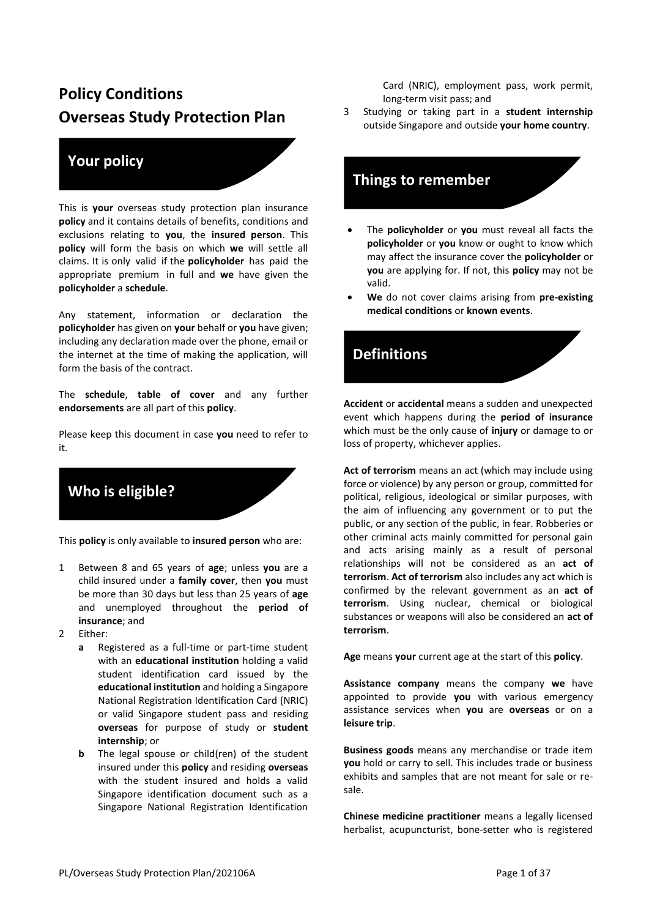# **Policy Conditions Overseas Study Protection Plan**

#### **Your policy**

This is **your** overseas study protection plan insurance **policy** and it contains details of benefits, conditions and exclusions relating to **you**, the **insured person**. This **policy** will form the basis on which **we** will settle all claims. It is only valid if the **policyholder** has paid the appropriate premium in full and **we** have given the **policyholder** a **schedule**.

Any statement, information or declaration the **policyholder** has given on **your** behalf or **you** have given; including any declaration made over the phone, email or the internet at the time of making the application, will form the basis of the contract.

The **schedule**, **table of cover** and any further **endorsements** are all part of this **policy**.

Please keep this document in case **you** need to refer to it.

**Who is eligible?**

This **policy** is only available to **insured person** who are:

- 1 Between 8 and 65 years of **age**; unless **you** are a child insured under a **family cover**, then **you** must be more than 30 days but less than 25 years of **age** and unemployed throughout the **period of insurance**; and
- 2 Either:
	- **a** Registered as a full-time or part-time student with an **educational institution** holding a valid student identification card issued by the **educational institution** and holding a Singapore National Registration Identification Card (NRIC) or valid Singapore student pass and residing **overseas** for purpose of study or **student internship**; or
	- **b** The legal spouse or child(ren) of the student insured under this **policy** and residing **overseas** with the student insured and holds a valid Singapore identification document such as a Singapore National Registration Identification

Card (NRIC), employment pass, work permit, long-term visit pass; and

3 Studying or taking part in a **student internship** outside Singapore and outside **your home country**.

#### **Things to remember**

- The **policyholder** or **you** must reveal all facts the **policyholder** or **you** know or ought to know which may affect the insurance cover the **policyholder** or **you** are applying for. If not, this **policy** may not be valid.
- **We** do not cover claims arising from **pre-existing medical conditions** or **known events**.



**Accident** or **accidental** means a sudden and unexpected event which happens during the **period of insurance**  which must be the only cause of **injury** or damage to or loss of property, whichever applies.

**Act of terrorism** means an act (which may include using force or violence) by any person or group, committed for political, religious, ideological or similar purposes, with the aim of influencing any government or to put the public, or any section of the public, in fear. Robberies or other criminal acts mainly committed for personal gain and acts arising mainly as a result of personal relationships will not be considered as an **act of terrorism**. **Act of terrorism** also includes any act which is confirmed by the relevant government as an **act of terrorism**. Using nuclear, chemical or biological substances or weapons will also be considered an **act of terrorism**.

**Age** means **your** current age at the start of this **policy**.

**Assistance company** means the company **we** have appointed to provide **you** with various emergency assistance services when **you** are **overseas** or on a **leisure trip**.

**Business goods** means any merchandise or trade item **you** hold or carry to sell. This includes trade or business exhibits and samples that are not meant for sale or resale.

**Chinese medicine practitioner** means a legally licensed herbalist, acupuncturist, bone-setter who is registered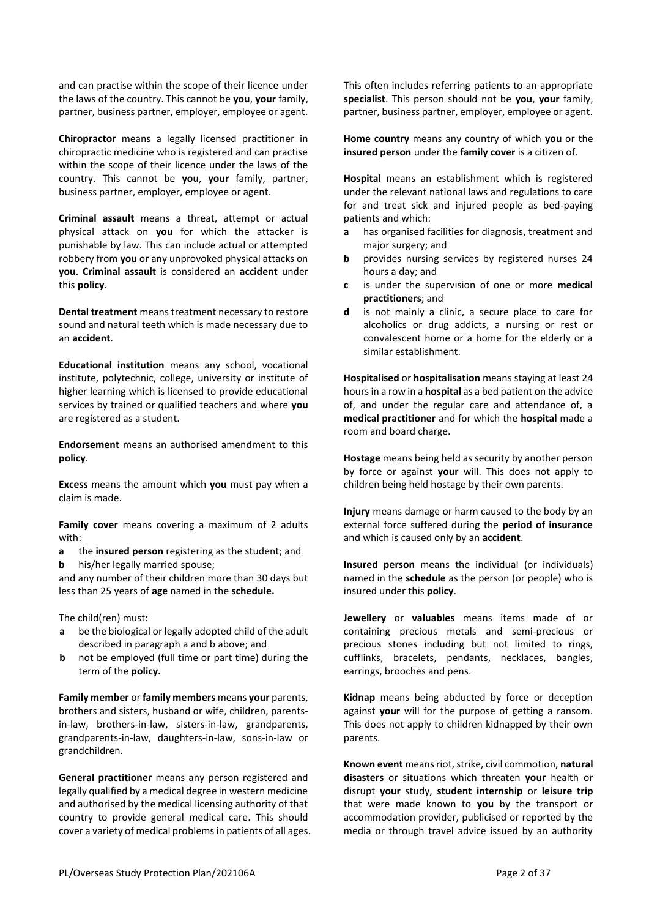and can practise within the scope of their licence under the laws of the country. This cannot be **you**, **your** family, partner, business partner, employer, employee or agent.

**Chiropractor** means a legally licensed practitioner in chiropractic medicine who is registered and can practise within the scope of their licence under the laws of the country. This cannot be **you**, **your** family, partner, business partner, employer, employee or agent.

**Criminal assault** means a threat, attempt or actual physical attack on **you** for which the attacker is punishable by law. This can include actual or attempted robbery from **you** or any unprovoked physical attacks on **you**. **Criminal assault** is considered an **accident** under this **policy**.

**Dental treatment** means treatment necessary to restore sound and natural teeth which is made necessary due to an **accident**.

**Educational institution** means any school, vocational institute, polytechnic, college, university or institute of higher learning which is licensed to provide educational services by trained or qualified teachers and where **you** are registered as a student.

**Endorsement** means an authorised amendment to this **policy**.

**Excess** means the amount which **you** must pay when a claim is made.

**Family cover** means covering a maximum of 2 adults with:

- **a** the **insured person** registering as the student; and
- **b** his/her legally married spouse;

and any number of their children more than 30 days but less than 25 years of **age** named in the **schedule.**

The child(ren) must:

- **a** be the biological or legally adopted child of the adult described in paragraph a and b above; and
- **b** not be employed (full time or part time) during the term of the **policy.**

**Family member** or **family members** means **your** parents, brothers and sisters, husband or wife, children, parentsin-law, brothers-in-law, sisters-in-law, grandparents, grandparents-in-law, daughters-in-law, sons-in-law or grandchildren.

**General practitioner** means any person registered and legally qualified by a medical degree in western medicine and authorised by the medical licensing authority of that country to provide general medical care. This should cover a variety of medical problems in patients of all ages. This often includes referring patients to an appropriate **specialist**. This person should not be **you**, **your** family, partner, business partner, employer, employee or agent.

**Home country** means any country of which **you** or the **insured person** under the **family cover** is a citizen of.

**Hospital** means an establishment which is registered under the relevant national laws and regulations to care for and treat sick and injured people as bed-paying patients and which:

- **a** has organised facilities for diagnosis, treatment and major surgery; and
- **b** provides nursing services by registered nurses 24 hours a day; and
- **c** is under the supervision of one or more **medical practitioners**; and
- **d** is not mainly a clinic, a secure place to care for alcoholics or drug addicts, a nursing or rest or convalescent home or a home for the elderly or a similar establishment.

**Hospitalised** or **hospitalisation** means staying at least 24 hours in a row in a **hospital** as a bed patient on the advice of, and under the regular care and attendance of, a **medical practitioner** and for which the **hospital** made a room and board charge.

**Hostage** means being held as security by another person by force or against **your** will. This does not apply to children being held hostage by their own parents.

**Injury** means damage or harm caused to the body by an external force suffered during the **period of insurance**  and which is caused only by an **accident**.

**Insured person** means the individual (or individuals) named in the **schedule** as the person (or people) who is insured under this **policy**.

**Jewellery** or **valuables** means items made of or containing precious metals and semi-precious or precious stones including but not limited to rings, cufflinks, bracelets, pendants, necklaces, bangles, earrings, brooches and pens.

**Kidnap** means being abducted by force or deception against **your** will for the purpose of getting a ransom. This does not apply to children kidnapped by their own parents.

**Known event** means riot, strike, civil commotion, **natural disasters** or situations which threaten **your** health or disrupt **your** study, **student internship** or **leisure trip** that were made known to **you** by the transport or accommodation provider, publicised or reported by the media or through travel advice issued by an authority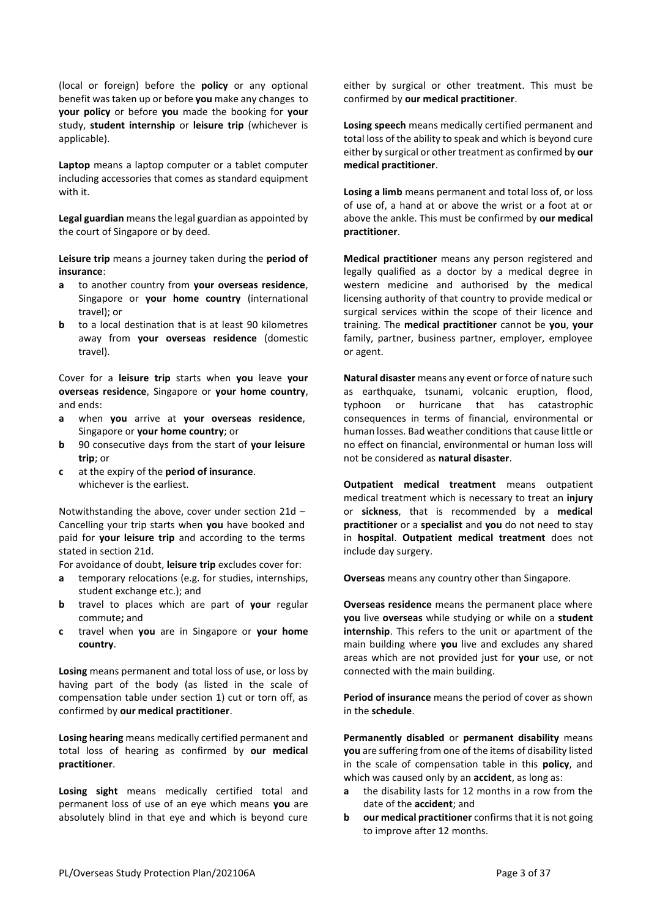(local or foreign) before the **policy** or any optional benefit was taken up or before **you** make any changes to **your policy** or before **you** made the booking for **your**  study, **student internship** or **leisure trip** (whichever is applicable).

**Laptop** means a laptop computer or a tablet computer including accessories that comes as standard equipment with it.

**Legal guardian** means the legal guardian as appointed by the court of Singapore or by deed.

**Leisure trip** means a journey taken during the **period of insurance**:

- **a** to another country from **your overseas residence**, Singapore or **your home country** (international travel); or
- **b** to a local destination that is at least 90 kilometres away from **your overseas residence** (domestic travel).

Cover for a **leisure trip** starts when **you** leave **your overseas residence**, Singapore or **your home country**, and ends:

- **a** when **you** arrive at **your overseas residence**, Singapore or **your home country**; or
- **b** 90 consecutive days from the start of **your leisure trip**; or
- **c** at the expiry of the **period of insurance**. whichever is the earliest.

Notwithstanding the above, cover under section 21d – Cancelling your trip starts when **you** have booked and paid for **your leisure trip** and according to the terms stated in section 21d.

For avoidance of doubt, **leisure trip** excludes cover for:

- **a** temporary relocations (e.g. for studies, internships, student exchange etc.); and
- **b** travel to places which are part of **your** regular commute**;** and
- **c** travel when **you** are in Singapore or **your home country**.

**Losing** means permanent and total loss of use, or loss by having part of the body (as listed in the scale of compensation table under section 1) cut or torn off, as confirmed by **our medical practitioner**.

**Losing hearing** means medically certified permanent and total loss of hearing as confirmed by **our medical practitioner**.

**Losing sight** means medically certified total and permanent loss of use of an eye which means **you** are absolutely blind in that eye and which is beyond cure either by surgical or other treatment. This must be confirmed by **our medical practitioner**.

**Losing speech** means medically certified permanent and total loss of the ability to speak and which is beyond cure either by surgical or other treatment as confirmed by **our medical practitioner**.

**Losing a limb** means permanent and total loss of, or loss of use of, a hand at or above the wrist or a foot at or above the ankle. This must be confirmed by **our medical practitioner**.

**Medical practitioner** means any person registered and legally qualified as a doctor by a medical degree in western medicine and authorised by the medical licensing authority of that country to provide medical or surgical services within the scope of their licence and training. The **medical practitioner** cannot be **you**, **your**  family, partner, business partner, employer, employee or agent.

**Natural disaster** means any event or force of nature such as earthquake, tsunami, volcanic eruption, flood, typhoon or hurricane that has catastrophic consequences in terms of financial, environmental or human losses. Bad weather conditions that cause little or no effect on financial, environmental or human loss will not be considered as **natural disaster**.

**Outpatient medical treatment** means outpatient medical treatment which is necessary to treat an **injury** or **sickness**, that is recommended by a **medical practitioner** or a **specialist** and **you** do not need to stay in **hospital**. **Outpatient medical treatment** does not include day surgery.

**Overseas** means any country other than Singapore.

**Overseas residence** means the permanent place where **you** live **overseas** while studying or while on a **student internship**. This refers to the unit or apartment of the main building where **you** live and excludes any shared areas which are not provided just for **your** use, or not connected with the main building.

**Period of insurance** means the period of cover as shown in the **schedule**.

**Permanently disabled** or **permanent disability** means **you** are suffering from one of the items of disability listed in the scale of compensation table in this **policy**, and which was caused only by an **accident**, as long as:

- **a** the disability lasts for 12 months in a row from the date of the **accident**; and
- **b our medical practitioner** confirms that it is not going to improve after 12 months.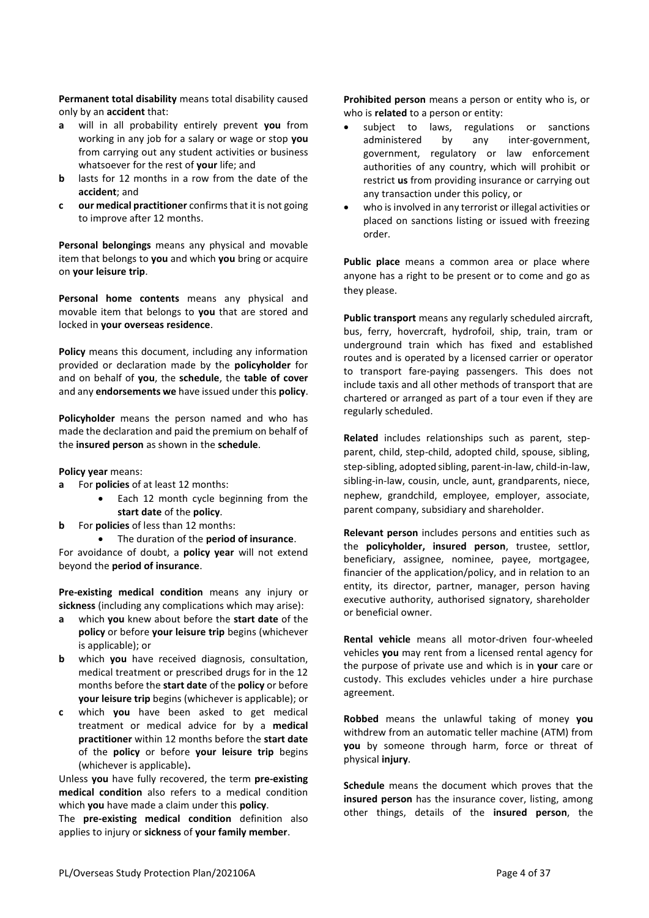**Permanent total disability** means total disability caused only by an **accident** that:

- **a** will in all probability entirely prevent **you** from working in any job for a salary or wage or stop **you**  from carrying out any student activities or business whatsoever for the rest of **your** life; and
- **b** lasts for 12 months in a row from the date of the **accident**; and
- **c our medical practitioner** confirms that it is not going to improve after 12 months.

**Personal belongings** means any physical and movable item that belongs to **you** and which **you** bring or acquire on **your leisure trip**.

**Personal home contents** means any physical and movable item that belongs to **you** that are stored and locked in **your overseas residence**.

**Policy** means this document, including any information provided or declaration made by the **policyholder** for and on behalf of **you**, the **schedule**, the **table of cover**  and any **endorsements we** have issued under this **policy**.

**Policyholder** means the person named and who has made the declaration and paid the premium on behalf of the **insured person** as shown in the **schedule**.

**Policy year** means:

- **a** For **policies** of at least 12 months:
	- Each 12 month cycle beginning from the **start date** of the **policy**.
- **b** For **policies** of less than 12 months:
	- The duration of the **period of insurance**.

For avoidance of doubt, a **policy year** will not extend beyond the **period of insurance**.

**Pre-existing medical condition** means any injury or **sickness** (including any complications which may arise):

- **a** which **you** knew about before the **start date** of the **policy** or before **your leisure trip** begins (whichever is applicable); or
- **b** which **you** have received diagnosis, consultation, medical treatment or prescribed drugs for in the 12 months before the **start date** of the **policy** or before **your leisure trip** begins (whichever is applicable); or
- **c** which **you** have been asked to get medical treatment or medical advice for by a **medical practitioner** within 12 months before the **start date** of the **policy** or before **your leisure trip** begins (whichever is applicable)**.**

Unless **you** have fully recovered, the term **pre-existing medical condition** also refers to a medical condition which **you** have made a claim under this **policy**.

The **pre-existing medical condition** definition also applies to injury or **sickness** of **your family member**.

**Prohibited person** means a person or entity who is, or who is **related** to a person or entity:

- subject to laws, regulations or sanctions administered by any inter-government, government, regulatory or law enforcement authorities of any country, which will prohibit or restrict **us** from providing insurance or carrying out any transaction under this policy, or
- who is involved in any terrorist or illegal activities or placed on sanctions listing or issued with freezing order.

**Public place** means a common area or place where anyone has a right to be present or to come and go as they please.

**Public transport** means any regularly scheduled aircraft, bus, ferry, hovercraft, hydrofoil, ship, train, tram or underground train which has fixed and established routes and is operated by a licensed carrier or operator to transport fare-paying passengers. This does not include taxis and all other methods of transport that are chartered or arranged as part of a tour even if they are regularly scheduled.

**Related** includes relationships such as parent, stepparent, child, step-child, adopted child, spouse, sibling, step-sibling, adopted sibling, parent-in-law, child-in-law, sibling-in-law, cousin, uncle, aunt, grandparents, niece, nephew, grandchild, employee, employer, associate, parent company, subsidiary and shareholder.

**Relevant person** includes persons and entities such as the **policyholder, insured person**, trustee, settlor, beneficiary, assignee, nominee, payee, mortgagee, financier of the application/policy, and in relation to an entity, its director, partner, manager, person having executive authority, authorised signatory, shareholder or beneficial owner.

**Rental vehicle** means all motor-driven four-wheeled vehicles **you** may rent from a licensed rental agency for the purpose of private use and which is in **your** care or custody. This excludes vehicles under a hire purchase agreement.

**Robbed** means the unlawful taking of money **you** withdrew from an automatic teller machine (ATM) from **you** by someone through harm, force or threat of physical **injury**.

**Schedule** means the document which proves that the **insured person** has the insurance cover, listing, among other things, details of the **insured person**, the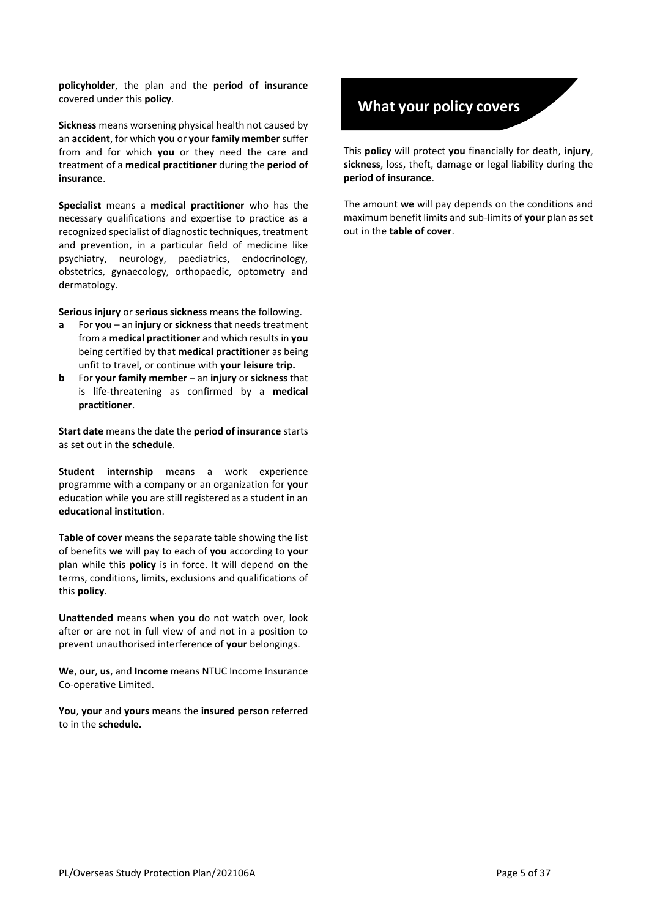**policyholder**, the plan and the **period of insurance**  covered under this **policy**.

**Sickness** means worsening physical health not caused by an **accident**, for which **you** or **your family member** suffer from and for which **you** or they need the care and treatment of a **medical practitioner** during the **period of insurance**.

**Specialist** means a **medical practitioner** who has the necessary qualifications and expertise to practice as a recognized specialist of diagnostic techniques, treatment and prevention, in a particular field of medicine like psychiatry, neurology, paediatrics, endocrinology, obstetrics, gynaecology, orthopaedic, optometry and dermatology.

**Serious injury** or **serious sickness** means the following.

- **a** For **you** an **injury** or **sickness** that needs treatment from a **medical practitioner** and which results in **you** being certified by that **medical practitioner** as being unfit to travel, or continue with **your leisure trip.**
- **b** For **your family member** an **injury** or **sickness** that is life-threatening as confirmed by a **medical practitioner**.

**Start date** means the date the **period of insurance** starts as set out in the **schedule**.

**Student internship** means a work experience programme with a company or an organization for **your** education while **you** are still registered as a student in an **educational institution**.

**Table of cover** means the separate table showing the list of benefits **we** will pay to each of **you** according to **your** plan while this **policy** is in force. It will depend on the terms, conditions, limits, exclusions and qualifications of this **policy**.

**Unattended** means when **you** do not watch over, look after or are not in full view of and not in a position to prevent unauthorised interference of **your** belongings.

**We**, **our**, **us**, and **Income** means NTUC Income Insurance Co-operative Limited.

**You**, **your** and **yours** means the **insured person** referred to in the **schedule.**

#### **What your policy covers**

This **policy** will protect **you** financially for death, **injury**, **sickness**, loss, theft, damage or legal liability during the **period of insurance**.

The amount **we** will pay depends on the conditions and maximum benefit limits and sub-limits of **your** plan as set out in the **table of cover**.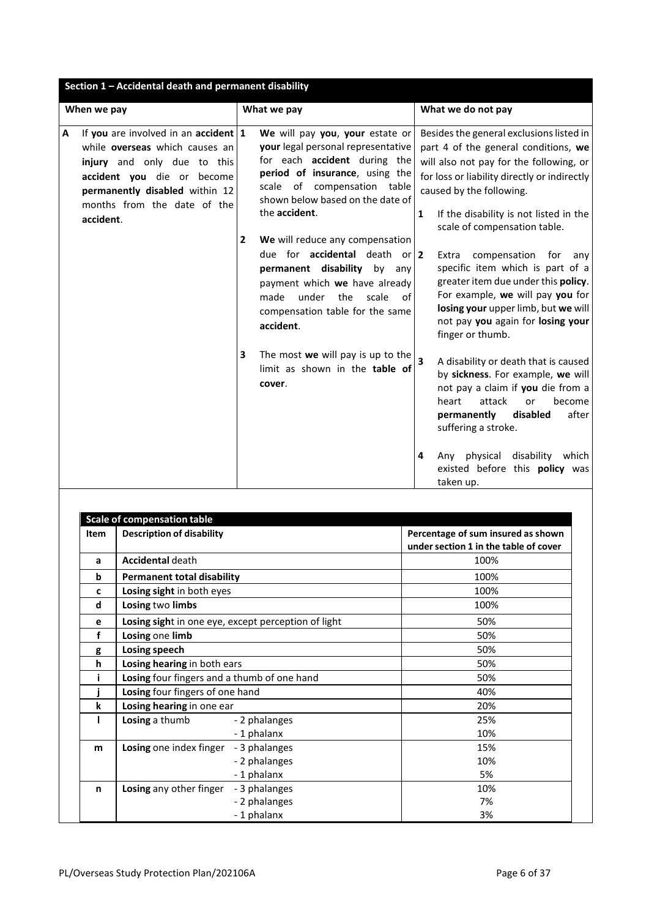| Section 1 - Accidental death and permanent disability                                                                                                                                                                                        |                                                                                                                                                                                                                                                                                                                                                                                                                                                                                            |                                                                                                                                                                                                                                                                                                                                                                                                                                                                                                                                              |
|----------------------------------------------------------------------------------------------------------------------------------------------------------------------------------------------------------------------------------------------|--------------------------------------------------------------------------------------------------------------------------------------------------------------------------------------------------------------------------------------------------------------------------------------------------------------------------------------------------------------------------------------------------------------------------------------------------------------------------------------------|----------------------------------------------------------------------------------------------------------------------------------------------------------------------------------------------------------------------------------------------------------------------------------------------------------------------------------------------------------------------------------------------------------------------------------------------------------------------------------------------------------------------------------------------|
| When we pay                                                                                                                                                                                                                                  | What we pay                                                                                                                                                                                                                                                                                                                                                                                                                                                                                | What we do not pay                                                                                                                                                                                                                                                                                                                                                                                                                                                                                                                           |
| If you are involved in an accident $ 1 $<br>$\mathbf{A}$<br>while <b>overseas</b> which causes an<br>injury and only due to this<br>accident you die or become<br>permanently disabled within 12<br>months from the date of the<br>accident. | We will pay you, your estate or<br>your legal personal representative<br>for each accident during the<br>period of insurance, using the<br>of compensation table<br>scale<br>shown below based on the date of<br>the accident.<br>We will reduce any compensation<br>$\mathbf{2}$<br>due for <b>accidental</b> death or $ 2 $<br>permanent disability<br>by<br>any<br>payment which we have already<br>made<br>under<br>the<br>scale<br>of<br>compensation table for the same<br>accident. | Besides the general exclusions listed in<br>part 4 of the general conditions, we<br>will also not pay for the following, or<br>for loss or liability directly or indirectly<br>caused by the following.<br>If the disability is not listed in the<br>1<br>scale of compensation table.<br>compensation<br>Extra<br>for<br>any<br>specific item which is part of a<br>greater item due under this policy.<br>For example, we will pay you for<br>losing your upper limb, but we will<br>not pay you again for losing your<br>finger or thumb. |
|                                                                                                                                                                                                                                              | The most we will pay is up to the<br>3<br>limit as shown in the table of<br>cover.                                                                                                                                                                                                                                                                                                                                                                                                         | $\overline{\mathbf{3}}$<br>A disability or death that is caused<br>by sickness. For example, we will<br>not pay a claim if you die from a<br>attack<br>become<br>heart<br>or<br>disabled<br>after<br>permanently<br>suffering a stroke.<br>physical<br>disability<br>4<br>which<br>Any<br>existed before this policy was<br>taken up.                                                                                                                                                                                                        |

| <b>Item</b> | <b>Description of disability</b>                    | Percentage of sum insured as shown<br>under section 1 in the table of cover |  |  |  |
|-------------|-----------------------------------------------------|-----------------------------------------------------------------------------|--|--|--|
| a           | <b>Accidental death</b>                             | 100%                                                                        |  |  |  |
| b           | <b>Permanent total disability</b>                   | 100%                                                                        |  |  |  |
| c           | Losing sight in both eyes                           | 100%                                                                        |  |  |  |
| d           | Losing two limbs                                    | 100%                                                                        |  |  |  |
| e           | Losing sight in one eye, except perception of light | 50%                                                                         |  |  |  |
| f           | Losing one limb                                     | 50%                                                                         |  |  |  |
| g           | Losing speech                                       | 50%                                                                         |  |  |  |
| h           | Losing hearing in both ears                         | 50%                                                                         |  |  |  |
|             | Losing four fingers and a thumb of one hand         | 50%                                                                         |  |  |  |
|             | Losing four fingers of one hand                     | 40%                                                                         |  |  |  |
| k           | Losing hearing in one ear                           | 20%                                                                         |  |  |  |
|             | Losing a thumb<br>- 2 phalanges                     | 25%                                                                         |  |  |  |
|             | -1 phalanx                                          | 10%                                                                         |  |  |  |
| m           | Losing one index finger<br>- 3 phalanges            | 15%                                                                         |  |  |  |
|             | - 2 phalanges                                       | 10%                                                                         |  |  |  |
|             | -1 phalanx                                          | 5%                                                                          |  |  |  |
| n           | Losing any other finger<br>- 3 phalanges            | 10%                                                                         |  |  |  |
|             | - 2 phalanges                                       | 7%                                                                          |  |  |  |
|             | -1 phalanx                                          | 3%                                                                          |  |  |  |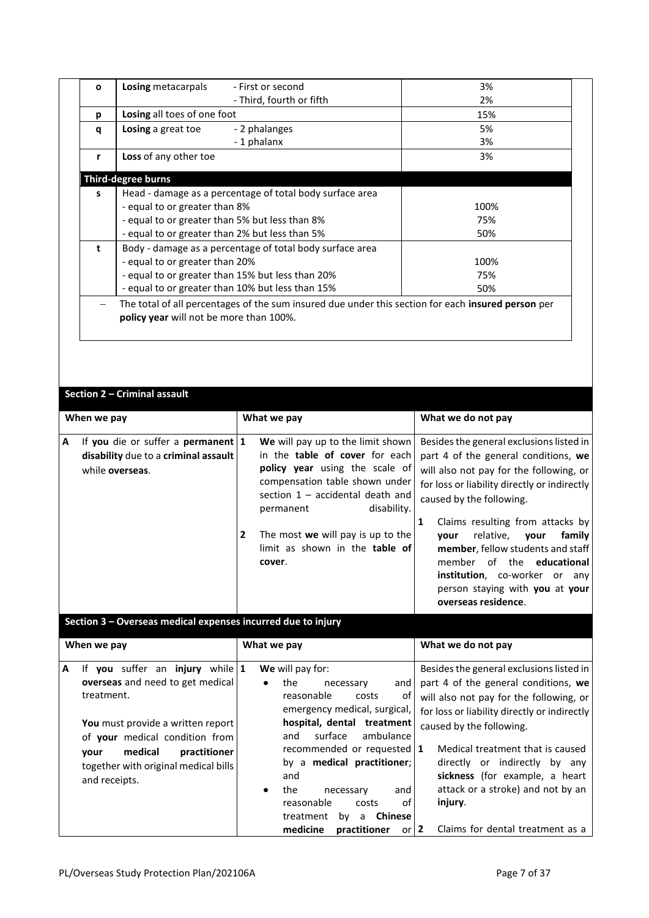| $\mathbf{o}$ | Losing metacarpals                                       | - First or second                                        | 3%                                                                                                 |  |
|--------------|----------------------------------------------------------|----------------------------------------------------------|----------------------------------------------------------------------------------------------------|--|
|              |                                                          | - Third, fourth or fifth                                 | 2%                                                                                                 |  |
| р            | Losing all toes of one foot                              |                                                          | 15%                                                                                                |  |
| q            | Losing a great toe                                       | - 2 phalanges                                            | 5%                                                                                                 |  |
|              |                                                          | -1 phalanx                                               | 3%                                                                                                 |  |
| r            | Loss of any other toe                                    |                                                          | 3%                                                                                                 |  |
|              | <b>Third-degree burns</b>                                |                                                          |                                                                                                    |  |
| s            | Head - damage as a percentage of total body surface area |                                                          |                                                                                                    |  |
|              | - equal to or greater than 8%                            | 100%                                                     |                                                                                                    |  |
|              | - equal to or greater than 5% but less than 8%           |                                                          | 75%                                                                                                |  |
|              | - equal to or greater than 2% but less than 5%           | 50%                                                      |                                                                                                    |  |
| t            |                                                          | Body - damage as a percentage of total body surface area |                                                                                                    |  |
|              | - equal to or greater than 20%                           |                                                          | 100%                                                                                               |  |
|              | - equal to or greater than 15% but less than 20%         | 75%                                                      |                                                                                                    |  |
|              | - equal to or greater than 10% but less than 15%         |                                                          | 50%                                                                                                |  |
|              |                                                          |                                                          | The total of all percentages of the sum insured due under this section for each insured person per |  |
|              | policy year will not be more than 100%.                  |                                                          |                                                                                                    |  |

#### **Section 2 – Criminal assault**

| When we pay |                                                                                                   |              | What we pay                                                                                                                                                                                                                                                                                            |  | What we do not pay                                                                                                                                                                                                                                                                                                                                                                                                                                             |  |  |
|-------------|---------------------------------------------------------------------------------------------------|--------------|--------------------------------------------------------------------------------------------------------------------------------------------------------------------------------------------------------------------------------------------------------------------------------------------------------|--|----------------------------------------------------------------------------------------------------------------------------------------------------------------------------------------------------------------------------------------------------------------------------------------------------------------------------------------------------------------------------------------------------------------------------------------------------------------|--|--|
| A           | If you die or suffer a permanent $ 1 $<br>disability due to a criminal assault<br>while overseas. | $\mathbf{2}$ | We will pay up to the limit shown<br>in the table of cover for each<br><b>policy year</b> using the scale of<br>compensation table shown under<br>section 1 - accidental death and<br>disability.<br>permanent<br>The most we will pay is up to the<br>limit as shown in the <b>table of</b><br>cover. |  | Besides the general exclusions listed in<br>part 4 of the general conditions, $we$<br>will also not pay for the following, or<br>for loss or liability directly or indirectly<br>caused by the following.<br>Claims resulting from attacks by<br>family l<br>relative, <b>vour</b><br>vour<br>member, fellow students and staff<br>member of the <b>educational</b><br>institution, co-worker or any<br>person staying with you at your<br>overseas residence. |  |  |

**Section 3 – Overseas medical expenses incurred due to injury** 

| When we pay                                                                                                                                                                                                                                                        | What we pay                                                                                                                                                                                                                                                                                                                                                                                      | What we do not pay                                                                                                                                                                                                                                                                                                                                                                                 |
|--------------------------------------------------------------------------------------------------------------------------------------------------------------------------------------------------------------------------------------------------------------------|--------------------------------------------------------------------------------------------------------------------------------------------------------------------------------------------------------------------------------------------------------------------------------------------------------------------------------------------------------------------------------------------------|----------------------------------------------------------------------------------------------------------------------------------------------------------------------------------------------------------------------------------------------------------------------------------------------------------------------------------------------------------------------------------------------------|
| If you suffer an injury while $1$<br>A<br>overseas and need to get medical<br>treatment.<br>You must provide a written report<br>of <b>your</b> medical condition from<br>medical<br>practitioner<br>vour<br>together with original medical bills<br>and receipts. | We will pay for:<br>the<br>necessary<br>and<br>reasonable<br>costs<br>οf<br>emergency medical, surgical,<br>hospital, dental treatment<br>surface<br>ambulance<br>and<br>recommended or requested   1<br>by a <b>medical practitioner</b> ;<br>and<br>and<br>the<br>necessary<br>οf<br>reasonable<br>costs<br><b>Chinese</b><br>treatment<br>bv<br>a<br>medicine<br>or $\vert$ 2<br>practitioner | Besides the general exclusions listed in<br>part 4 of the general conditions, we<br>will also not pay for the following, or<br>for loss or liability directly or indirectly<br>caused by the following.<br>Medical treatment that is caused<br>directly or indirectly by any<br>sickness (for example, a heart<br>attack or a stroke) and not by an<br>injury.<br>Claims for dental treatment as a |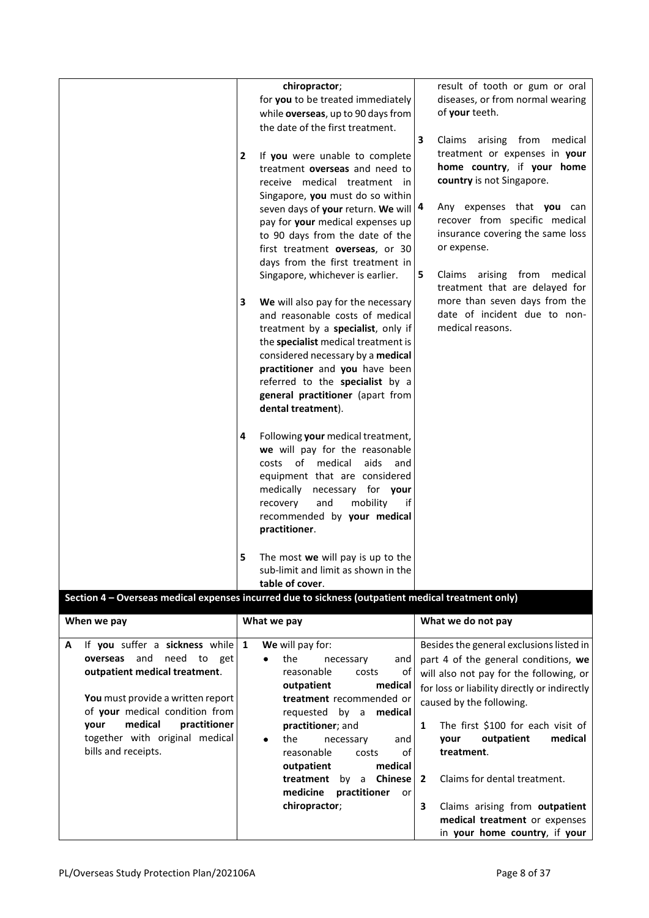| chiropractor;<br>result of tooth or gum or oral<br>for you to be treated immediately<br>diseases, or from normal wearing<br>of your teeth.<br>while overseas, up to 90 days from<br>the date of the first treatment.<br>$\mathbf{3}$<br>Claims arising from<br>treatment or expenses in your<br>If you were unable to complete<br>$\mathbf{2}$<br>home country, if your home<br>treatment overseas and need to<br>country is not Singapore.<br>receive medical treatment in<br>Singapore, you must do so within<br>Any expenses that you can<br>seven days of your return. We will   4<br>recover from specific medical<br>pay for your medical expenses up<br>insurance covering the same loss<br>to 90 days from the date of the<br>or expense.<br>first treatment overseas, or 30<br>days from the first treatment in | medical |
|--------------------------------------------------------------------------------------------------------------------------------------------------------------------------------------------------------------------------------------------------------------------------------------------------------------------------------------------------------------------------------------------------------------------------------------------------------------------------------------------------------------------------------------------------------------------------------------------------------------------------------------------------------------------------------------------------------------------------------------------------------------------------------------------------------------------------|---------|
|                                                                                                                                                                                                                                                                                                                                                                                                                                                                                                                                                                                                                                                                                                                                                                                                                          |         |
|                                                                                                                                                                                                                                                                                                                                                                                                                                                                                                                                                                                                                                                                                                                                                                                                                          |         |
|                                                                                                                                                                                                                                                                                                                                                                                                                                                                                                                                                                                                                                                                                                                                                                                                                          |         |
| 5<br>Claims arising from medical<br>Singapore, whichever is earlier.<br>treatment that are delayed for                                                                                                                                                                                                                                                                                                                                                                                                                                                                                                                                                                                                                                                                                                                   |         |
| more than seven days from the<br>3<br>We will also pay for the necessary<br>date of incident due to non-<br>and reasonable costs of medical<br>medical reasons.<br>treatment by a specialist, only if<br>the specialist medical treatment is<br>considered necessary by a medical<br>practitioner and you have been<br>referred to the specialist by a<br>general practitioner (apart from<br>dental treatment).                                                                                                                                                                                                                                                                                                                                                                                                         |         |
| 4<br>Following your medical treatment,<br>we will pay for the reasonable<br>costs of medical<br>aids<br>and<br>equipment that are considered<br>medically<br>necessary for your<br>and<br>mobility<br>recovery<br>if<br>recommended by your medical<br>practitioner.                                                                                                                                                                                                                                                                                                                                                                                                                                                                                                                                                     |         |
| 5<br>The most we will pay is up to the<br>sub-limit and limit as shown in the<br>table of cover.                                                                                                                                                                                                                                                                                                                                                                                                                                                                                                                                                                                                                                                                                                                         |         |
| Section 4 - Overseas medical expenses incurred due to sickness (outpatient medical treatment only)                                                                                                                                                                                                                                                                                                                                                                                                                                                                                                                                                                                                                                                                                                                       |         |
| What we do not pay<br>What we pay<br>When we pay                                                                                                                                                                                                                                                                                                                                                                                                                                                                                                                                                                                                                                                                                                                                                                         |         |
| If you suffer a sickness while<br>We will pay for:<br>Besides the general exclusions listed in<br>1<br>A                                                                                                                                                                                                                                                                                                                                                                                                                                                                                                                                                                                                                                                                                                                 |         |
| and<br>need to<br>overseas<br>the<br>get<br>necessary<br>part 4 of the general conditions, we<br>and<br>outpatient medical treatment.<br>reasonable<br>costs<br>of<br>will also not pay for the following, or<br>outpatient<br>medical<br>for loss or liability directly or indirectly                                                                                                                                                                                                                                                                                                                                                                                                                                                                                                                                   |         |
| You must provide a written report<br>treatment recommended or<br>caused by the following.<br>of your medical condition from                                                                                                                                                                                                                                                                                                                                                                                                                                                                                                                                                                                                                                                                                              |         |
| requested<br>by a<br>medical<br>medical<br>practitioner<br>your<br>practitioner; and<br>The first \$100 for each visit of<br>$\mathbf{1}$                                                                                                                                                                                                                                                                                                                                                                                                                                                                                                                                                                                                                                                                                |         |
| together with original medical<br>outpatient<br>the<br>and<br>your<br>necessary                                                                                                                                                                                                                                                                                                                                                                                                                                                                                                                                                                                                                                                                                                                                          | medical |
| bills and receipts.<br>reasonable<br>of<br>treatment.<br>costs<br>medical<br>outpatient                                                                                                                                                                                                                                                                                                                                                                                                                                                                                                                                                                                                                                                                                                                                  |         |
| Claims for dental treatment.<br>Chinese<br>treatment by a<br>2                                                                                                                                                                                                                                                                                                                                                                                                                                                                                                                                                                                                                                                                                                                                                           |         |
| medicine<br>practitioner<br>or<br>chiropractor;<br>3<br>Claims arising from outpatient<br>medical treatment or expenses<br>in your home country, if your                                                                                                                                                                                                                                                                                                                                                                                                                                                                                                                                                                                                                                                                 |         |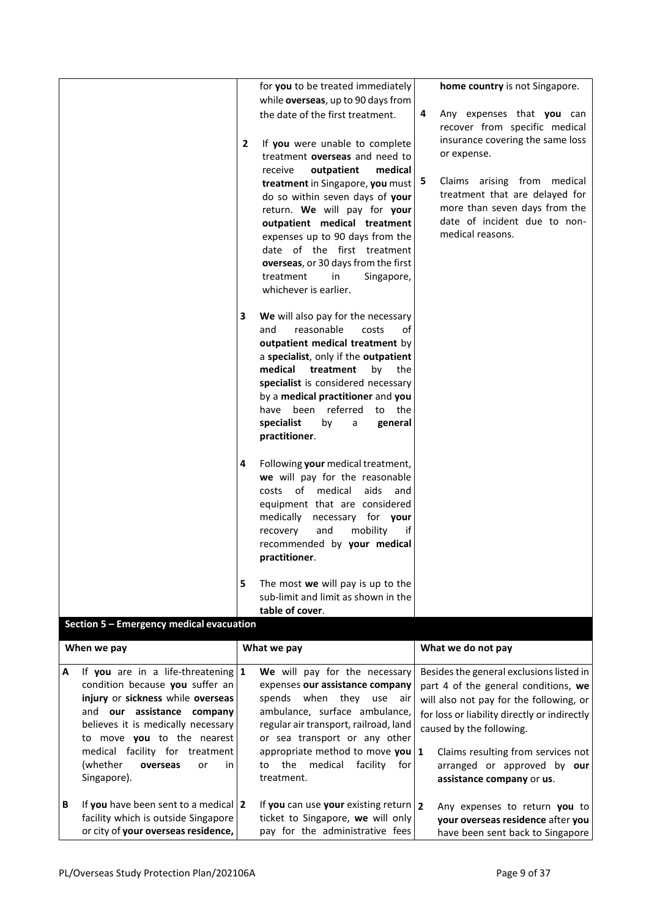|   |                                                                                                                        |   | for you to be treated immediately<br>while overseas, up to 90 days from                                                                                                                                                                                               |   | home country is not Singapore.                                                                         |
|---|------------------------------------------------------------------------------------------------------------------------|---|-----------------------------------------------------------------------------------------------------------------------------------------------------------------------------------------------------------------------------------------------------------------------|---|--------------------------------------------------------------------------------------------------------|
|   |                                                                                                                        |   | the date of the first treatment.                                                                                                                                                                                                                                      | 4 | Any expenses that you can<br>recover from specific medical                                             |
|   |                                                                                                                        | 2 | If you were unable to complete<br>treatment overseas and need to                                                                                                                                                                                                      |   | insurance covering the same loss<br>or expense.                                                        |
|   |                                                                                                                        |   | medical<br>receive<br>outpatient<br>treatment in Singapore, you must   5<br>do so within seven days of your                                                                                                                                                           |   | Claims arising from medical<br>treatment that are delayed for                                          |
|   |                                                                                                                        |   | return. We will pay for your<br>outpatient medical treatment<br>expenses up to 90 days from the<br>date of the first treatment<br>overseas, or 30 days from the first<br>treatment<br>in<br>Singapore,<br>whichever is earlier.                                       |   | more than seven days from the<br>date of incident due to non-<br>medical reasons.                      |
|   |                                                                                                                        | 3 | We will also pay for the necessary<br>reasonable<br>costs<br>and<br>οf                                                                                                                                                                                                |   |                                                                                                        |
|   |                                                                                                                        |   | outpatient medical treatment by<br>a specialist, only if the outpatient<br>medical                                                                                                                                                                                    |   |                                                                                                        |
|   |                                                                                                                        |   | treatment<br>by<br>the<br>specialist is considered necessary<br>by a medical practitioner and you                                                                                                                                                                     |   |                                                                                                        |
|   |                                                                                                                        |   | been referred<br>have<br>to the<br>specialist<br>by<br>a<br>general                                                                                                                                                                                                   |   |                                                                                                        |
|   |                                                                                                                        |   | practitioner.                                                                                                                                                                                                                                                         |   |                                                                                                        |
|   |                                                                                                                        | 4 | Following your medical treatment,<br>we will pay for the reasonable<br>of<br>medical<br>aids<br>costs<br>and<br>equipment that are considered<br>medically<br>necessary for your<br>and<br>mobility<br>recovery<br>if<br>recommended by your medical<br>practitioner. |   |                                                                                                        |
|   |                                                                                                                        | 5 | The most we will pay is up to the                                                                                                                                                                                                                                     |   |                                                                                                        |
|   |                                                                                                                        |   | sub-limit and limit as shown in the<br>table of cover.                                                                                                                                                                                                                |   |                                                                                                        |
|   | <b>Section 5 - Emergency medical evacuation</b>                                                                        |   |                                                                                                                                                                                                                                                                       |   |                                                                                                        |
|   | When we pay                                                                                                            |   | What we pay                                                                                                                                                                                                                                                           |   | What we do not pay                                                                                     |
| А | If you are in a life-threatening $1$<br>condition because you suffer an                                                |   | We will pay for the necessary<br>expenses our assistance company                                                                                                                                                                                                      |   | Besides the general exclusions listed in<br>part 4 of the general conditions, we                       |
|   | injury or sickness while overseas                                                                                      |   | spends when they<br>use air                                                                                                                                                                                                                                           |   | will also not pay for the following, or                                                                |
|   | and our assistance company<br>believes it is medically necessary                                                       |   | ambulance, surface ambulance,<br>regular air transport, railroad, land                                                                                                                                                                                                |   | for loss or liability directly or indirectly                                                           |
|   | to move you to the nearest                                                                                             |   | or sea transport or any other                                                                                                                                                                                                                                         |   | caused by the following.                                                                               |
|   | medical facility for treatment<br>(whether<br>overseas<br>or<br>in<br>Singapore).                                      |   | appropriate method to move you $1$<br>to the<br>medical facility for<br>treatment.                                                                                                                                                                                    |   | Claims resulting from services not<br>arranged or approved by our<br>assistance company or us.         |
| В | If you have been sent to a medical $ 2 $<br>facility which is outside Singapore<br>or city of your overseas residence, |   | If you can use your existing return $\sqrt{2}$<br>ticket to Singapore, we will only<br>pay for the administrative fees                                                                                                                                                |   | Any expenses to return you to<br>your overseas residence after you<br>have been sent back to Singapore |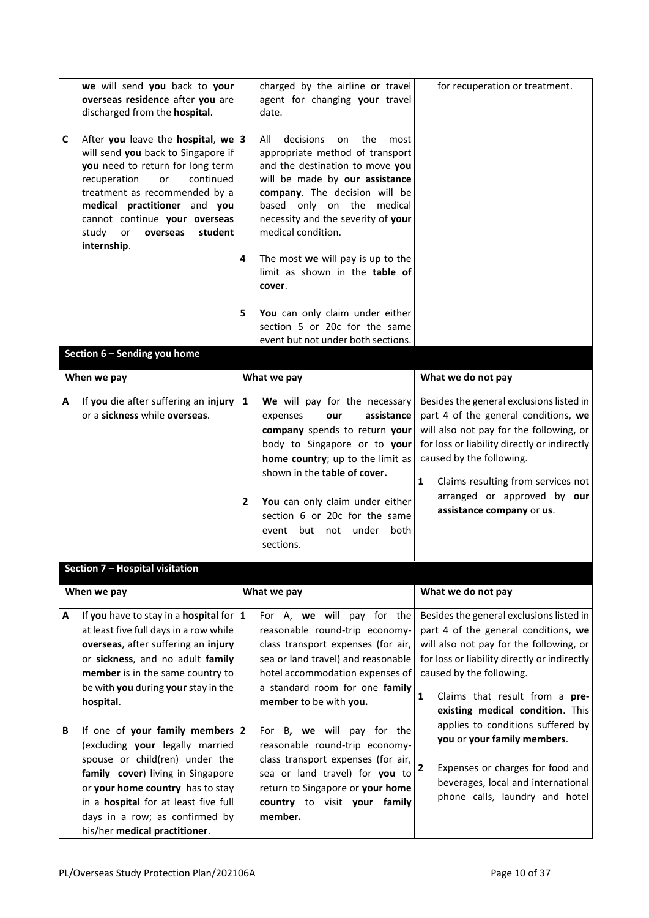|   | we will send you back to your<br>overseas residence after you are<br>discharged from the hospital.                                                                                                                                                                                                         |                   | charged by the airline or travel<br>agent for changing your travel<br>date.                                                                                                                                                                                                                                         | for recuperation or treatment.                                                                                                                                                                                                                                                                                 |
|---|------------------------------------------------------------------------------------------------------------------------------------------------------------------------------------------------------------------------------------------------------------------------------------------------------------|-------------------|---------------------------------------------------------------------------------------------------------------------------------------------------------------------------------------------------------------------------------------------------------------------------------------------------------------------|----------------------------------------------------------------------------------------------------------------------------------------------------------------------------------------------------------------------------------------------------------------------------------------------------------------|
| C | After you leave the hospital, we $ 3 $<br>will send you back to Singapore if<br>you need to return for long term<br>recuperation<br>continued<br>or<br>treatment as recommended by a<br>medical practitioner and you<br>cannot continue your overseas<br>study<br>or<br>student<br>overseas<br>internship. |                   | decisions<br>All<br>on<br>the<br>most<br>appropriate method of transport<br>and the destination to move you<br>will be made by our assistance<br>company. The decision will be<br>based only on the medical<br>necessity and the severity of your<br>medical condition.                                             |                                                                                                                                                                                                                                                                                                                |
|   |                                                                                                                                                                                                                                                                                                            | 4                 | The most we will pay is up to the<br>limit as shown in the table of<br>cover.                                                                                                                                                                                                                                       |                                                                                                                                                                                                                                                                                                                |
|   |                                                                                                                                                                                                                                                                                                            | 5                 | You can only claim under either<br>section 5 or 20c for the same                                                                                                                                                                                                                                                    |                                                                                                                                                                                                                                                                                                                |
|   | Section 6 - Sending you home                                                                                                                                                                                                                                                                               |                   | event but not under both sections.                                                                                                                                                                                                                                                                                  |                                                                                                                                                                                                                                                                                                                |
|   |                                                                                                                                                                                                                                                                                                            |                   |                                                                                                                                                                                                                                                                                                                     |                                                                                                                                                                                                                                                                                                                |
|   | When we pay                                                                                                                                                                                                                                                                                                |                   | What we pay                                                                                                                                                                                                                                                                                                         | What we do not pay                                                                                                                                                                                                                                                                                             |
| A | If you die after suffering an injury<br>or a sickness while overseas.                                                                                                                                                                                                                                      | $\mathbf{1}$<br>2 | We will pay for the necessary<br>assistance<br>expenses<br>our<br>company spends to return your<br>body to Singapore or to your<br>home country; up to the limit as<br>shown in the table of cover.<br>You can only claim under either<br>section 6 or 20c for the same<br>event but not under<br>both<br>sections. | Besides the general exclusions listed in<br>part 4 of the general conditions, we<br>will also not pay for the following, or<br>for loss or liability directly or indirectly<br>caused by the following.<br>Claims resulting from services not<br>1<br>arranged or approved by our<br>assistance company or us. |
|   | Section 7 - Hospital visitation                                                                                                                                                                                                                                                                            |                   |                                                                                                                                                                                                                                                                                                                     |                                                                                                                                                                                                                                                                                                                |
|   | When we pay                                                                                                                                                                                                                                                                                                |                   | What we pay                                                                                                                                                                                                                                                                                                         | What we do not pay                                                                                                                                                                                                                                                                                             |
| Α | If you have to stay in a hospital for $ 1 $<br>at least five full days in a row while<br>overseas, after suffering an injury<br>or sickness, and no adult family<br>member is in the same country to<br>be with you during your stay in the<br>hospital.                                                   |                   | For A, we will pay for the<br>reasonable round-trip economy-<br>class transport expenses (for air,<br>sea or land travel) and reasonable<br>hotel accommodation expenses of<br>a standard room for one family<br>member to be with you.                                                                             | Besides the general exclusions listed in<br>part 4 of the general conditions, we<br>will also not pay for the following, or<br>for loss or liability directly or indirectly<br>caused by the following.<br>Claims that result from a pre-<br>1<br>existing medical condition. This                             |
| В | If one of your family members $ 2 $<br>(excluding your legally married<br>spouse or child(ren) under the<br>family cover) living in Singapore<br>or your home country has to stay<br>in a hospital for at least five full                                                                                  |                   | For B, we will pay for the<br>reasonable round-trip economy-<br>class transport expenses (for air,<br>sea or land travel) for you to<br>return to Singapore or your home<br>country to visit your family                                                                                                            | applies to conditions suffered by<br>you or your family members.<br>Expenses or charges for food and<br>2<br>beverages, local and international<br>phone calls, laundry and hotel                                                                                                                              |
|   | days in a row; as confirmed by<br>his/her medical practitioner.                                                                                                                                                                                                                                            |                   | member.                                                                                                                                                                                                                                                                                                             |                                                                                                                                                                                                                                                                                                                |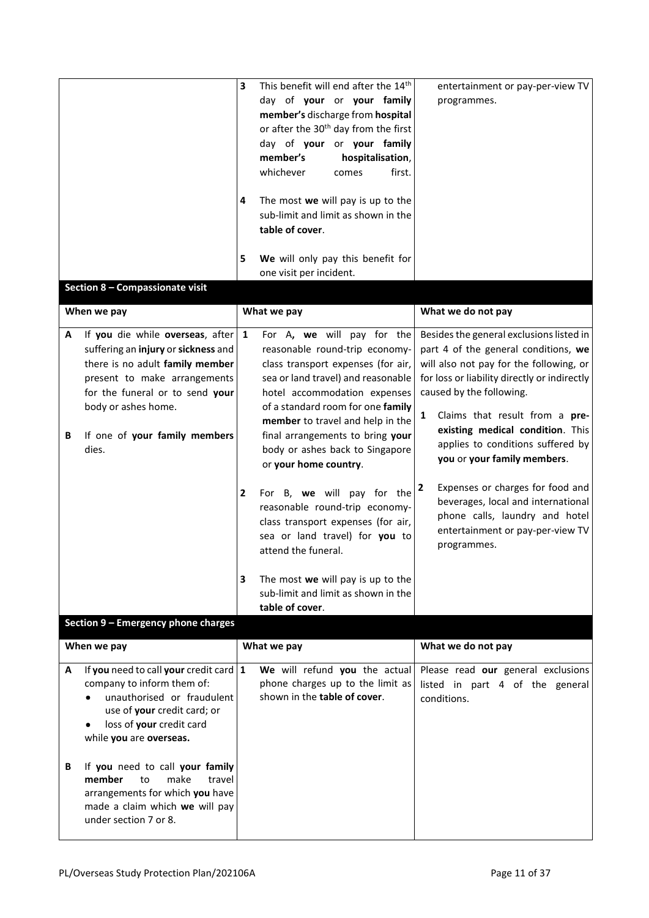|                                                                                                                                                                                                                                                          | This benefit will end after the 14 <sup>th</sup><br>3<br>day of your or your family<br>member's discharge from hospital<br>or after the 30 <sup>th</sup> day from the first<br>day of your or your family<br>member's<br>hospitalisation,<br>whichever<br>first.<br>comes<br>The most we will pay is up to the<br>4<br>sub-limit and limit as shown in the<br>table of cover.<br>We will only pay this benefit for<br>5<br>one visit per incident.                                      | entertainment or pay-per-view TV<br>programmes.                                                                                                                                                                                                                                                                                                                                                                                                                                    |
|----------------------------------------------------------------------------------------------------------------------------------------------------------------------------------------------------------------------------------------------------------|-----------------------------------------------------------------------------------------------------------------------------------------------------------------------------------------------------------------------------------------------------------------------------------------------------------------------------------------------------------------------------------------------------------------------------------------------------------------------------------------|------------------------------------------------------------------------------------------------------------------------------------------------------------------------------------------------------------------------------------------------------------------------------------------------------------------------------------------------------------------------------------------------------------------------------------------------------------------------------------|
| Section 8 - Compassionate visit                                                                                                                                                                                                                          |                                                                                                                                                                                                                                                                                                                                                                                                                                                                                         |                                                                                                                                                                                                                                                                                                                                                                                                                                                                                    |
| When we pay                                                                                                                                                                                                                                              | What we pay                                                                                                                                                                                                                                                                                                                                                                                                                                                                             | What we do not pay                                                                                                                                                                                                                                                                                                                                                                                                                                                                 |
| If you die while overseas, after<br>A<br>suffering an injury or sickness and<br>there is no adult family member<br>present to make arrangements<br>for the funeral or to send your<br>body or ashes home.<br>If one of your family members<br>B<br>dies. | For A, we will pay for the<br>1<br>reasonable round-trip economy-<br>class transport expenses (for air,<br>sea or land travel) and reasonable<br>hotel accommodation expenses<br>of a standard room for one family<br>member to travel and help in the<br>final arrangements to bring your<br>body or ashes back to Singapore<br>or your home country.<br>For B, we will pay for the<br>$\overline{\mathbf{2}}$<br>reasonable round-trip economy-<br>class transport expenses (for air, | Besides the general exclusions listed in<br>part 4 of the general conditions, we<br>will also not pay for the following, or<br>for loss or liability directly or indirectly<br>caused by the following.<br>Claims that result from a pre-<br>$\mathbf{1}$<br>existing medical condition. This<br>applies to conditions suffered by<br>you or your family members.<br>Expenses or charges for food and<br>2<br>beverages, local and international<br>phone calls, laundry and hotel |
|                                                                                                                                                                                                                                                          | sea or land travel) for you to<br>attend the funeral.<br>The most we will pay is up to the<br>3<br>sub-limit and limit as shown in the<br>table of cover.                                                                                                                                                                                                                                                                                                                               | entertainment or pay-per-view TV<br>programmes.                                                                                                                                                                                                                                                                                                                                                                                                                                    |
| Section 9 - Emergency phone charges                                                                                                                                                                                                                      |                                                                                                                                                                                                                                                                                                                                                                                                                                                                                         |                                                                                                                                                                                                                                                                                                                                                                                                                                                                                    |
| When we pay                                                                                                                                                                                                                                              | What we pay                                                                                                                                                                                                                                                                                                                                                                                                                                                                             | What we do not pay                                                                                                                                                                                                                                                                                                                                                                                                                                                                 |
| If you need to call your credit card $ 1 $<br>А<br>company to inform them of:<br>unauthorised or fraudulent<br>use of your credit card; or<br>loss of your credit card<br>٠<br>while you are overseas.                                                   | We will refund you the actual<br>phone charges up to the limit as<br>shown in the table of cover.                                                                                                                                                                                                                                                                                                                                                                                       | Please read our general exclusions<br>listed in part 4 of the general<br>conditions.                                                                                                                                                                                                                                                                                                                                                                                               |
| If you need to call your family<br>B<br>member<br>make<br>to<br>travel<br>arrangements for which you have<br>made a claim which we will pay<br>under section 7 or 8.                                                                                     |                                                                                                                                                                                                                                                                                                                                                                                                                                                                                         |                                                                                                                                                                                                                                                                                                                                                                                                                                                                                    |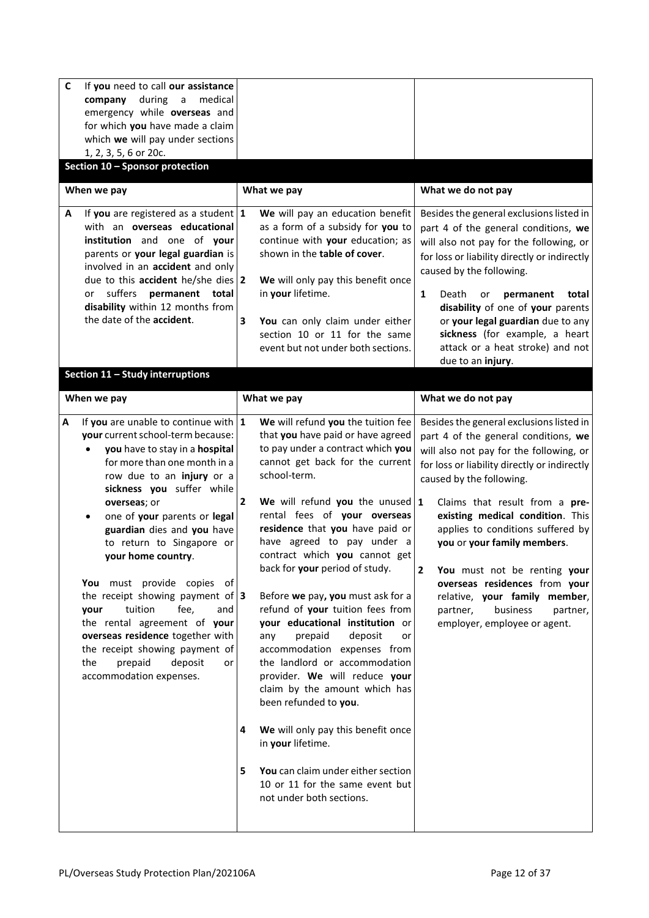| $\mathbf c$<br>If you need to call our assistance<br>during<br>company<br>$\mathsf{a}$<br>medical<br>emergency while overseas and<br>for which you have made a claim<br>which we will pay under sections<br>1, 2, 3, 5, 6 or 20c.<br>Section 10 - Sponsor protection                                                                                                                                                                                                                                                                                                                                                                   |                                                                                                                                                                                                                                                                                                                                                                                                                                                                                                                                                                                                                                                                                                                                                                                                                                                                                |                                                                                                                                                                                                                                                                                                                                                                                                                                                                                                                                           |
|----------------------------------------------------------------------------------------------------------------------------------------------------------------------------------------------------------------------------------------------------------------------------------------------------------------------------------------------------------------------------------------------------------------------------------------------------------------------------------------------------------------------------------------------------------------------------------------------------------------------------------------|--------------------------------------------------------------------------------------------------------------------------------------------------------------------------------------------------------------------------------------------------------------------------------------------------------------------------------------------------------------------------------------------------------------------------------------------------------------------------------------------------------------------------------------------------------------------------------------------------------------------------------------------------------------------------------------------------------------------------------------------------------------------------------------------------------------------------------------------------------------------------------|-------------------------------------------------------------------------------------------------------------------------------------------------------------------------------------------------------------------------------------------------------------------------------------------------------------------------------------------------------------------------------------------------------------------------------------------------------------------------------------------------------------------------------------------|
| When we pay                                                                                                                                                                                                                                                                                                                                                                                                                                                                                                                                                                                                                            | What we pay                                                                                                                                                                                                                                                                                                                                                                                                                                                                                                                                                                                                                                                                                                                                                                                                                                                                    | What we do not pay                                                                                                                                                                                                                                                                                                                                                                                                                                                                                                                        |
| If you are registered as a student $1$<br>A<br>with an overseas educational<br>institution and one of your<br>parents or your legal guardian is<br>involved in an accident and only<br>due to this accident he/she dies $ 2 $<br>suffers<br>permanent total<br>or<br>disability within 12 months from<br>the date of the accident.<br>Section 11 - Study interruptions                                                                                                                                                                                                                                                                 | We will pay an education benefit<br>as a form of a subsidy for you to<br>continue with your education; as<br>shown in the table of cover.<br>We will only pay this benefit once<br>in your lifetime.<br>3<br>You can only claim under either<br>section 10 or 11 for the same<br>event but not under both sections.                                                                                                                                                                                                                                                                                                                                                                                                                                                                                                                                                            | Besides the general exclusions listed in<br>part 4 of the general conditions, we<br>will also not pay for the following, or<br>for loss or liability directly or indirectly<br>caused by the following.<br>1<br>Death<br>permanent<br>total<br>or<br>disability of one of your parents<br>or your legal guardian due to any<br>sickness (for example, a heart<br>attack or a heat stroke) and not<br>due to an injury.                                                                                                                    |
| When we pay                                                                                                                                                                                                                                                                                                                                                                                                                                                                                                                                                                                                                            | What we pay                                                                                                                                                                                                                                                                                                                                                                                                                                                                                                                                                                                                                                                                                                                                                                                                                                                                    | What we do not pay                                                                                                                                                                                                                                                                                                                                                                                                                                                                                                                        |
| If you are unable to continue with $1$<br>A<br>your current school-term because:<br>you have to stay in a hospital<br>for more than one month in a<br>row due to an injury or a<br>sickness you suffer while<br>overseas; or<br>one of your parents or legal<br>$\bullet$<br>guardian dies and you have<br>to return to Singapore or<br>your home country.<br>You must provide copies of<br>the receipt showing payment of $ 3 $<br>tuition<br>fee,<br>and<br>your<br>the rental agreement of your<br>overseas residence together with<br>the receipt showing payment of<br>prepaid<br>deposit<br>the<br>or<br>accommodation expenses. | We will refund you the tuition fee<br>that you have paid or have agreed<br>to pay under a contract which you<br>cannot get back for the current<br>school-term.<br>$\overline{2}$<br>We will refund you the unused $1$<br>rental fees of your overseas<br>residence that you have paid or<br>have agreed to pay under a<br>contract which you cannot get<br>back for your period of study.<br>Before we pay, you must ask for a<br>refund of your tuition fees from<br>your educational institution or<br>prepaid<br>deposit<br>any<br>or<br>accommodation expenses from<br>the landlord or accommodation<br>provider. We will reduce your<br>claim by the amount which has<br>been refunded to you.<br>We will only pay this benefit once<br>4<br>in your lifetime.<br>You can claim under either section<br>5<br>10 or 11 for the same event but<br>not under both sections. | Besides the general exclusions listed in<br>part 4 of the general conditions, we<br>will also not pay for the following, or<br>for loss or liability directly or indirectly<br>caused by the following.<br>Claims that result from a pre-<br>existing medical condition. This<br>applies to conditions suffered by<br>you or your family members.<br>$\overline{2}$<br>You must not be renting your<br>overseas residences from your<br>relative, your family member,<br>partner,<br>business<br>partner,<br>employer, employee or agent. |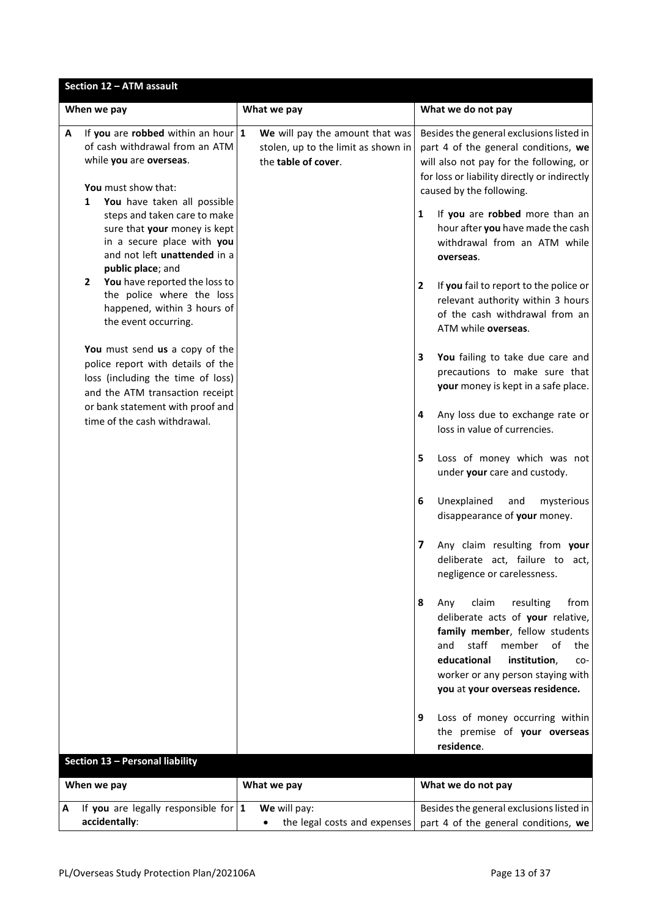| Section 12 - ATM assault |                                                                                                                                                                                     |                                                                                               |                                                                                                                                                                                                                                                                    |
|--------------------------|-------------------------------------------------------------------------------------------------------------------------------------------------------------------------------------|-----------------------------------------------------------------------------------------------|--------------------------------------------------------------------------------------------------------------------------------------------------------------------------------------------------------------------------------------------------------------------|
|                          | When we pay                                                                                                                                                                         | What we pay                                                                                   | What we do not pay                                                                                                                                                                                                                                                 |
| A                        | If you are robbed within an hour $1$<br>of cash withdrawal from an ATM<br>while you are overseas.<br>You must show that:                                                            | We will pay the amount that was<br>stolen, up to the limit as shown in<br>the table of cover. | Besides the general exclusions listed in<br>part 4 of the general conditions, we<br>will also not pay for the following, or<br>for loss or liability directly or indirectly<br>caused by the following.                                                            |
|                          | You have taken all possible<br>1<br>steps and taken care to make<br>sure that your money is kept<br>in a secure place with you<br>and not left unattended in a<br>public place; and |                                                                                               | If you are robbed more than an<br>1<br>hour after you have made the cash<br>withdrawal from an ATM while<br>overseas.                                                                                                                                              |
|                          | You have reported the loss to<br>$\mathbf{2}$<br>the police where the loss<br>happened, within 3 hours of<br>the event occurring.                                                   |                                                                                               | $\mathbf{2}$<br>If you fail to report to the police or<br>relevant authority within 3 hours<br>of the cash withdrawal from an<br>ATM while overseas.                                                                                                               |
|                          | You must send us a copy of the<br>police report with details of the<br>loss (including the time of loss)<br>and the ATM transaction receipt                                         |                                                                                               | You failing to take due care and<br>3<br>precautions to make sure that<br>your money is kept in a safe place.                                                                                                                                                      |
|                          | or bank statement with proof and<br>time of the cash withdrawal.                                                                                                                    |                                                                                               | Any loss due to exchange rate or<br>4<br>loss in value of currencies.                                                                                                                                                                                              |
|                          |                                                                                                                                                                                     |                                                                                               | Loss of money which was not<br>5<br>under your care and custody.                                                                                                                                                                                                   |
|                          |                                                                                                                                                                                     |                                                                                               | Unexplained<br>6<br>and<br>mysterious<br>disappearance of your money.                                                                                                                                                                                              |
|                          |                                                                                                                                                                                     |                                                                                               | Any claim resulting from your<br>7<br>deliberate act, failure to act,<br>negligence or carelessness.                                                                                                                                                               |
|                          |                                                                                                                                                                                     |                                                                                               | claim<br>resulting<br>8<br>Any<br>from<br>deliberate acts of your relative,<br>family member, fellow students<br>staff<br>and<br>member<br>of<br>the<br>educational<br>institution,<br>CO-<br>worker or any person staying with<br>you at your overseas residence. |
|                          |                                                                                                                                                                                     |                                                                                               | Loss of money occurring within<br>9<br>the premise of your overseas<br>residence.                                                                                                                                                                                  |
|                          | <b>Section 13 - Personal liability</b>                                                                                                                                              |                                                                                               |                                                                                                                                                                                                                                                                    |
|                          | When we pay                                                                                                                                                                         | What we pay                                                                                   | What we do not pay                                                                                                                                                                                                                                                 |
| A                        | If you are legally responsible for $1$<br>accidentally:                                                                                                                             | We will pay:<br>the legal costs and expenses                                                  | Besides the general exclusions listed in<br>part 4 of the general conditions, we                                                                                                                                                                                   |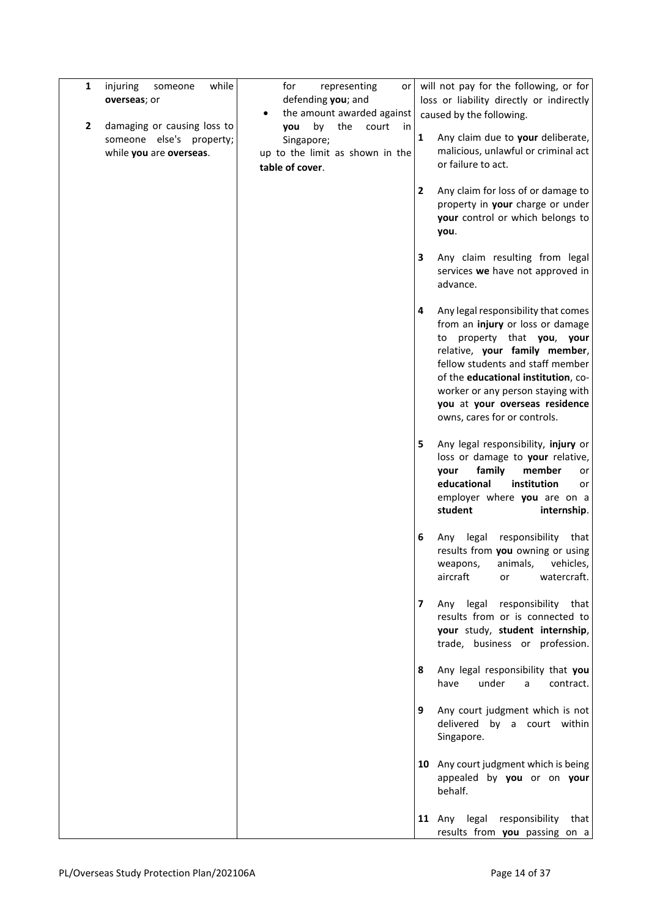| $\mathbf{1}$ | while<br>injuring<br>someone<br>overseas; or                                       | for<br>representing<br>or<br>defending you; and<br>the amount awarded against                       |                         | will not pay for the following, or for<br>loss or liability directly or indirectly<br>caused by the following.                                                                                                                                                                                                           |
|--------------|------------------------------------------------------------------------------------|-----------------------------------------------------------------------------------------------------|-------------------------|--------------------------------------------------------------------------------------------------------------------------------------------------------------------------------------------------------------------------------------------------------------------------------------------------------------------------|
| 2            | damaging or causing loss to<br>someone else's property;<br>while you are overseas. | by<br>the<br>court<br>you<br>in<br>Singapore;<br>up to the limit as shown in the<br>table of cover. | $\mathbf{1}$            | Any claim due to your deliberate,<br>malicious, unlawful or criminal act<br>or failure to act.                                                                                                                                                                                                                           |
|              |                                                                                    |                                                                                                     | $\overline{2}$          | Any claim for loss of or damage to<br>property in your charge or under<br>your control or which belongs to<br>you.                                                                                                                                                                                                       |
|              |                                                                                    |                                                                                                     | 3                       | Any claim resulting from legal<br>services we have not approved in<br>advance.                                                                                                                                                                                                                                           |
|              |                                                                                    |                                                                                                     | 4                       | Any legal responsibility that comes<br>from an injury or loss or damage<br>to property that you, your<br>relative, your family member,<br>fellow students and staff member<br>of the educational institution, co-<br>worker or any person staying with<br>you at your overseas residence<br>owns, cares for or controls. |
|              |                                                                                    |                                                                                                     | 5                       | Any legal responsibility, injury or<br>loss or damage to your relative,<br>family<br>member<br>your<br>or<br>educational<br>institution<br>or<br>employer where you are on a<br>student<br>internship.                                                                                                                   |
|              |                                                                                    |                                                                                                     | 6                       | legal<br>responsibility<br>Any<br>that<br>results from you owning or using<br>weapons, animals, vehicles,<br>aircraft<br>watercraft.<br>or                                                                                                                                                                               |
|              |                                                                                    |                                                                                                     | $\overline{\mathbf{z}}$ | Any legal responsibility that<br>results from or is connected to<br>your study, student internship,<br>trade, business or profession.                                                                                                                                                                                    |
|              |                                                                                    |                                                                                                     | 8                       | Any legal responsibility that you<br>have<br>under<br>a<br>contract.                                                                                                                                                                                                                                                     |
|              |                                                                                    |                                                                                                     | 9                       | Any court judgment which is not<br>delivered by a court within<br>Singapore.                                                                                                                                                                                                                                             |
|              |                                                                                    |                                                                                                     |                         | 10 Any court judgment which is being<br>appealed by you or on your<br>behalf.                                                                                                                                                                                                                                            |
|              |                                                                                    |                                                                                                     |                         | 11 Any legal responsibility that<br>results from you passing on a                                                                                                                                                                                                                                                        |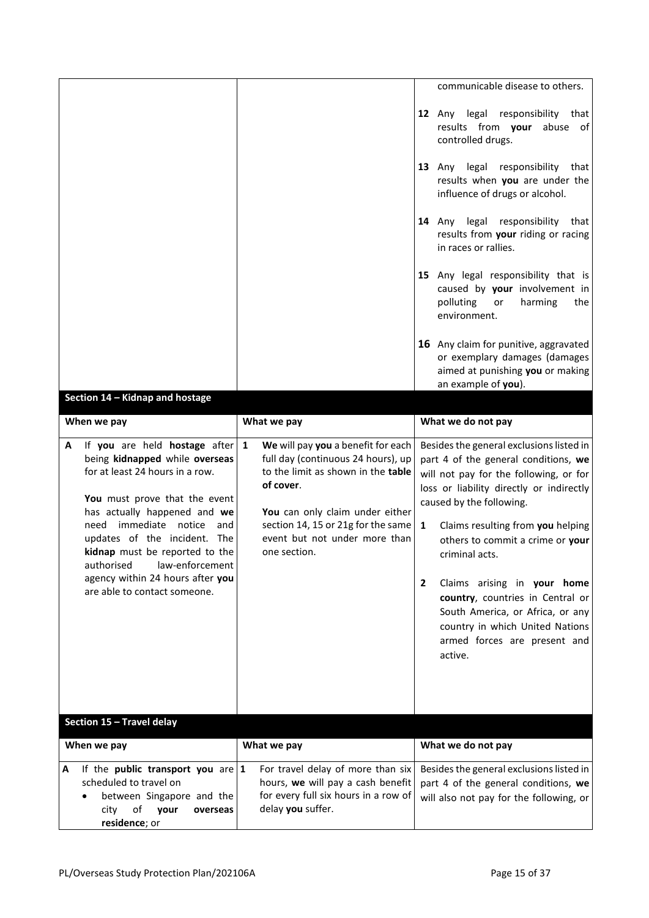|                                                                                                                                                                                                                                                                                                                                                                                    |                                                                                                                                                                                                                                                            | communicable disease to others.                                                                                                                                                                                                                                                                                                                                                                                                                                                                         |
|------------------------------------------------------------------------------------------------------------------------------------------------------------------------------------------------------------------------------------------------------------------------------------------------------------------------------------------------------------------------------------|------------------------------------------------------------------------------------------------------------------------------------------------------------------------------------------------------------------------------------------------------------|---------------------------------------------------------------------------------------------------------------------------------------------------------------------------------------------------------------------------------------------------------------------------------------------------------------------------------------------------------------------------------------------------------------------------------------------------------------------------------------------------------|
|                                                                                                                                                                                                                                                                                                                                                                                    |                                                                                                                                                                                                                                                            | 12 Any legal responsibility that<br>results from your<br>abuse<br>of<br>controlled drugs.                                                                                                                                                                                                                                                                                                                                                                                                               |
|                                                                                                                                                                                                                                                                                                                                                                                    |                                                                                                                                                                                                                                                            | 13 Any legal responsibility that<br>results when you are under the<br>influence of drugs or alcohol.                                                                                                                                                                                                                                                                                                                                                                                                    |
|                                                                                                                                                                                                                                                                                                                                                                                    |                                                                                                                                                                                                                                                            | 14 Any legal<br>responsibility that<br>results from your riding or racing<br>in races or rallies.                                                                                                                                                                                                                                                                                                                                                                                                       |
|                                                                                                                                                                                                                                                                                                                                                                                    |                                                                                                                                                                                                                                                            | 15 Any legal responsibility that is<br>caused by your involvement in<br>polluting<br>harming<br>or<br>the<br>environment.                                                                                                                                                                                                                                                                                                                                                                               |
|                                                                                                                                                                                                                                                                                                                                                                                    |                                                                                                                                                                                                                                                            | 16 Any claim for punitive, aggravated<br>or exemplary damages (damages<br>aimed at punishing you or making<br>an example of you).                                                                                                                                                                                                                                                                                                                                                                       |
| Section 14 - Kidnap and hostage                                                                                                                                                                                                                                                                                                                                                    |                                                                                                                                                                                                                                                            |                                                                                                                                                                                                                                                                                                                                                                                                                                                                                                         |
| When we pay                                                                                                                                                                                                                                                                                                                                                                        | What we pay                                                                                                                                                                                                                                                | What we do not pay                                                                                                                                                                                                                                                                                                                                                                                                                                                                                      |
| If you are held hostage after<br>A<br>being kidnapped while overseas<br>for at least 24 hours in a row.<br>You must prove that the event<br>has actually happened and we<br>need immediate<br>notice<br>and<br>updates of the incident. The<br>kidnap must be reported to the<br>authorised<br>law-enforcement<br>agency within 24 hours after you<br>are able to contact someone. | We will pay you a benefit for each<br>1<br>full day (continuous 24 hours), up<br>to the limit as shown in the table<br>of cover.<br>You can only claim under either<br>section 14, 15 or 21g for the same<br>event but not under more than<br>one section. | Besides the general exclusions listed in<br>part 4 of the general conditions, we<br>will not pay for the following, or for<br>loss or liability directly or indirectly<br>caused by the following.<br>$\mathbf{1}$<br>Claims resulting from you helping<br>others to commit a crime or your<br>criminal acts.<br>Claims arising in your home<br>2<br>country, countries in Central or<br>South America, or Africa, or any<br>country in which United Nations<br>armed forces are present and<br>active. |
| Section 15 - Travel delay                                                                                                                                                                                                                                                                                                                                                          |                                                                                                                                                                                                                                                            |                                                                                                                                                                                                                                                                                                                                                                                                                                                                                                         |
| When we pay                                                                                                                                                                                                                                                                                                                                                                        | What we pay                                                                                                                                                                                                                                                | What we do not pay                                                                                                                                                                                                                                                                                                                                                                                                                                                                                      |
| If the public transport you are $ 1 $<br>Α<br>scheduled to travel on<br>between Singapore and the<br>of<br>your<br>city<br>overseas<br>residence; or                                                                                                                                                                                                                               | For travel delay of more than six<br>hours, we will pay a cash benefit<br>for every full six hours in a row of<br>delay you suffer.                                                                                                                        | Besides the general exclusions listed in<br>part 4 of the general conditions, we<br>will also not pay for the following, or                                                                                                                                                                                                                                                                                                                                                                             |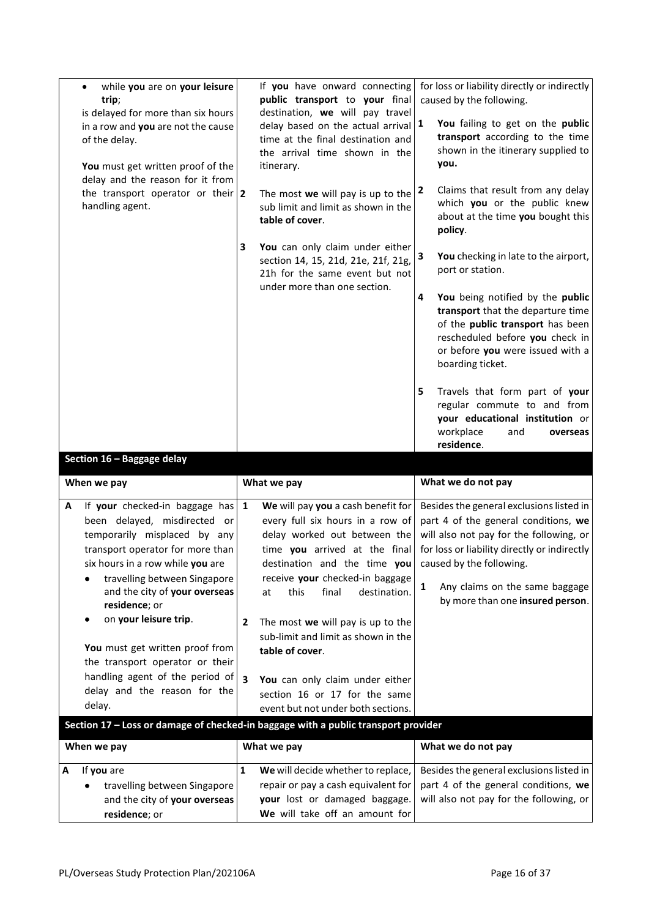| while you are on your leisure<br>trip;<br>is delayed for more than six hours<br>in a row and you are not the cause<br>of the delay.<br>You must get written proof of the<br>delay and the reason for it from<br>the transport operator or their $ 2 $<br>handling agent.                                                                                                                        | If you have onward connecting<br>public transport to your final<br>destination, we will pay travel<br>delay based on the actual arrival $ 1$<br>time at the final destination and<br>the arrival time shown in the<br>itinerary.<br>The most we will pay is up to the<br>sub limit and limit as shown in the                                                                                                                                   | for loss or liability directly or indirectly<br>caused by the following.<br>You failing to get on the public<br>transport according to the time<br>shown in the itinerary supplied to<br>you.<br>Claims that result from any delay<br>  2<br>which you or the public knew          |
|-------------------------------------------------------------------------------------------------------------------------------------------------------------------------------------------------------------------------------------------------------------------------------------------------------------------------------------------------------------------------------------------------|------------------------------------------------------------------------------------------------------------------------------------------------------------------------------------------------------------------------------------------------------------------------------------------------------------------------------------------------------------------------------------------------------------------------------------------------|------------------------------------------------------------------------------------------------------------------------------------------------------------------------------------------------------------------------------------------------------------------------------------|
|                                                                                                                                                                                                                                                                                                                                                                                                 | table of cover.                                                                                                                                                                                                                                                                                                                                                                                                                                | about at the time you bought this<br>policy.                                                                                                                                                                                                                                       |
|                                                                                                                                                                                                                                                                                                                                                                                                 | 3<br>You can only claim under either<br>section 14, 15, 21d, 21e, 21f, 21g,<br>21h for the same event but not<br>under more than one section.                                                                                                                                                                                                                                                                                                  | You checking in late to the airport,<br>3<br>port or station.                                                                                                                                                                                                                      |
|                                                                                                                                                                                                                                                                                                                                                                                                 |                                                                                                                                                                                                                                                                                                                                                                                                                                                | You being notified by the public<br>4<br>transport that the departure time<br>of the public transport has been<br>rescheduled before you check in<br>or before you were issued with a<br>boarding ticket.                                                                          |
|                                                                                                                                                                                                                                                                                                                                                                                                 |                                                                                                                                                                                                                                                                                                                                                                                                                                                | 5<br>Travels that form part of your<br>regular commute to and from<br>your educational institution or<br>workplace<br>and<br>overseas                                                                                                                                              |
|                                                                                                                                                                                                                                                                                                                                                                                                 |                                                                                                                                                                                                                                                                                                                                                                                                                                                | residence.                                                                                                                                                                                                                                                                         |
| Section 16 - Baggage delay                                                                                                                                                                                                                                                                                                                                                                      |                                                                                                                                                                                                                                                                                                                                                                                                                                                |                                                                                                                                                                                                                                                                                    |
| When we pay                                                                                                                                                                                                                                                                                                                                                                                     | What we pay                                                                                                                                                                                                                                                                                                                                                                                                                                    | What we do not pay                                                                                                                                                                                                                                                                 |
| If your checked-in baggage has<br>Α<br>been delayed, misdirected or<br>temporarily misplaced by any<br>transport operator for more than<br>six hours in a row while you are<br>travelling between Singapore<br>and the city of your overseas<br>residence; or<br>on your leisure trip.<br>You must get written proof from<br>the transport operator or their<br>handling agent of the period of | $\mathbf{1}$<br>We will pay you a cash benefit for<br>every full six hours in a row of<br>delay worked out between the<br>time you arrived at the final<br>destination and the time you<br>receive your checked-in baggage<br>this<br>final<br>destination.<br>at<br>The most we will pay is up to the<br>$\mathbf{2}$<br>sub-limit and limit as shown in the<br>table of cover.<br>$\overline{\mathbf{3}}$<br>You can only claim under either | Besides the general exclusions listed in<br>part 4 of the general conditions, we<br>will also not pay for the following, or<br>for loss or liability directly or indirectly<br>caused by the following.<br>Any claims on the same baggage<br>1<br>by more than one insured person. |
| delay and the reason for the                                                                                                                                                                                                                                                                                                                                                                    | section 16 or 17 for the same                                                                                                                                                                                                                                                                                                                                                                                                                  |                                                                                                                                                                                                                                                                                    |
| delay.                                                                                                                                                                                                                                                                                                                                                                                          | event but not under both sections.                                                                                                                                                                                                                                                                                                                                                                                                             |                                                                                                                                                                                                                                                                                    |
|                                                                                                                                                                                                                                                                                                                                                                                                 | Section 17 - Loss or damage of checked-in baggage with a public transport provider                                                                                                                                                                                                                                                                                                                                                             |                                                                                                                                                                                                                                                                                    |
| When we pay                                                                                                                                                                                                                                                                                                                                                                                     | What we pay                                                                                                                                                                                                                                                                                                                                                                                                                                    | What we do not pay                                                                                                                                                                                                                                                                 |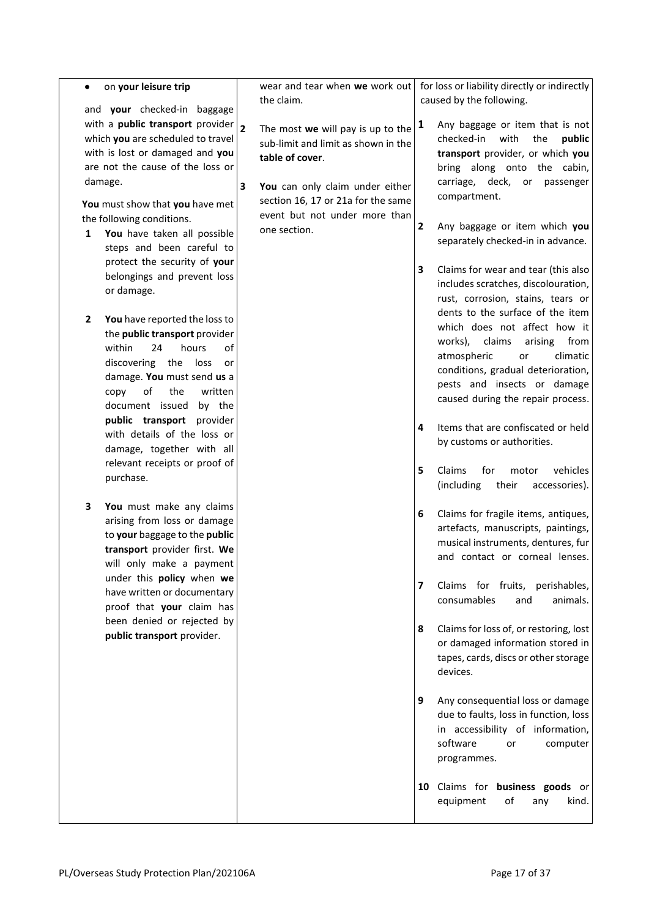| ٠              | on your leisure trip                                            |                         | wear and tear when we work out      |              | for loss or liability directly or indirectly                           |
|----------------|-----------------------------------------------------------------|-------------------------|-------------------------------------|--------------|------------------------------------------------------------------------|
|                |                                                                 |                         | the claim.                          |              | caused by the following.                                               |
|                | and your checked-in baggage<br>with a public transport provider |                         |                                     | 1            |                                                                        |
|                | which you are scheduled to travel                               | $\overline{\mathbf{2}}$ | The most we will pay is up to the   |              | Any baggage or item that is not<br>checked-in<br>with<br>the<br>public |
|                | with is lost or damaged and you                                 |                         | sub-limit and limit as shown in the |              | transport provider, or which you                                       |
|                | are not the cause of the loss or                                |                         | table of cover.                     |              | bring along onto the cabin,                                            |
|                | damage.                                                         |                         |                                     |              | carriage, deck, or passenger                                           |
|                |                                                                 | 3                       | You can only claim under either     |              | compartment.                                                           |
|                | You must show that you have met                                 |                         | section 16, 17 or 21a for the same  |              |                                                                        |
|                | the following conditions.                                       |                         | event but not under more than       | $\mathbf{2}$ | Any baggage or item which you                                          |
| 1              | You have taken all possible                                     |                         | one section.                        |              | separately checked-in in advance.                                      |
|                | steps and been careful to                                       |                         |                                     |              |                                                                        |
|                | protect the security of your                                    |                         |                                     | 3            | Claims for wear and tear (this also                                    |
|                | belongings and prevent loss                                     |                         |                                     |              | includes scratches, discolouration,                                    |
|                | or damage.                                                      |                         |                                     |              | rust, corrosion, stains, tears or                                      |
|                |                                                                 |                         |                                     |              | dents to the surface of the item                                       |
| $\overline{2}$ | You have reported the loss to                                   |                         |                                     |              | which does not affect how it                                           |
|                | the public transport provider<br>within<br>24                   |                         |                                     |              | claims<br>works),<br>arising<br>from                                   |
|                | hours<br>of<br>discovering the loss<br>or                       |                         |                                     |              | atmospheric<br>climatic<br>or                                          |
|                | damage. You must send us a                                      |                         |                                     |              | conditions, gradual deterioration,                                     |
|                | of<br>the<br>written<br>copy                                    |                         |                                     |              | pests and insects or damage                                            |
|                | document issued<br>by the                                       |                         |                                     |              | caused during the repair process.                                      |
|                | public transport provider                                       |                         |                                     |              |                                                                        |
|                | with details of the loss or                                     |                         |                                     | 4            | Items that are confiscated or held                                     |
|                | damage, together with all                                       |                         |                                     |              | by customs or authorities.                                             |
|                | relevant receipts or proof of                                   |                         |                                     |              |                                                                        |
|                | purchase.                                                       |                         |                                     | 5            | Claims<br>for<br>vehicles<br>motor                                     |
|                |                                                                 |                         |                                     |              | (including<br>their<br>accessories).                                   |
| 3              | You must make any claims                                        |                         |                                     | 6            | Claims for fragile items, antiques,                                    |
|                | arising from loss or damage                                     |                         |                                     |              | artefacts, manuscripts, paintings,                                     |
|                | to your baggage to the public                                   |                         |                                     |              | musical instruments, dentures, fur                                     |
|                | transport provider first. We                                    |                         |                                     |              | and contact or corneal lenses.                                         |
|                | will only make a payment                                        |                         |                                     |              |                                                                        |
|                | under this policy when we                                       |                         |                                     | 7            | Claims for fruits, perishables,                                        |
|                | have written or documentary                                     |                         |                                     |              | consumables<br>and<br>animals.                                         |
|                | proof that your claim has<br>been denied or rejected by         |                         |                                     |              |                                                                        |
|                | public transport provider.                                      |                         |                                     | 8            | Claims for loss of, or restoring, lost                                 |
|                |                                                                 |                         |                                     |              | or damaged information stored in                                       |
|                |                                                                 |                         |                                     |              | tapes, cards, discs or other storage                                   |
|                |                                                                 |                         |                                     |              | devices.                                                               |
|                |                                                                 |                         |                                     |              |                                                                        |
|                |                                                                 |                         |                                     | 9            | Any consequential loss or damage                                       |
|                |                                                                 |                         |                                     |              | due to faults, loss in function, loss                                  |
|                |                                                                 |                         |                                     |              | in accessibility of information,                                       |
|                |                                                                 |                         |                                     |              | software<br>computer<br>or                                             |
|                |                                                                 |                         |                                     |              | programmes.                                                            |
|                |                                                                 |                         |                                     |              |                                                                        |
|                |                                                                 |                         |                                     |              |                                                                        |
|                |                                                                 |                         |                                     |              |                                                                        |
|                |                                                                 |                         |                                     |              | 10 Claims for business goods or<br>of<br>equipment<br>kind.<br>any     |
|                |                                                                 |                         |                                     |              |                                                                        |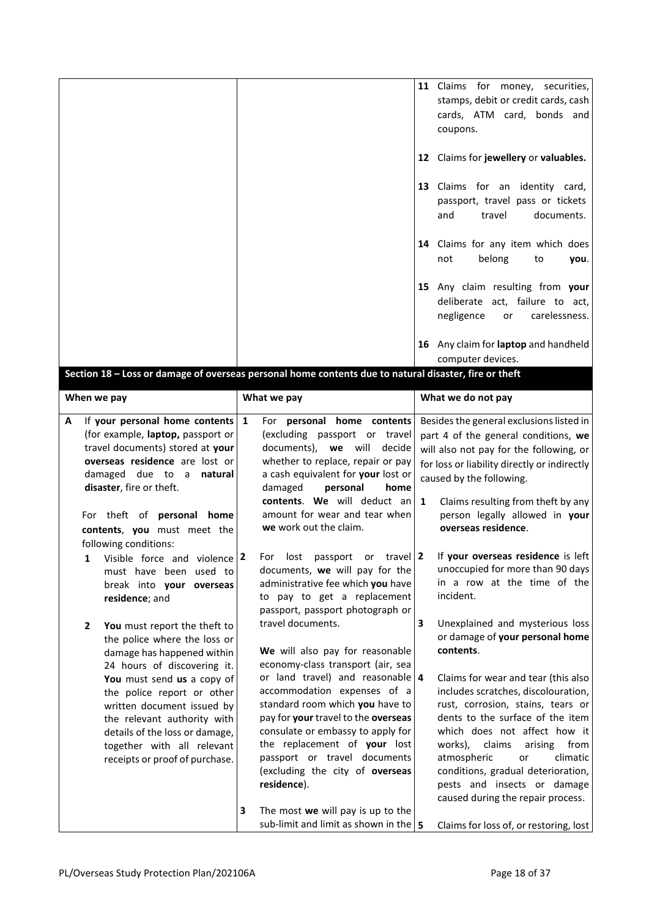|                                                                                                                                                                                                                                                                                                                                                                                                                                                                                                                                                                                                                                                                                                                                                                                  |                                                                                                                                                                                                                                                                                                                                                                                                                                                                                                                                                                                                                                                                                                                                                                                                                                                                                                 | 11 Claims for money, securities,<br>stamps, debit or credit cards, cash<br>cards, ATM card, bonds and<br>coupons.<br>12 Claims for jewellery or valuables.<br>13 Claims for an identity card,<br>passport, travel pass or tickets<br>and<br>travel<br>documents.<br>14 Claims for any item which does<br>belong<br>not<br>to<br>you.<br>15 Any claim resulting from your<br>deliberate act, failure to act,<br>negligence<br>carelessness.<br>or<br>16 Any claim for laptop and handheld                                                                                                                                                                                                                                                                                                                                                |
|----------------------------------------------------------------------------------------------------------------------------------------------------------------------------------------------------------------------------------------------------------------------------------------------------------------------------------------------------------------------------------------------------------------------------------------------------------------------------------------------------------------------------------------------------------------------------------------------------------------------------------------------------------------------------------------------------------------------------------------------------------------------------------|-------------------------------------------------------------------------------------------------------------------------------------------------------------------------------------------------------------------------------------------------------------------------------------------------------------------------------------------------------------------------------------------------------------------------------------------------------------------------------------------------------------------------------------------------------------------------------------------------------------------------------------------------------------------------------------------------------------------------------------------------------------------------------------------------------------------------------------------------------------------------------------------------|-----------------------------------------------------------------------------------------------------------------------------------------------------------------------------------------------------------------------------------------------------------------------------------------------------------------------------------------------------------------------------------------------------------------------------------------------------------------------------------------------------------------------------------------------------------------------------------------------------------------------------------------------------------------------------------------------------------------------------------------------------------------------------------------------------------------------------------------|
|                                                                                                                                                                                                                                                                                                                                                                                                                                                                                                                                                                                                                                                                                                                                                                                  | Section 18 - Loss or damage of overseas personal home contents due to natural disaster, fire or theft                                                                                                                                                                                                                                                                                                                                                                                                                                                                                                                                                                                                                                                                                                                                                                                           | computer devices.                                                                                                                                                                                                                                                                                                                                                                                                                                                                                                                                                                                                                                                                                                                                                                                                                       |
|                                                                                                                                                                                                                                                                                                                                                                                                                                                                                                                                                                                                                                                                                                                                                                                  |                                                                                                                                                                                                                                                                                                                                                                                                                                                                                                                                                                                                                                                                                                                                                                                                                                                                                                 |                                                                                                                                                                                                                                                                                                                                                                                                                                                                                                                                                                                                                                                                                                                                                                                                                                         |
| When we pay                                                                                                                                                                                                                                                                                                                                                                                                                                                                                                                                                                                                                                                                                                                                                                      | What we pay                                                                                                                                                                                                                                                                                                                                                                                                                                                                                                                                                                                                                                                                                                                                                                                                                                                                                     | What we do not pay                                                                                                                                                                                                                                                                                                                                                                                                                                                                                                                                                                                                                                                                                                                                                                                                                      |
| If your personal home contents<br>А<br>(for example, laptop, passport or<br>travel documents) stored at your<br>overseas residence are lost or<br>damaged due to a<br>natural<br>disaster, fire or theft.<br>For theft of <b>personal home</b><br>contents, you must meet the<br>following conditions:<br>Visible force and violence 2<br>1<br>must have been used to<br>break into your overseas<br>residence; and<br>2<br>You must report the theft to<br>the police where the loss or<br>damage has happened within<br>24 hours of discovering it.<br>You must send us a copy of<br>the police report or other<br>written document issued by<br>the relevant authority with<br>details of the loss or damage,<br>together with all relevant<br>receipts or proof of purchase. | $\mathbf{1}$<br>For personal home contents<br>(excluding passport or travel<br>documents), we will<br>decide<br>whether to replace, repair or pay<br>a cash equivalent for your lost or<br>damaged<br>personal<br>home<br>contents. We will deduct an<br>amount for wear and tear when<br>we work out the claim.<br>travel   $2$<br>For<br>lost<br>passport<br>or<br>documents, we will pay for the<br>administrative fee which you have<br>to pay to get a replacement<br>passport, passport photograph or<br>travel documents.<br>We will also pay for reasonable<br>economy-class transport (air, sea<br>or land travel) and reasonable $4$<br>accommodation expenses of a<br>standard room which you have to<br>pay for your travel to the overseas<br>consulate or embassy to apply for<br>the replacement of your lost<br>passport or travel documents<br>(excluding the city of overseas | Besides the general exclusions listed in<br>part 4 of the general conditions, we<br>will also not pay for the following, or<br>for loss or liability directly or indirectly<br>caused by the following.<br>Claims resulting from theft by any<br>$\mathbf{1}$<br>person legally allowed in your<br>overseas residence.<br>If your overseas residence is left<br>unoccupied for more than 90 days<br>in a row at the time of the<br>incident.<br>Unexplained and mysterious loss<br>3<br>or damage of your personal home<br>contents.<br>Claims for wear and tear (this also<br>includes scratches, discolouration,<br>rust, corrosion, stains, tears or<br>dents to the surface of the item<br>which does not affect how it<br>works), claims<br>arising<br>from<br>atmospheric<br>climatic<br>or<br>conditions, gradual deterioration, |
|                                                                                                                                                                                                                                                                                                                                                                                                                                                                                                                                                                                                                                                                                                                                                                                  | residence).<br>$\overline{\mathbf{3}}$<br>The most we will pay is up to the<br>sub-limit and limit as shown in the $\vert$ 5                                                                                                                                                                                                                                                                                                                                                                                                                                                                                                                                                                                                                                                                                                                                                                    | pests and insects or damage<br>caused during the repair process.<br>Claims for loss of, or restoring, lost                                                                                                                                                                                                                                                                                                                                                                                                                                                                                                                                                                                                                                                                                                                              |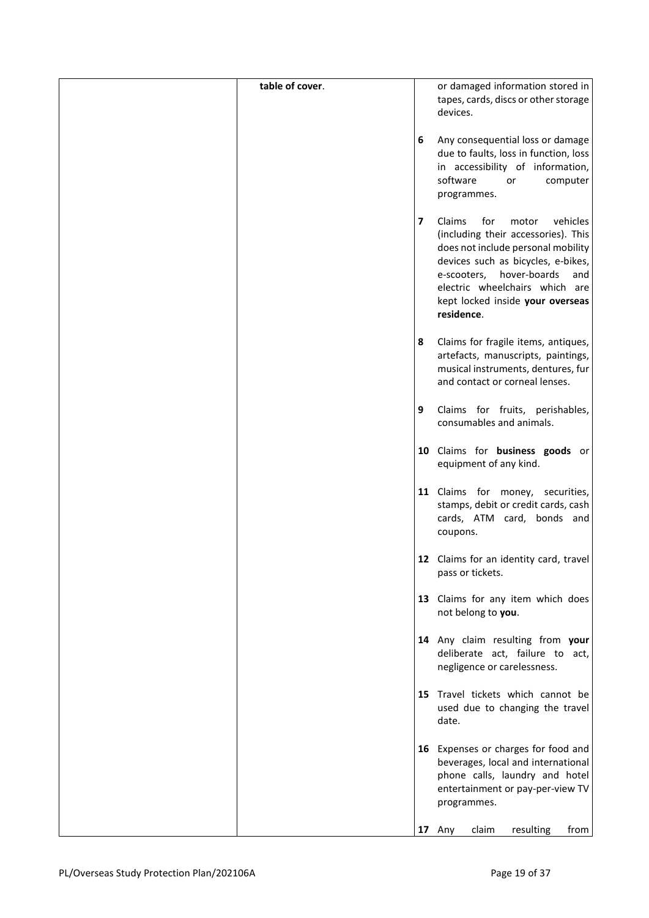| table of cover. |                         | or damaged information stored in                                          |
|-----------------|-------------------------|---------------------------------------------------------------------------|
|                 |                         | tapes, cards, discs or other storage<br>devices.                          |
|                 | 6                       | Any consequential loss or damage                                          |
|                 |                         | due to faults, loss in function, loss                                     |
|                 |                         | in accessibility of information,<br>software<br>computer<br>or            |
|                 |                         | programmes.                                                               |
|                 | $\overline{\mathbf{z}}$ | Claims<br>for<br>vehicles<br>motor                                        |
|                 |                         | (including their accessories). This<br>does not include personal mobility |
|                 |                         | devices such as bicycles, e-bikes,                                        |
|                 |                         | hover-boards<br>e-scooters,<br>and<br>electric wheelchairs which are      |
|                 |                         | kept locked inside your overseas                                          |
|                 |                         | residence.                                                                |
|                 | 8                       | Claims for fragile items, antiques,                                       |
|                 |                         | artefacts, manuscripts, paintings,<br>musical instruments, dentures, fur  |
|                 |                         | and contact or corneal lenses.                                            |
|                 | 9                       | Claims for fruits, perishables,                                           |
|                 |                         | consumables and animals.                                                  |
|                 |                         | 10 Claims for business goods or<br>equipment of any kind.                 |
|                 |                         |                                                                           |
|                 |                         | 11 Claims for money, securities,                                          |
|                 |                         | stamps, debit or credit cards, cash<br>cards, ATM card, bonds and         |
|                 |                         | coupons.                                                                  |
|                 |                         | 12 Claims for an identity card, travel<br>pass or tickets.                |
|                 |                         |                                                                           |
|                 |                         | 13 Claims for any item which does<br>not belong to you.                   |
|                 |                         | 14 Any claim resulting from your                                          |
|                 |                         | deliberate act, failure to act,<br>negligence or carelessness.            |
|                 |                         | 15 Travel tickets which cannot be                                         |
|                 |                         | used due to changing the travel                                           |
|                 |                         | date.                                                                     |
|                 |                         | 16 Expenses or charges for food and                                       |
|                 |                         | beverages, local and international<br>phone calls, laundry and hotel      |
|                 |                         | entertainment or pay-per-view TV<br>programmes.                           |
|                 |                         |                                                                           |
|                 |                         | claim<br>resulting<br>17 Any<br>from                                      |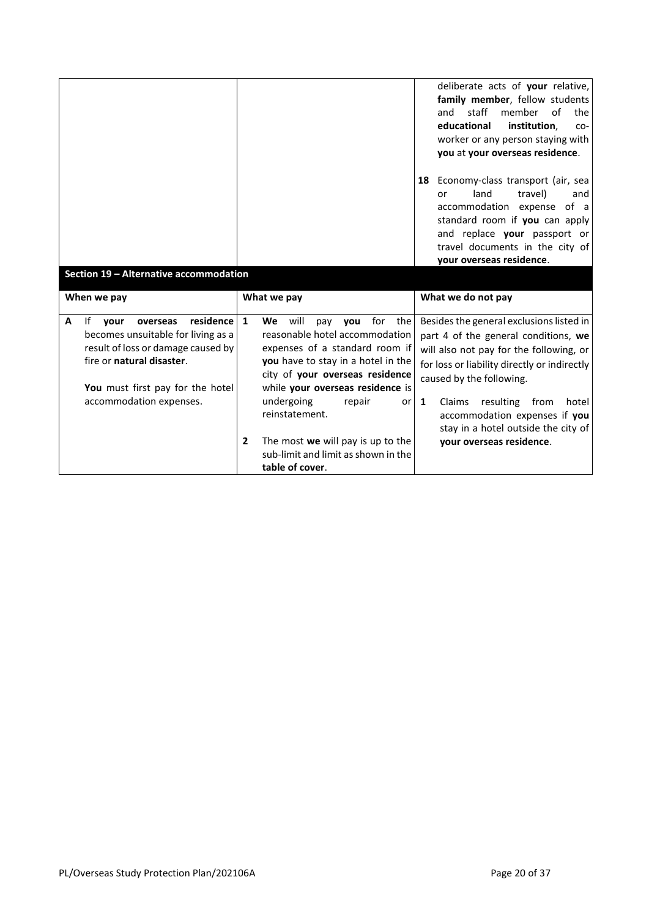|                                                                                                                                                                                                                   |                                                                                                                                                                                                                                                                                                                                                                                                       | deliberate acts of your relative,<br>family member, fellow students<br>staff<br>member<br>of<br>and<br>the<br>educational<br>institution.<br>CO-<br>worker or any person staying with<br>you at your overseas residence.                                                                                                                                         |
|-------------------------------------------------------------------------------------------------------------------------------------------------------------------------------------------------------------------|-------------------------------------------------------------------------------------------------------------------------------------------------------------------------------------------------------------------------------------------------------------------------------------------------------------------------------------------------------------------------------------------------------|------------------------------------------------------------------------------------------------------------------------------------------------------------------------------------------------------------------------------------------------------------------------------------------------------------------------------------------------------------------|
| Section 19 - Alternative accommodation                                                                                                                                                                            |                                                                                                                                                                                                                                                                                                                                                                                                       | Economy-class transport (air, sea<br>18<br>land<br>travel)<br>or<br>and<br>accommodation expense<br>of a<br>standard room if you can apply<br>and replace your passport or<br>travel documents in the city of<br>your overseas residence.                                                                                                                        |
| When we pay                                                                                                                                                                                                       | What we pay                                                                                                                                                                                                                                                                                                                                                                                           | What we do not pay                                                                                                                                                                                                                                                                                                                                               |
| residence<br>A<br>lf.<br>vour<br>overseas<br>becomes unsuitable for living as a<br>result of loss or damage caused by<br>fire or natural disaster.<br>You must first pay for the hotel<br>accommodation expenses. | $\mathbf{1}$<br>for<br>We<br>will<br>the<br>pay you<br>reasonable hotel accommodation<br>expenses of a standard room if<br>you have to stay in a hotel in the<br>city of your overseas residence<br>while your overseas residence is<br>undergoing<br>repair<br>or<br>reinstatement.<br>The most we will pay is up to the<br>$\overline{2}$<br>sub-limit and limit as shown in the<br>table of cover. | Besides the general exclusions listed in<br>part 4 of the general conditions, we<br>will also not pay for the following, or<br>for loss or liability directly or indirectly<br>caused by the following.<br>$\mathbf{1}$<br>Claims<br>resulting from<br>hotel<br>accommodation expenses if you<br>stay in a hotel outside the city of<br>your overseas residence. |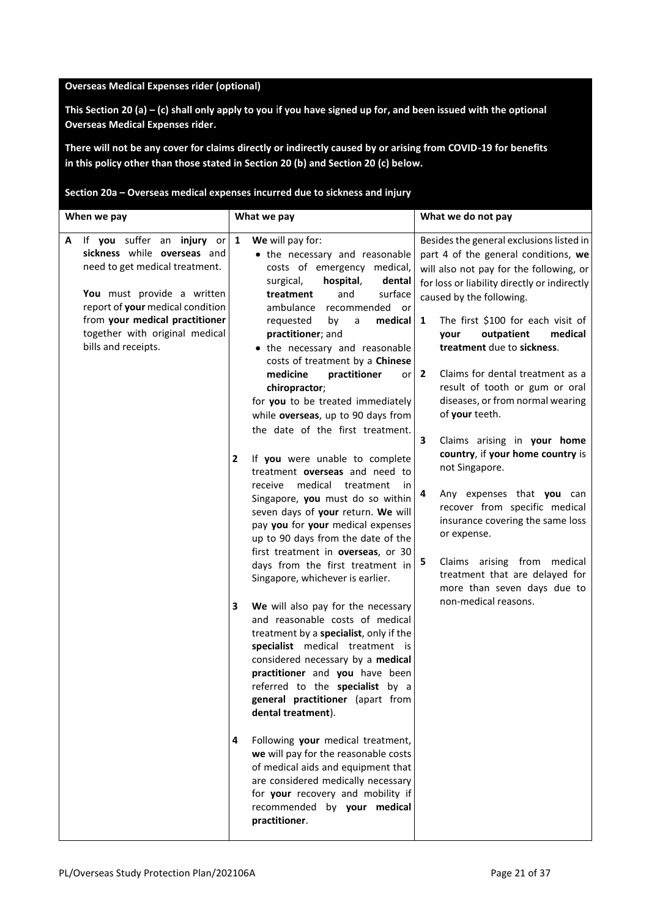#### **Overseas Medical Expenses rider (optional)**

**This Section 20 (a) – (c) shall only apply to you** i**f you have signed up for, and been issued with the optional Overseas Medical Expenses rider.**

**There will not be any cover for claims directly or indirectly caused by or arising from COVID-19 for benefits in this policy other than those stated in Section 20 (b) and Section 20 (c) below.**

**Section 20a – Overseas medical expenses incurred due to sickness and injury**

| When we pay                                                                                                                                                                                                                                                       | What we pay                                                                                                                                                                                                                                                                                                                                                                                                                                      | What we do not pay                                                                                                                                                                                                                                                                                                                                                                                                                                           |
|-------------------------------------------------------------------------------------------------------------------------------------------------------------------------------------------------------------------------------------------------------------------|--------------------------------------------------------------------------------------------------------------------------------------------------------------------------------------------------------------------------------------------------------------------------------------------------------------------------------------------------------------------------------------------------------------------------------------------------|--------------------------------------------------------------------------------------------------------------------------------------------------------------------------------------------------------------------------------------------------------------------------------------------------------------------------------------------------------------------------------------------------------------------------------------------------------------|
| If you suffer an injury or $1$<br>A<br>sickness while overseas and<br>need to get medical treatment.<br>You must provide a written<br>report of your medical condition<br>from your medical practitioner<br>together with original medical<br>bills and receipts. | We will pay for:<br>• the necessary and reasonable<br>costs of emergency medical,<br>surgical,<br>hospital,<br>dental<br>surface<br>treatment<br>and<br>ambulance<br>recommended<br>or<br>medical<br>requested<br>by<br>a<br>practitioner; and<br>the necessary and reasonable<br>costs of treatment by a Chinese<br>medicine<br>practitioner<br>orl<br>chiropractor;<br>for you to be treated immediately<br>while overseas, up to 90 days from | Besides the general exclusions listed in<br>part 4 of the general conditions, we<br>will also not pay for the following, or<br>for loss or liability directly or indirectly<br>caused by the following.<br>The first \$100 for each visit of<br>1<br>outpatient<br>medical<br>your<br>treatment due to sickness.<br>Claims for dental treatment as a<br>$\mathbf{2}$<br>result of tooth or gum or oral<br>diseases, or from normal wearing<br>of your teeth. |
|                                                                                                                                                                                                                                                                   | the date of the first treatment.<br>If you were unable to complete<br>$\overline{2}$<br>treatment overseas and need to<br>medical<br>receive<br>treatment<br>in<br>Singapore, you must do so within<br>seven days of your return. We will<br>pay you for your medical expenses<br>up to 90 days from the date of the<br>first treatment in overseas, or 30<br>days from the first treatment in<br>Singapore, whichever is earlier.               | 3<br>Claims arising in your home<br>country, if your home country is<br>not Singapore.<br>4<br>Any expenses that you can<br>recover from specific medical<br>insurance covering the same loss<br>or expense.<br>Claims arising from medical<br>5<br>treatment that are delayed for<br>more than seven days due to                                                                                                                                            |
|                                                                                                                                                                                                                                                                   | 3<br>We will also pay for the necessary<br>and reasonable costs of medical<br>treatment by a specialist, only if the<br>specialist medical treatment is<br>considered necessary by a medical<br>practitioner and you have been<br>referred to the specialist by a<br>general practitioner (apart from<br>dental treatment).                                                                                                                      | non-medical reasons.                                                                                                                                                                                                                                                                                                                                                                                                                                         |
|                                                                                                                                                                                                                                                                   | Following your medical treatment,<br>4<br>we will pay for the reasonable costs<br>of medical aids and equipment that<br>are considered medically necessary<br>for your recovery and mobility if<br>recommended by your medical<br>practitioner.                                                                                                                                                                                                  |                                                                                                                                                                                                                                                                                                                                                                                                                                                              |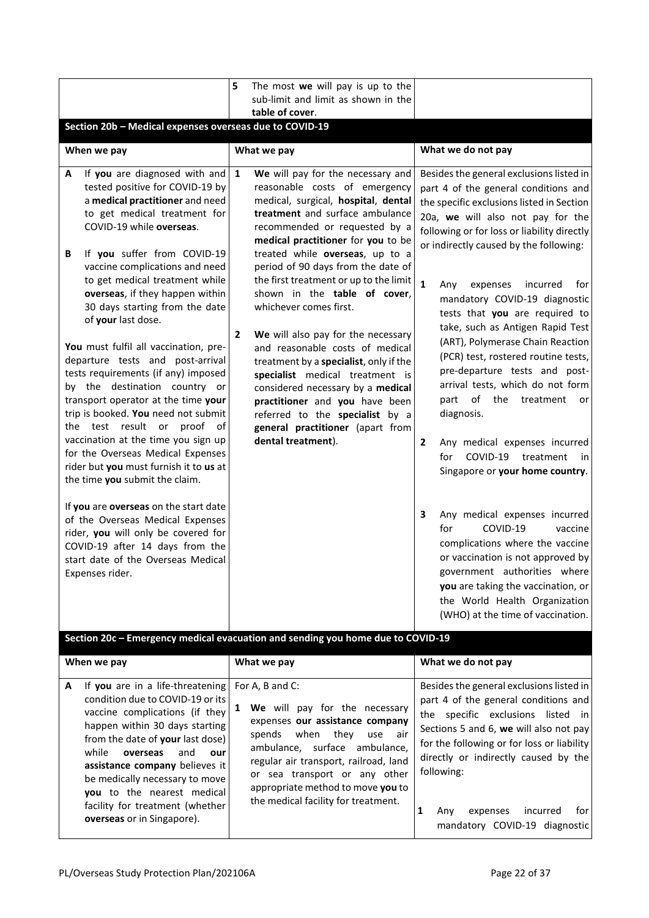|                                                                                                                                                                                                                                                                                                                                                                                                                                                                                                                                                                                                                                                                                                                                                                                                                                                                                                                                                                                                                   | 5                                  | The most we will pay is up to the<br>sub-limit and limit as shown in the<br>table of cover.                                                                                                                                                                                                                                                                                                                                                                                                                                                                                                                                                                                                                                |                                                                                                                                                                                                                                                                                                                                                                                                                                                                                                                                                                                                                                                                                                                                                                                                                                                                                                                                                                                                                                                  |
|-------------------------------------------------------------------------------------------------------------------------------------------------------------------------------------------------------------------------------------------------------------------------------------------------------------------------------------------------------------------------------------------------------------------------------------------------------------------------------------------------------------------------------------------------------------------------------------------------------------------------------------------------------------------------------------------------------------------------------------------------------------------------------------------------------------------------------------------------------------------------------------------------------------------------------------------------------------------------------------------------------------------|------------------------------------|----------------------------------------------------------------------------------------------------------------------------------------------------------------------------------------------------------------------------------------------------------------------------------------------------------------------------------------------------------------------------------------------------------------------------------------------------------------------------------------------------------------------------------------------------------------------------------------------------------------------------------------------------------------------------------------------------------------------------|--------------------------------------------------------------------------------------------------------------------------------------------------------------------------------------------------------------------------------------------------------------------------------------------------------------------------------------------------------------------------------------------------------------------------------------------------------------------------------------------------------------------------------------------------------------------------------------------------------------------------------------------------------------------------------------------------------------------------------------------------------------------------------------------------------------------------------------------------------------------------------------------------------------------------------------------------------------------------------------------------------------------------------------------------|
| Section 20b - Medical expenses overseas due to COVID-19                                                                                                                                                                                                                                                                                                                                                                                                                                                                                                                                                                                                                                                                                                                                                                                                                                                                                                                                                           |                                    |                                                                                                                                                                                                                                                                                                                                                                                                                                                                                                                                                                                                                                                                                                                            |                                                                                                                                                                                                                                                                                                                                                                                                                                                                                                                                                                                                                                                                                                                                                                                                                                                                                                                                                                                                                                                  |
| When we pay                                                                                                                                                                                                                                                                                                                                                                                                                                                                                                                                                                                                                                                                                                                                                                                                                                                                                                                                                                                                       |                                    | What we pay                                                                                                                                                                                                                                                                                                                                                                                                                                                                                                                                                                                                                                                                                                                | What we do not pay                                                                                                                                                                                                                                                                                                                                                                                                                                                                                                                                                                                                                                                                                                                                                                                                                                                                                                                                                                                                                               |
| If you are diagnosed with and<br>A<br>tested positive for COVID-19 by<br>a medical practitioner and need<br>to get medical treatment for<br>COVID-19 while overseas.<br>If you suffer from COVID-19<br>B<br>vaccine complications and need<br>to get medical treatment while<br>overseas, if they happen within<br>30 days starting from the date<br>of your last dose.<br>You must fulfil all vaccination, pre-<br>departure tests and post-arrival<br>tests requirements (if any) imposed<br>by the destination country or<br>transport operator at the time your<br>trip is booked. You need not submit<br>test result or proof<br>the<br>vaccination at the time you sign up<br>for the Overseas Medical Expenses<br>rider but you must furnish it to us at<br>the time you submit the claim.<br>If you are overseas on the start date<br>of the Overseas Medical Expenses<br>rider, you will only be covered for<br>COVID-19 after 14 days from the<br>start date of the Overseas Medical<br>Expenses rider. | $\mathbf{1}$<br>$\mathbf{2}$<br>of | We will pay for the necessary and<br>reasonable costs of emergency<br>medical, surgical, hospital, dental<br>treatment and surface ambulance<br>recommended or requested by a<br>medical practitioner for you to be<br>treated while overseas, up to a<br>period of 90 days from the date of<br>the first treatment or up to the limit<br>shown in the table of cover,<br>whichever comes first.<br>We will also pay for the necessary<br>and reasonable costs of medical<br>treatment by a specialist, only if the<br>specialist medical treatment is<br>considered necessary by a medical<br>practitioner and you have been<br>referred to the specialist by a<br>general practitioner (apart from<br>dental treatment). | Besides the general exclusions listed in<br>part 4 of the general conditions and<br>the specific exclusions listed in Section<br>20a, we will also not pay for the<br>following or for loss or liability directly<br>or indirectly caused by the following:<br>$\mathbf{1}$<br>incurred<br>for<br>Any<br>expenses<br>mandatory COVID-19 diagnostic<br>tests that you are required to<br>take, such as Antigen Rapid Test<br>(ART), Polymerase Chain Reaction<br>(PCR) test, rostered routine tests,<br>pre-departure tests and post-<br>arrival tests, which do not form<br>of<br>the<br>part<br>treatment<br>or<br>diagnosis.<br>$\mathbf{2}$<br>Any medical expenses incurred<br>COVID-19<br>treatment<br>for<br>in<br>Singapore or your home country.<br>Any medical expenses incurred<br>3<br>COVID-19<br>for<br>vaccine<br>complications where the vaccine<br>or vaccination is not approved by<br>government authorities where<br>you are taking the vaccination, or<br>the World Health Organization<br>(WHO) at the time of vaccination. |
|                                                                                                                                                                                                                                                                                                                                                                                                                                                                                                                                                                                                                                                                                                                                                                                                                                                                                                                                                                                                                   |                                    | Section 20c - Emergency medical evacuation and sending you home due to COVID-19                                                                                                                                                                                                                                                                                                                                                                                                                                                                                                                                                                                                                                            |                                                                                                                                                                                                                                                                                                                                                                                                                                                                                                                                                                                                                                                                                                                                                                                                                                                                                                                                                                                                                                                  |
| When we pay                                                                                                                                                                                                                                                                                                                                                                                                                                                                                                                                                                                                                                                                                                                                                                                                                                                                                                                                                                                                       |                                    | What we pay                                                                                                                                                                                                                                                                                                                                                                                                                                                                                                                                                                                                                                                                                                                | What we do not pay                                                                                                                                                                                                                                                                                                                                                                                                                                                                                                                                                                                                                                                                                                                                                                                                                                                                                                                                                                                                                               |
| If you are in a life-threatening<br>A<br>condition due to COVID-19 or its                                                                                                                                                                                                                                                                                                                                                                                                                                                                                                                                                                                                                                                                                                                                                                                                                                                                                                                                         |                                    | For A, B and C:                                                                                                                                                                                                                                                                                                                                                                                                                                                                                                                                                                                                                                                                                                            | Besides the general exclusions listed in<br>part 4 of the general conditions and                                                                                                                                                                                                                                                                                                                                                                                                                                                                                                                                                                                                                                                                                                                                                                                                                                                                                                                                                                 |

| А<br>If you are in a life-threatening $\mathsf{For } A$ , B and C:<br>condition due to COVID-19 or its<br>We will pay for the necessary<br>vaccine complications (if they<br>expenses our assistance company<br>happen within 30 days starting<br>thev<br>when<br>spends<br>use<br>air<br>from the date of your last dose)<br>ambulance, surface ambulance,<br>while<br>overseas<br>and<br>our<br>regular air transport, railroad, land<br>assistance company believes it<br>following:<br>or sea transport or any other<br>be medically necessary to move<br>appropriate method to move you to<br><b>you</b> to the nearest medical<br>the medical facility for treatment.<br>facility for treatment (whether)<br>expenses<br>Anv<br><b>overseas</b> or in Singapore). | Besides the general exclusions listed in<br>part 4 of the general conditions and<br>the specific exclusions listed in<br>Sections 5 and 6, we will also not pay<br>for the following or for loss or liability<br>directly or indirectly caused by the<br>for<br>incurred<br>mandatory COVID-19 diagnostic |
|-------------------------------------------------------------------------------------------------------------------------------------------------------------------------------------------------------------------------------------------------------------------------------------------------------------------------------------------------------------------------------------------------------------------------------------------------------------------------------------------------------------------------------------------------------------------------------------------------------------------------------------------------------------------------------------------------------------------------------------------------------------------------|-----------------------------------------------------------------------------------------------------------------------------------------------------------------------------------------------------------------------------------------------------------------------------------------------------------|
|-------------------------------------------------------------------------------------------------------------------------------------------------------------------------------------------------------------------------------------------------------------------------------------------------------------------------------------------------------------------------------------------------------------------------------------------------------------------------------------------------------------------------------------------------------------------------------------------------------------------------------------------------------------------------------------------------------------------------------------------------------------------------|-----------------------------------------------------------------------------------------------------------------------------------------------------------------------------------------------------------------------------------------------------------------------------------------------------------|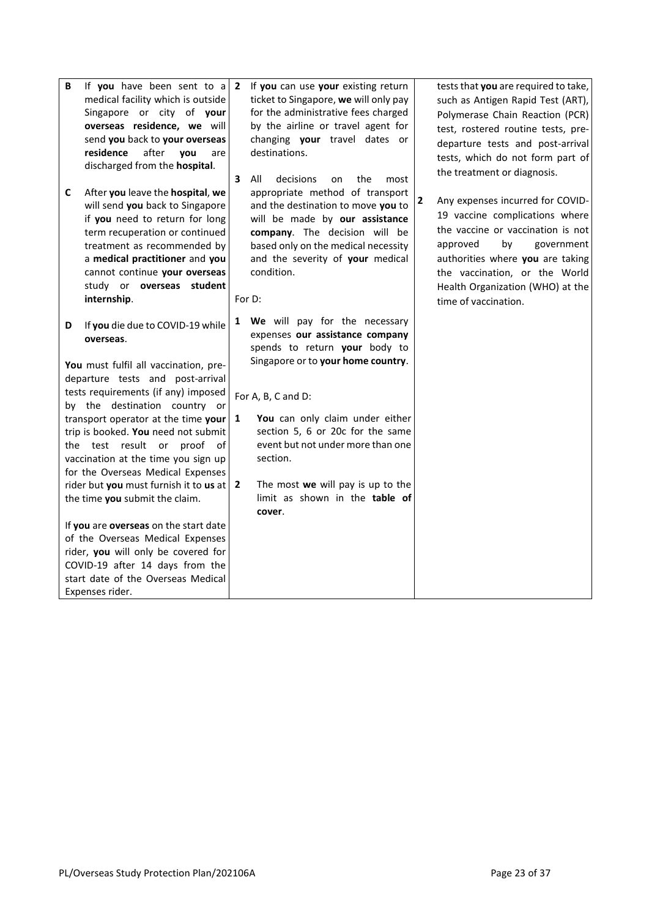**C** After **you** leave the **hospital**, **we**  will send **you** back to Singapore if **you** need to return for long term recuperation or continued treatment as recommended by a **medical practitioner** and **you**  cannot continue **your overseas**  study or **overseas student internship**.

**D** If **you** die due to COVID-19 while **overseas**.

**You** must fulfil all vaccination, predeparture tests and post-arrival tests requirements (if any) imposed by the destination country or transport operator at the time **your** trip is booked. **You** need not submit the test result or proof of vaccination at the time you sign up for the Overseas Medical Expenses rider but **you** must furnish it to **us** at the time **you** submit the claim.

If **you** are **overseas** on the start date of the Overseas Medical Expenses rider, **you** will only be covered for COVID-19 after 14 days from the start date of the Overseas Medical Expenses rider.

**2** If **you** can use **your** existing return ticket to Singapore, **we** will only pay for the administrative fees charged by the airline or travel agent for changing **your** travel dates or destinations.

**3** All decisions on the most appropriate method of transport and the destination to move **you** to will be made by **our assistance company**. The decision will be based only on the medical necessity and the severity of **your** medical condition.

For D:

**1 We** will pay for the necessary expenses **our assistance company**  spends to return **your** body to Singapore or to **your home country**.

For A, B, C and D:

- **1 You** can only claim under either section 5, 6 or 20c for the same event but not under more than one section.
- **2** The most **we** will pay is up to the limit as shown in the **table of cover**.

tests that **you** are required to take, such as Antigen Rapid Test (ART), Polymerase Chain Reaction (PCR) test, rostered routine tests, predeparture tests and post-arrival tests, which do not form part of the treatment or diagnosis.

**2** Any expenses incurred for COVID-19 vaccine complications where the vaccine or vaccination is not approved by government authorities where **you** are taking the vaccination, or the World Health Organization (WHO) at the time of vaccination.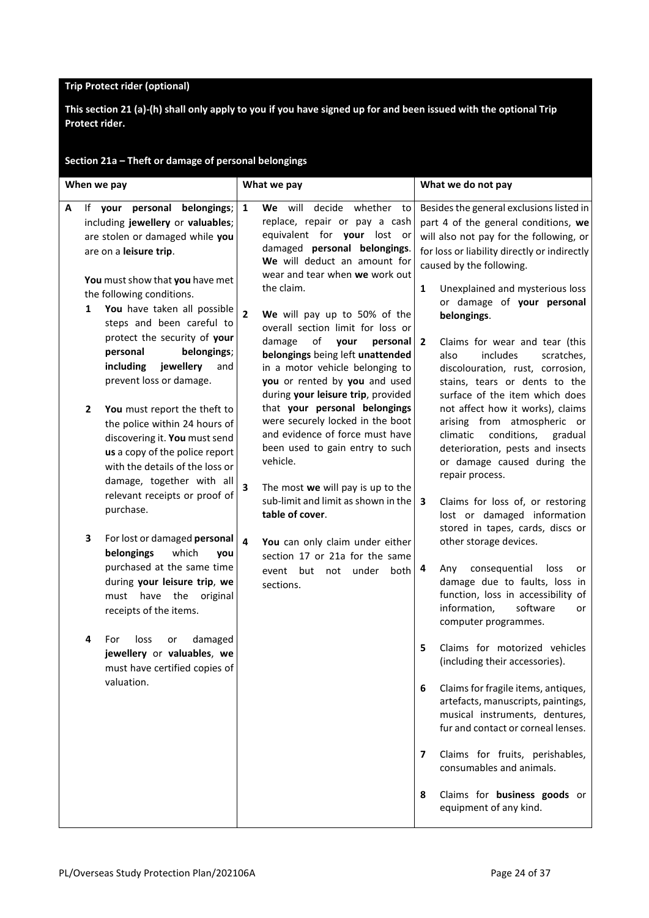#### **Trip Protect rider (optional)**

**This section 21 (a)-(h) shall only apply to you if you have signed up for and been issued with the optional Trip Protect rider.**

| When we pay                                                                                                                                                                                                                                                                                                                                                                                 | What we pay                                                                                                                                                                                                                                                                                                                                                                                                                                                                                              | What we do not pay                                                                                                                                                                                                                                                                                                                                                                                                                                                           |
|---------------------------------------------------------------------------------------------------------------------------------------------------------------------------------------------------------------------------------------------------------------------------------------------------------------------------------------------------------------------------------------------|----------------------------------------------------------------------------------------------------------------------------------------------------------------------------------------------------------------------------------------------------------------------------------------------------------------------------------------------------------------------------------------------------------------------------------------------------------------------------------------------------------|------------------------------------------------------------------------------------------------------------------------------------------------------------------------------------------------------------------------------------------------------------------------------------------------------------------------------------------------------------------------------------------------------------------------------------------------------------------------------|
| If your personal belongings;<br>A<br>including jewellery or valuables;<br>are stolen or damaged while you<br>are on a leisure trip.<br>You must show that you have met<br>the following conditions.<br>You have taken all possible<br>1<br>steps and been careful to<br>protect the security of your<br>belongings;<br>personal<br>including<br>jewellery<br>and<br>prevent loss or damage. | decide whether<br>$\mathbf{1}$<br>We will<br>to<br>replace, repair or pay a cash<br>equivalent for your lost or<br>damaged personal belongings.<br>We will deduct an amount for<br>wear and tear when we work out<br>the claim.<br>$\overline{2}$<br>We will pay up to 50% of the<br>overall section limit for loss or<br>of<br>damage<br>your<br>personal<br>belongings being left unattended<br>in a motor vehicle belonging to<br>you or rented by you and used<br>during your leisure trip, provided | Besides the general exclusions listed in<br>part 4 of the general conditions, we<br>will also not pay for the following, or<br>for loss or liability directly or indirectly<br>caused by the following.<br>Unexplained and mysterious loss<br>1<br>or damage of your personal<br>belongings.<br>Claims for wear and tear (this<br>2<br>also<br>includes<br>scratches,<br>discolouration, rust, corrosion,<br>stains, tears or dents to the<br>surface of the item which does |
| $\mathbf{z}$<br>You must report the theft to<br>the police within 24 hours of<br>discovering it. You must send<br>us a copy of the police report<br>with the details of the loss or<br>damage, together with all<br>relevant receipts or proof of<br>purchase.                                                                                                                              | that your personal belongings<br>were securely locked in the boot<br>and evidence of force must have<br>been used to gain entry to such<br>vehicle.<br>3<br>The most we will pay is up to the<br>sub-limit and limit as shown in the<br>table of cover.                                                                                                                                                                                                                                                  | not affect how it works), claims<br>arising from atmospheric or<br>climatic<br>conditions,<br>gradual<br>deterioration, pests and insects<br>or damage caused during the<br>repair process.<br>3<br>Claims for loss of, or restoring                                                                                                                                                                                                                                         |
| 3<br>For lost or damaged personal<br>which<br>belongings<br>you<br>purchased at the same time<br>during your leisure trip, we<br>must have the<br>original<br>receipts of the items.                                                                                                                                                                                                        | 4<br>You can only claim under either<br>section 17 or 21a for the same<br>event but not under<br>both<br>sections.                                                                                                                                                                                                                                                                                                                                                                                       | lost or damaged information<br>stored in tapes, cards, discs or<br>other storage devices.<br>consequential<br>4<br>loss<br>Any<br>or<br>damage due to faults, loss in<br>function, loss in accessibility of<br>information,<br>software<br>or<br>computer programmes.                                                                                                                                                                                                        |
| damaged<br>For<br>loss<br>4<br>or<br>jewellery or valuables, we<br>must have certified copies of<br>valuation.                                                                                                                                                                                                                                                                              |                                                                                                                                                                                                                                                                                                                                                                                                                                                                                                          | Claims for motorized vehicles<br>5<br>(including their accessories).<br>Claims for fragile items, antiques,<br>6<br>artefacts, manuscripts, paintings,<br>musical instruments, dentures,<br>fur and contact or corneal lenses.<br>Claims for fruits, perishables,<br>7<br>consumables and animals.<br>Claims for business goods or<br>8<br>equipment of any kind.                                                                                                            |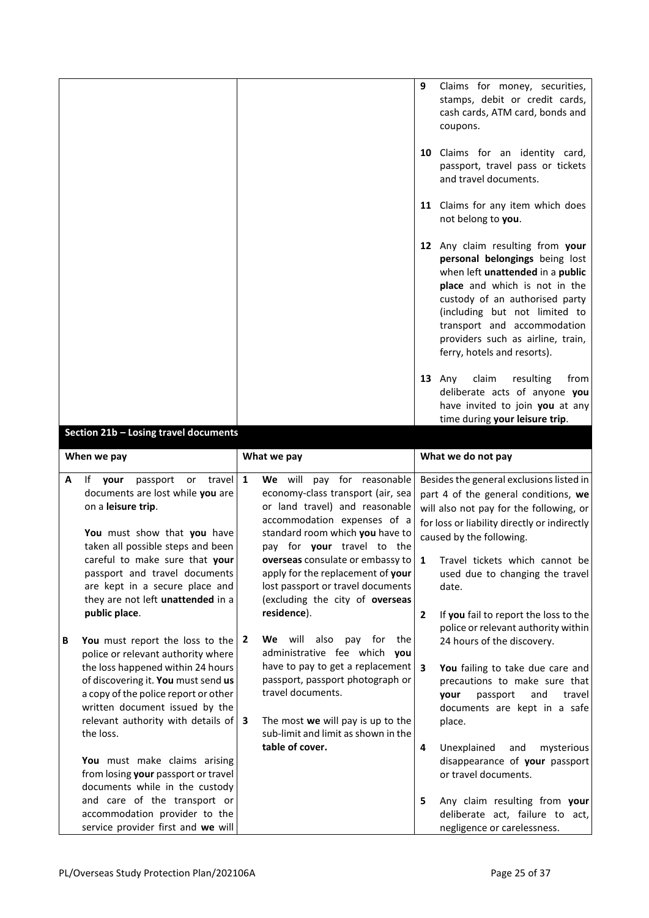|   |                                                                                                                                                                             |              |                                                                                                                                                                             | 9              | Claims for money, securities,<br>stamps, debit or credit cards,<br>cash cards, ATM card, bonds and<br>coupons.                                                                                                                                                                                                |
|---|-----------------------------------------------------------------------------------------------------------------------------------------------------------------------------|--------------|-----------------------------------------------------------------------------------------------------------------------------------------------------------------------------|----------------|---------------------------------------------------------------------------------------------------------------------------------------------------------------------------------------------------------------------------------------------------------------------------------------------------------------|
|   |                                                                                                                                                                             |              |                                                                                                                                                                             |                | 10 Claims for an identity card,<br>passport, travel pass or tickets<br>and travel documents.                                                                                                                                                                                                                  |
|   |                                                                                                                                                                             |              |                                                                                                                                                                             |                | 11 Claims for any item which does<br>not belong to you.                                                                                                                                                                                                                                                       |
|   |                                                                                                                                                                             |              |                                                                                                                                                                             |                | 12 Any claim resulting from your<br>personal belongings being lost<br>when left unattended in a public<br>place and which is not in the<br>custody of an authorised party<br>(including but not limited to<br>transport and accommodation<br>providers such as airline, train,<br>ferry, hotels and resorts). |
|   |                                                                                                                                                                             |              |                                                                                                                                                                             |                | $13$ Any<br>claim<br>resulting<br>from<br>deliberate acts of anyone you<br>have invited to join you at any<br>time during your leisure trip.                                                                                                                                                                  |
|   | Section 21b - Losing travel documents                                                                                                                                       |              |                                                                                                                                                                             |                |                                                                                                                                                                                                                                                                                                               |
|   | When we pay                                                                                                                                                                 |              | What we pay                                                                                                                                                                 |                | What we do not pay                                                                                                                                                                                                                                                                                            |
| A | travel<br>If your<br>passport<br>or<br>documents are lost while you are<br>on a leisure trip.<br>You must show that you have                                                | $\mathbf{1}$ | We will pay for reasonable<br>economy-class transport (air, sea<br>or land travel) and reasonable<br>accommodation expenses of a<br>standard room which you have to         |                | Besides the general exclusions listed in<br>part 4 of the general conditions, we<br>will also not pay for the following, or<br>for loss or liability directly or indirectly<br>caused by the following.                                                                                                       |
|   | taken all possible steps and been<br>careful to make sure that your<br>passport and travel documents<br>are kept in a secure place and<br>they are not left unattended in a |              | pay for your travel to the<br>overseas consulate or embassy to<br>apply for the replacement of your<br>lost passport or travel documents<br>(excluding the city of overseas | $\mathbf{1}$   | Travel tickets which cannot bel<br>used due to changing the travel<br>date.                                                                                                                                                                                                                                   |
|   |                                                                                                                                                                             |              |                                                                                                                                                                             |                |                                                                                                                                                                                                                                                                                                               |
| В | public place.<br>You must report the loss to the<br>police or relevant authority where                                                                                      | 2            | residence).<br>We will also<br>pay for<br>the<br>administrative fee which you                                                                                               | $\overline{2}$ | If you fail to report the loss to the<br>police or relevant authority within<br>24 hours of the discovery.                                                                                                                                                                                                    |
|   | the loss happened within 24 hours<br>of discovering it. You must send us<br>a copy of the police report or other<br>written document issued by the                          |              | have to pay to get a replacement $\vert$ 3<br>passport, passport photograph or<br>travel documents.                                                                         |                | You failing to take due care and<br>precautions to make sure that<br>passport<br>and<br>travel<br>your<br>documents are kept in a safe                                                                                                                                                                        |
|   | relevant authority with details of<br>the loss.                                                                                                                             | 3            | The most we will pay is up to the<br>sub-limit and limit as shown in the                                                                                                    |                | place.                                                                                                                                                                                                                                                                                                        |
|   | You must make claims arising<br>from losing your passport or travel<br>documents while in the custody                                                                       |              | table of cover.                                                                                                                                                             | 4              | Unexplained<br>mysterious<br>and<br>disappearance of your passport<br>or travel documents.                                                                                                                                                                                                                    |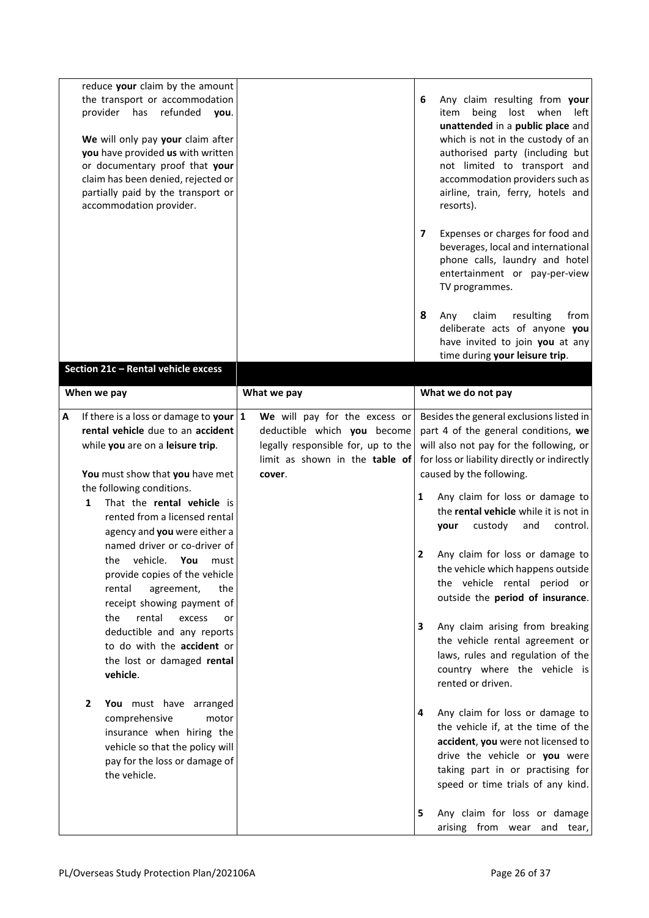|   | reduce your claim by the amount<br>the transport or accommodation<br>provider has<br>refunded<br>you.<br>We will only pay your claim after<br>you have provided us with written<br>or documentary proof that your<br>claim has been denied, rejected or<br>partially paid by the transport or<br>accommodation provider. |                                                                                                     | 6 | Any claim resulting from your<br>being<br>lost when<br>item<br>left<br>unattended in a public place and<br>which is not in the custody of an<br>authorised party (including but<br>not limited to transport and<br>accommodation providers such as<br>airline, train, ferry, hotels and<br>resorts). |
|---|--------------------------------------------------------------------------------------------------------------------------------------------------------------------------------------------------------------------------------------------------------------------------------------------------------------------------|-----------------------------------------------------------------------------------------------------|---|------------------------------------------------------------------------------------------------------------------------------------------------------------------------------------------------------------------------------------------------------------------------------------------------------|
|   |                                                                                                                                                                                                                                                                                                                          |                                                                                                     | 7 | Expenses or charges for food and<br>beverages, local and international<br>phone calls, laundry and hotel<br>entertainment or pay-per-view<br>TV programmes.                                                                                                                                          |
|   | Section 21c - Rental vehicle excess                                                                                                                                                                                                                                                                                      |                                                                                                     | 8 | claim<br>resulting<br>from<br>Any<br>deliberate acts of anyone you<br>have invited to join you at any<br>time during your leisure trip.                                                                                                                                                              |
|   | When we pay                                                                                                                                                                                                                                                                                                              | What we pay                                                                                         |   | What we do not pay                                                                                                                                                                                                                                                                                   |
| А | If there is a loss or damage to your $ 1 $                                                                                                                                                                                                                                                                               | We will pay for the excess or                                                                       |   | Besides the general exclusions listed in                                                                                                                                                                                                                                                             |
|   | rental vehicle due to an accident<br>while you are on a leisure trip.                                                                                                                                                                                                                                                    | deductible which you become<br>legally responsible for, up to the<br>limit as shown in the table of |   | part 4 of the general conditions, we<br>will also not pay for the following, or<br>for loss or liability directly or indirectly                                                                                                                                                                      |
|   | You must show that you have met                                                                                                                                                                                                                                                                                          | cover.                                                                                              |   | caused by the following.                                                                                                                                                                                                                                                                             |
|   | the following conditions.<br>That the rental vehicle is<br>1<br>rented from a licensed rental<br>agency and you were either a                                                                                                                                                                                            |                                                                                                     | 1 | Any claim for loss or damage to<br>the rental vehicle while it is not in<br>custody<br>and<br>control.<br>vour                                                                                                                                                                                       |
|   | named driver or co-driver of<br>vehicle. You<br>the<br>must<br>provide copies of the vehicle<br>rental<br>agreement,<br>the<br>receipt showing payment of                                                                                                                                                                |                                                                                                     | 2 | Any claim for loss or damage to<br>the vehicle which happens outside<br>the vehicle rental period or<br>outside the period of insurance.                                                                                                                                                             |
|   | the<br>rental<br>excess<br>or<br>deductible and any reports<br>to do with the accident or<br>the lost or damaged rental<br>vehicle.                                                                                                                                                                                      |                                                                                                     | 3 | Any claim arising from breaking<br>the vehicle rental agreement or<br>laws, rules and regulation of the<br>country where the vehicle is<br>rented or driven.                                                                                                                                         |
|   | $\overline{2}$<br>You must have arranged<br>comprehensive<br>motor<br>insurance when hiring the<br>vehicle so that the policy will<br>pay for the loss or damage of<br>the vehicle.                                                                                                                                      |                                                                                                     | 4 | Any claim for loss or damage to<br>the vehicle if, at the time of the<br>accident, you were not licensed to<br>drive the vehicle or you were<br>taking part in or practising for<br>speed or time trials of any kind.                                                                                |
|   |                                                                                                                                                                                                                                                                                                                          |                                                                                                     | 5 | Any claim for loss or damage<br>arising from wear and tear,                                                                                                                                                                                                                                          |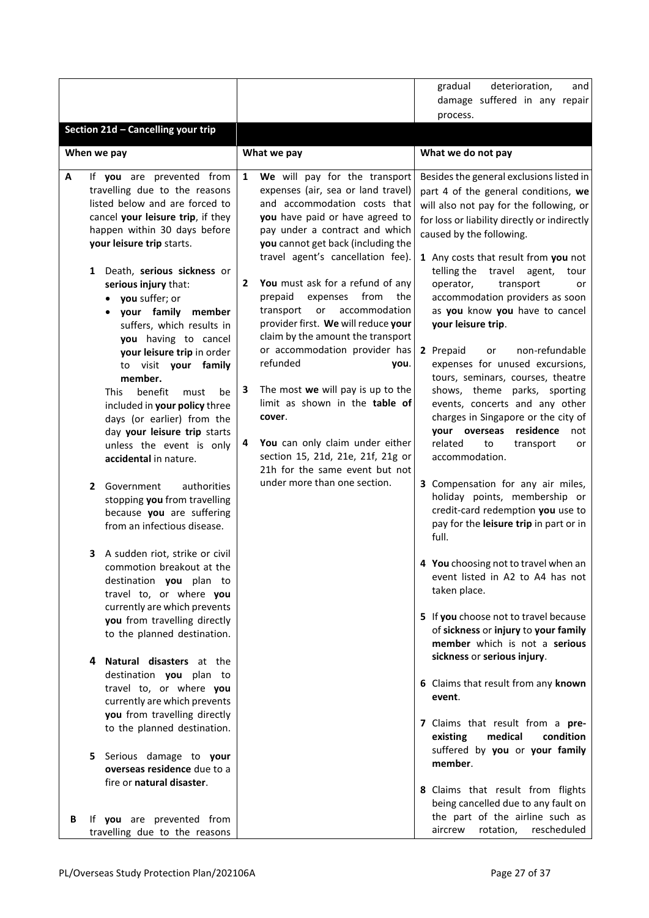|   |                                                            |              |                                                                     |  | deterioration,<br>gradual<br>and                                                 |  |  |
|---|------------------------------------------------------------|--------------|---------------------------------------------------------------------|--|----------------------------------------------------------------------------------|--|--|
|   |                                                            |              |                                                                     |  | damage suffered in any repair                                                    |  |  |
|   |                                                            |              |                                                                     |  | process.                                                                         |  |  |
|   | Section 21d - Cancelling your trip                         |              |                                                                     |  |                                                                                  |  |  |
|   | When we pay                                                |              | What we pay                                                         |  | What we do not pay                                                               |  |  |
|   |                                                            |              |                                                                     |  |                                                                                  |  |  |
| А | If you are prevented from<br>travelling due to the reasons | $\mathbf{1}$ | We will pay for the transport<br>expenses (air, sea or land travel) |  | Besides the general exclusions listed in<br>part 4 of the general conditions, we |  |  |
|   | listed below and are forced to                             |              | and accommodation costs that                                        |  |                                                                                  |  |  |
|   | cancel your leisure trip, if they                          |              | you have paid or have agreed to                                     |  | will also not pay for the following, or                                          |  |  |
|   | happen within 30 days before                               |              | pay under a contract and which                                      |  | for loss or liability directly or indirectly                                     |  |  |
|   | your leisure trip starts.                                  |              | you cannot get back (including the                                  |  | caused by the following.                                                         |  |  |
|   |                                                            |              | travel agent's cancellation fee).                                   |  | 1 Any costs that result from you not                                             |  |  |
|   | Death, serious sickness or<br>1                            |              |                                                                     |  | telling the<br>travel<br>agent,<br>tour                                          |  |  |
|   | serious injury that:                                       | $\mathbf{2}$ | You must ask for a refund of any                                    |  | operator,<br>transport<br>or                                                     |  |  |
|   | you suffer; or<br>$\bullet$                                |              | prepaid<br>expenses<br>from<br>the                                  |  | accommodation providers as soon                                                  |  |  |
|   | your family member                                         |              | or<br>accommodation<br>transport                                    |  | as you know you have to cancel                                                   |  |  |
|   | suffers, which results in                                  |              | provider first. We will reduce your                                 |  | your leisure trip.                                                               |  |  |
|   | you having to cancel                                       |              | claim by the amount the transport<br>or accommodation provider has  |  | non-refundable                                                                   |  |  |
|   | your leisure trip in order                                 |              | refunded<br>you.                                                    |  | 2 Prepaid<br>or<br>expenses for unused excursions,                               |  |  |
|   | to visit your family<br>member.                            |              |                                                                     |  | tours, seminars, courses, theatre                                                |  |  |
|   | <b>This</b><br>benefit<br>must<br>be                       | 3            | The most we will pay is up to the                                   |  | shows, theme parks, sporting                                                     |  |  |
|   | included in your policy three                              |              | limit as shown in the table of                                      |  | events, concerts and any other                                                   |  |  |
|   | days (or earlier) from the                                 |              | cover.                                                              |  | charges in Singapore or the city of                                              |  |  |
|   | day your leisure trip starts                               |              |                                                                     |  | residence<br>your overseas<br>not                                                |  |  |
|   | unless the event is only                                   | 4            | You can only claim under either                                     |  | related<br>to<br>transport<br>or                                                 |  |  |
|   | accidental in nature.                                      |              | section 15, 21d, 21e, 21f, 21g or                                   |  | accommodation.                                                                   |  |  |
|   |                                                            |              | 21h for the same event but not                                      |  |                                                                                  |  |  |
|   | authorities<br>Government<br>2                             |              | under more than one section.                                        |  | 3 Compensation for any air miles,                                                |  |  |
|   | stopping you from travelling                               |              |                                                                     |  | holiday points, membership or<br>credit-card redemption you use to               |  |  |
|   | because you are suffering<br>from an infectious disease.   |              |                                                                     |  | pay for the leisure trip in part or in                                           |  |  |
|   |                                                            |              |                                                                     |  | full.                                                                            |  |  |
|   | A sudden riot, strike or civil<br>3.                       |              |                                                                     |  |                                                                                  |  |  |
|   | commotion breakout at the                                  |              |                                                                     |  | 4 You choosing not to travel when an                                             |  |  |
|   | destination you plan to                                    |              |                                                                     |  | event listed in A2 to A4 has not                                                 |  |  |
|   | travel to, or where you                                    |              |                                                                     |  | taken place.                                                                     |  |  |
|   | currently are which prevents                               |              |                                                                     |  |                                                                                  |  |  |
|   | you from travelling directly                               |              |                                                                     |  | 5 If you choose not to travel because<br>of sickness or injury to your family    |  |  |
|   | to the planned destination.                                |              |                                                                     |  | member which is not a serious                                                    |  |  |
|   |                                                            |              |                                                                     |  | sickness or serious injury.                                                      |  |  |
|   | Natural disasters at the<br>4<br>destination you plan to   |              |                                                                     |  |                                                                                  |  |  |
|   | travel to, or where you                                    |              |                                                                     |  | 6 Claims that result from any known                                              |  |  |
|   | currently are which prevents                               |              |                                                                     |  | event.                                                                           |  |  |
|   | you from travelling directly                               |              |                                                                     |  |                                                                                  |  |  |
|   | to the planned destination.                                |              |                                                                     |  | 7 Claims that result from a pre-                                                 |  |  |
|   |                                                            |              |                                                                     |  | medical<br>existing<br>condition                                                 |  |  |
|   | Serious damage to your<br>5.                               |              |                                                                     |  | suffered by you or your family                                                   |  |  |
|   | overseas residence due to a                                |              |                                                                     |  | member.                                                                          |  |  |
|   | fire or natural disaster.                                  |              |                                                                     |  | 8 Claims that result from flights                                                |  |  |
|   |                                                            |              |                                                                     |  | being cancelled due to any fault on                                              |  |  |
| В | If you are prevented from                                  |              |                                                                     |  | the part of the airline such as                                                  |  |  |
|   | travelling due to the reasons                              |              |                                                                     |  | rotation,<br>rescheduled<br>aircrew                                              |  |  |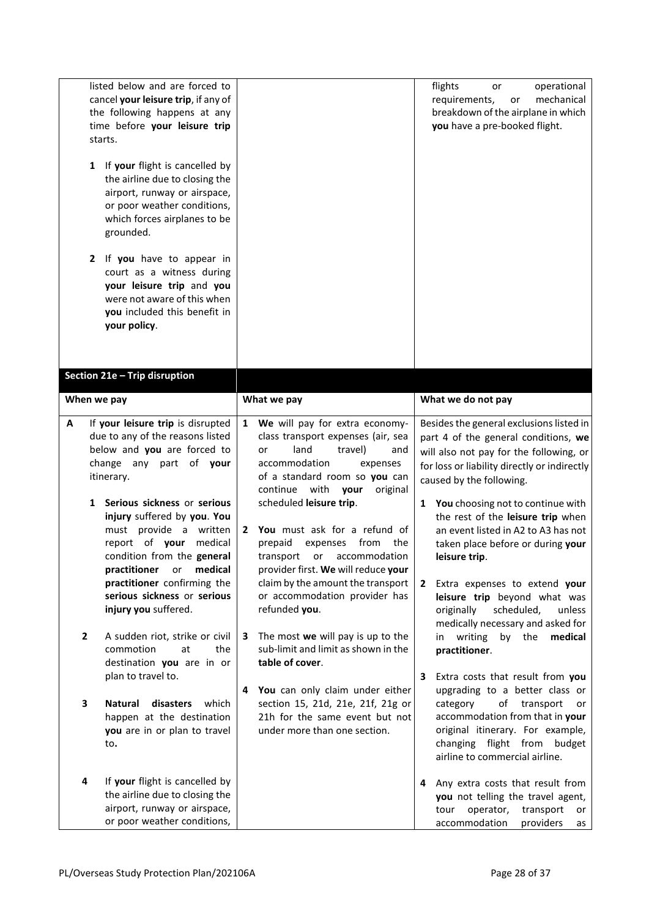|   | listed below and are forced to<br>cancel your leisure trip, if any of<br>the following happens at any<br>time before your leisure trip<br>starts.<br>If your flight is cancelled by<br>1<br>the airline due to closing the<br>airport, runway or airspace,<br>or poor weather conditions,<br>which forces airplanes to be<br>grounded.                                                                                                                                                                                                                                                                                                                             |                                                                                                                                                                                                                                                                                                                                                                                                                                                                                                                                                                                                                                                                                                                                   | flights<br>operational<br>or<br>mechanical<br>requirements,<br>or<br>breakdown of the airplane in which<br>you have a pre-booked flight.                                                                                                                                                                                                                                                                                                                                                                                                                                                                                                                                                                                                                                                           |
|---|--------------------------------------------------------------------------------------------------------------------------------------------------------------------------------------------------------------------------------------------------------------------------------------------------------------------------------------------------------------------------------------------------------------------------------------------------------------------------------------------------------------------------------------------------------------------------------------------------------------------------------------------------------------------|-----------------------------------------------------------------------------------------------------------------------------------------------------------------------------------------------------------------------------------------------------------------------------------------------------------------------------------------------------------------------------------------------------------------------------------------------------------------------------------------------------------------------------------------------------------------------------------------------------------------------------------------------------------------------------------------------------------------------------------|----------------------------------------------------------------------------------------------------------------------------------------------------------------------------------------------------------------------------------------------------------------------------------------------------------------------------------------------------------------------------------------------------------------------------------------------------------------------------------------------------------------------------------------------------------------------------------------------------------------------------------------------------------------------------------------------------------------------------------------------------------------------------------------------------|
|   | If you have to appear in<br>2<br>court as a witness during<br>your leisure trip and you<br>were not aware of this when<br>you included this benefit in<br>your policy.                                                                                                                                                                                                                                                                                                                                                                                                                                                                                             |                                                                                                                                                                                                                                                                                                                                                                                                                                                                                                                                                                                                                                                                                                                                   |                                                                                                                                                                                                                                                                                                                                                                                                                                                                                                                                                                                                                                                                                                                                                                                                    |
|   | Section 21e - Trip disruption                                                                                                                                                                                                                                                                                                                                                                                                                                                                                                                                                                                                                                      |                                                                                                                                                                                                                                                                                                                                                                                                                                                                                                                                                                                                                                                                                                                                   |                                                                                                                                                                                                                                                                                                                                                                                                                                                                                                                                                                                                                                                                                                                                                                                                    |
|   | When we pay                                                                                                                                                                                                                                                                                                                                                                                                                                                                                                                                                                                                                                                        | What we pay                                                                                                                                                                                                                                                                                                                                                                                                                                                                                                                                                                                                                                                                                                                       | What we do not pay                                                                                                                                                                                                                                                                                                                                                                                                                                                                                                                                                                                                                                                                                                                                                                                 |
| A | If your leisure trip is disrupted<br>due to any of the reasons listed<br>below and you are forced to<br>change any part of your<br>itinerary.<br>Serious sickness or serious<br>1<br>injury suffered by you. You<br>must provide a written<br>report of your medical<br>condition from the general<br>practitioner<br>medical<br>or<br>practitioner confirming the<br>serious sickness or serious<br>injury you suffered.<br>A sudden riot, strike or civil<br>$\mathbf{2}$<br>commotion<br>at<br>the<br>destination you are in or<br>plan to travel to.<br>3<br><b>Natural</b><br>which<br>disasters<br>happen at the destination<br>you are in or plan to travel | 1 We will pay for extra economy-<br>class transport expenses (air, sea<br>land<br>travel)<br>and<br>or<br>accommodation<br>expenses<br>of a standard room so you can<br>continue with<br>your<br>original<br>scheduled leisure trip.<br>2 You must ask for a refund of<br>from<br>prepaid<br>expenses<br>the<br>accommodation<br>transport<br>or<br>provider first. We will reduce your<br>claim by the amount the transport<br>or accommodation provider has<br>refunded you.<br>The most we will pay is up to the<br>3<br>sub-limit and limit as shown in the<br>table of cover.<br>You can only claim under either<br>4<br>section 15, 21d, 21e, 21f, 21g or<br>21h for the same event but not<br>under more than one section. | Besides the general exclusions listed in<br>part 4 of the general conditions, we<br>will also not pay for the following, or<br>for loss or liability directly or indirectly<br>caused by the following.<br>You choosing not to continue with<br>$\mathbf{1}$<br>the rest of the leisure trip when<br>an event listed in A2 to A3 has not<br>taken place before or during your<br>leisure trip.<br>Extra expenses to extend your<br>$\mathbf{2}$<br>leisure trip beyond what was<br>scheduled,<br>originally<br>unless<br>medically necessary and asked for<br>in writing<br>by the<br>medical<br>practitioner.<br>Extra costs that result from you<br>3<br>upgrading to a better class or<br>of transport<br>category<br>or<br>accommodation from that in your<br>original itinerary. For example, |
|   | to.<br>If your flight is cancelled by<br>4<br>the airline due to closing the<br>airport, runway or airspace,<br>or poor weather conditions,                                                                                                                                                                                                                                                                                                                                                                                                                                                                                                                        |                                                                                                                                                                                                                                                                                                                                                                                                                                                                                                                                                                                                                                                                                                                                   | changing flight from budget<br>airline to commercial airline.<br>Any extra costs that result from<br>4<br>you not telling the travel agent,<br>operator,<br>transport<br>tour<br>or<br>accommodation<br>providers<br>as                                                                                                                                                                                                                                                                                                                                                                                                                                                                                                                                                                            |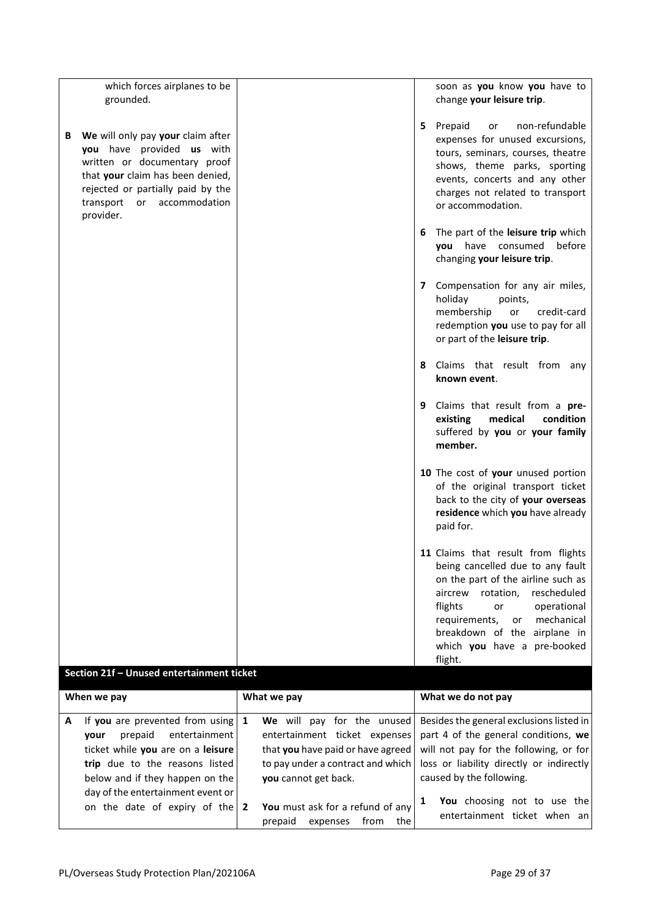|   | which forces airplanes to be<br>grounded.                                                                                                                                                                          |              |                                                                                                                                                               |    | soon as you know you have to<br>change your leisure trip.                                                                                                                                                                                                                                             |
|---|--------------------------------------------------------------------------------------------------------------------------------------------------------------------------------------------------------------------|--------------|---------------------------------------------------------------------------------------------------------------------------------------------------------------|----|-------------------------------------------------------------------------------------------------------------------------------------------------------------------------------------------------------------------------------------------------------------------------------------------------------|
| В | We will only pay your claim after<br>you have provided us with<br>written or documentary proof<br>that your claim has been denied,<br>rejected or partially paid by the<br>transport or accommodation<br>provider. |              |                                                                                                                                                               |    | 5 Prepaid<br>non-refundable<br>or<br>expenses for unused excursions,<br>tours, seminars, courses, theatre<br>shows, theme parks, sporting<br>events, concerts and any other<br>charges not related to transport<br>or accommodation.                                                                  |
|   |                                                                                                                                                                                                                    |              |                                                                                                                                                               | 6. | The part of the leisure trip which<br>have consumed<br>before<br>you<br>changing your leisure trip.                                                                                                                                                                                                   |
|   |                                                                                                                                                                                                                    |              |                                                                                                                                                               |    | 7 Compensation for any air miles,<br>holiday<br>points,<br>membership<br>credit-card<br>or<br>redemption you use to pay for all<br>or part of the leisure trip.                                                                                                                                       |
|   |                                                                                                                                                                                                                    |              |                                                                                                                                                               |    | 8 Claims that result from any<br>known event.                                                                                                                                                                                                                                                         |
|   |                                                                                                                                                                                                                    |              |                                                                                                                                                               |    | 9 Claims that result from a pre-<br>medical<br>condition<br>existing<br>suffered by you or your family<br>member.                                                                                                                                                                                     |
|   |                                                                                                                                                                                                                    |              |                                                                                                                                                               |    | 10 The cost of your unused portion<br>of the original transport ticket<br>back to the city of your overseas<br>residence which you have already<br>paid for.                                                                                                                                          |
|   |                                                                                                                                                                                                                    |              |                                                                                                                                                               |    | 11 Claims that result from flights<br>being cancelled due to any fault<br>on the part of the airline such as<br>rescheduled<br>aircrew<br>rotation,<br>flights<br>operational<br>or<br>mechanical<br>requirements,<br>or<br>breakdown of the<br>airplane in<br>which you have a pre-booked<br>flight. |
|   | Section 21f - Unused entertainment ticket                                                                                                                                                                          |              |                                                                                                                                                               |    |                                                                                                                                                                                                                                                                                                       |
|   | When we pay                                                                                                                                                                                                        |              | What we pay                                                                                                                                                   |    | What we do not pay                                                                                                                                                                                                                                                                                    |
| Α | If you are prevented from using<br>prepaid<br>entertainment<br>your<br>ticket while you are on a leisure<br>trip due to the reasons listed<br>below and if they happen on the<br>day of the entertainment event or | $\mathbf{1}$ | We will pay for the unused<br>entertainment ticket expenses<br>that you have paid or have agreed<br>to pay under a contract and which<br>you cannot get back. |    | Besides the general exclusions listed in<br>part 4 of the general conditions, we<br>will not pay for the following, or for<br>loss or liability directly or indirectly<br>caused by the following.                                                                                                    |
|   | on the date of expiry of the $2$                                                                                                                                                                                   |              | You must ask for a refund of any<br>prepaid<br>expenses<br>from<br>the                                                                                        | 1  | You choosing not to use the<br>entertainment ticket when an                                                                                                                                                                                                                                           |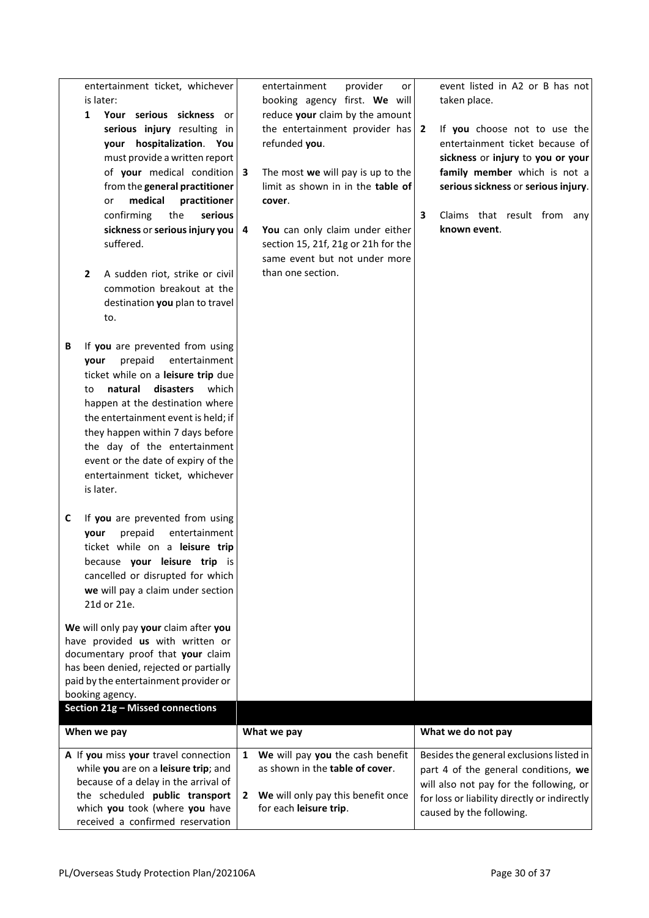|   | entertainment ticket, whichever<br>is later:<br>Your serious sickness or<br>1<br>serious injury resulting in<br>your hospitalization. You<br>must provide a written report<br>of your medical condition<br>from the general practitioner                                                                                                                                             | 3                 | entertainment<br>provider<br>or<br>booking agency first. We will<br>reduce your claim by the amount<br>the entertainment provider has $2$<br>refunded you.<br>The most we will pay is up to the<br>limit as shown in in the table of | event listed in A2 or B has not<br>taken place.<br>If you choose not to use the<br>entertainment ticket because of<br>sickness or injury to you or your<br>family member which is not a<br>serious sickness or serious injury. |
|---|--------------------------------------------------------------------------------------------------------------------------------------------------------------------------------------------------------------------------------------------------------------------------------------------------------------------------------------------------------------------------------------|-------------------|--------------------------------------------------------------------------------------------------------------------------------------------------------------------------------------------------------------------------------------|--------------------------------------------------------------------------------------------------------------------------------------------------------------------------------------------------------------------------------|
|   | medical<br>practitioner<br>or<br>confirming<br>the<br>serious<br>sickness or serious injury you<br>suffered.<br>A sudden riot, strike or civil<br>$\overline{2}$<br>commotion breakout at the<br>destination you plan to travel<br>to.                                                                                                                                               | 4                 | cover.<br>You can only claim under either<br>section 15, 21f, 21g or 21h for the<br>same event but not under more<br>than one section.                                                                                               | 3<br>Claims that result from any<br>known event.                                                                                                                                                                               |
| В | If you are prevented from using<br>entertainment<br>prepaid<br>your<br>ticket while on a leisure trip due<br>natural<br>disasters<br>which<br>to<br>happen at the destination where<br>the entertainment event is held; if<br>they happen within 7 days before<br>the day of the entertainment<br>event or the date of expiry of the<br>entertainment ticket, whichever<br>is later. |                   |                                                                                                                                                                                                                                      |                                                                                                                                                                                                                                |
| C | If you are prevented from using<br>entertainment<br>prepaid<br>your<br>ticket while on a leisure trip<br>because your leisure trip is<br>cancelled or disrupted for which<br>we will pay a claim under section<br>21d or 21e.                                                                                                                                                        |                   |                                                                                                                                                                                                                                      |                                                                                                                                                                                                                                |
|   | We will only pay your claim after you<br>have provided us with written or<br>documentary proof that your claim<br>has been denied, rejected or partially<br>paid by the entertainment provider or<br>booking agency.                                                                                                                                                                 |                   |                                                                                                                                                                                                                                      |                                                                                                                                                                                                                                |
|   | Section 21g - Missed connections                                                                                                                                                                                                                                                                                                                                                     |                   |                                                                                                                                                                                                                                      |                                                                                                                                                                                                                                |
|   | When we pay                                                                                                                                                                                                                                                                                                                                                                          |                   | What we pay                                                                                                                                                                                                                          | What we do not pay                                                                                                                                                                                                             |
|   | A If you miss your travel connection<br>while you are on a leisure trip; and<br>because of a delay in the arrival of<br>the scheduled public transport<br>which you took (where you have<br>received a confirmed reservation                                                                                                                                                         | $\mathbf{1}$<br>2 | We will pay you the cash benefit<br>as shown in the table of cover.<br>We will only pay this benefit once<br>for each leisure trip.                                                                                                  | Besides the general exclusions listed in<br>part 4 of the general conditions, we<br>will also not pay for the following, or<br>for loss or liability directly or indirectly<br>caused by the following.                        |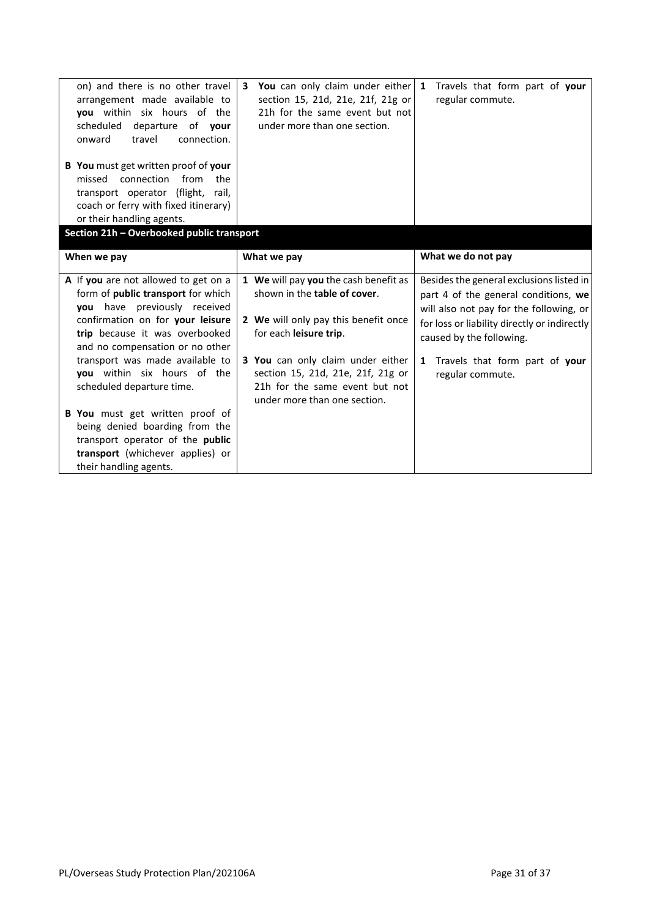| on) and there is no other travel<br>arrangement made available to<br>you within six hours of the<br>departure of your<br>scheduled<br>travel<br>connection.<br>onward<br>B You must get written proof of your<br>missed connection<br>from<br>the<br>transport operator (flight, rail,<br>coach or ferry with fixed itinerary)<br>or their handling agents.<br>Section 21h - Overbooked public transport | You can only claim under either 1<br>3<br>section 15, 21d, 21e, 21f, 21g or<br>21h for the same event but not<br>under more than one section.                                                                                                                                                      | Travels that form part of your<br>regular commute.                                                                                                                                                                                                                 |
|----------------------------------------------------------------------------------------------------------------------------------------------------------------------------------------------------------------------------------------------------------------------------------------------------------------------------------------------------------------------------------------------------------|----------------------------------------------------------------------------------------------------------------------------------------------------------------------------------------------------------------------------------------------------------------------------------------------------|--------------------------------------------------------------------------------------------------------------------------------------------------------------------------------------------------------------------------------------------------------------------|
| When we pay                                                                                                                                                                                                                                                                                                                                                                                              | What we pay                                                                                                                                                                                                                                                                                        | What we do not pay                                                                                                                                                                                                                                                 |
| A If you are not allowed to get on a<br>form of public transport for which<br>you have previously received<br>confirmation on for your leisure<br>trip because it was overbooked<br>and no compensation or no other<br>transport was made available to<br>you within six hours of the<br>scheduled departure time.                                                                                       | 1 We will pay you the cash benefit as<br>shown in the <b>table of cover</b> .<br>2 We will only pay this benefit once<br>for each leisure trip.<br><b>3 You</b> can only claim under either<br>section 15, 21d, 21e, 21f, 21g or<br>21h for the same event but not<br>under more than one section. | Besides the general exclusions listed in<br>part 4 of the general conditions, we<br>will also not pay for the following, or<br>for loss or liability directly or indirectly<br>caused by the following.<br>Travels that form part of your<br>1<br>regular commute. |
| B You must get written proof of<br>being denied boarding from the<br>transport operator of the public<br>transport (whichever applies) or<br>their handling agents.                                                                                                                                                                                                                                      |                                                                                                                                                                                                                                                                                                    |                                                                                                                                                                                                                                                                    |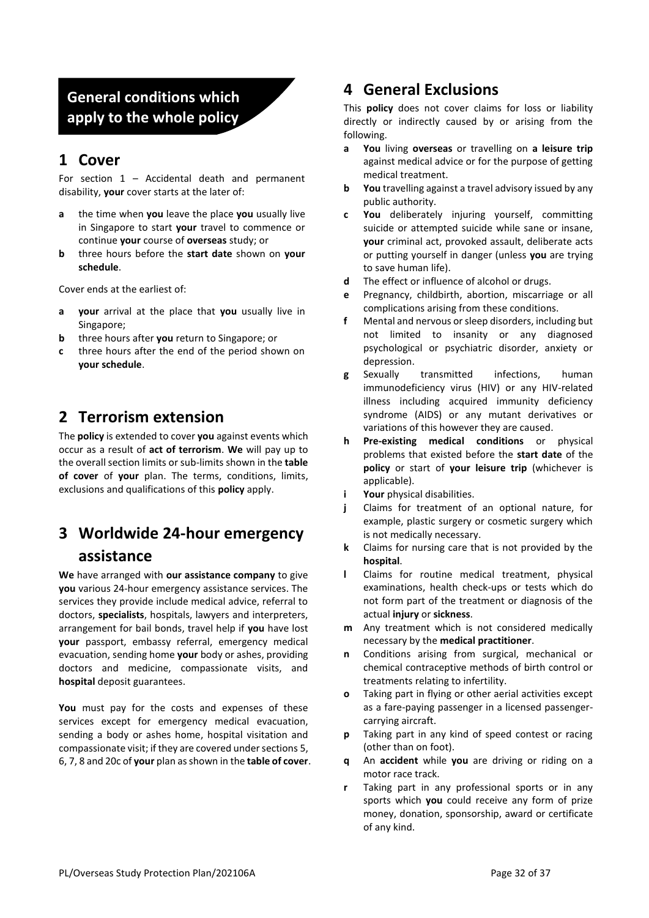## **General conditions which apply to the whole policy**

### **1 Cover**

For section  $1 -$  Accidental death and permanent disability, **your** cover starts at the later of:

- **a** the time when **you** leave the place **you** usually live in Singapore to start **your** travel to commence or continue **your** course of **overseas** study; or
- **b** three hours before the **start date** shown on **your schedule**.

Cover ends at the earliest of:

- **a your** arrival at the place that **you** usually live in Singapore;
- **b** three hours after **you** return to Singapore; or
- **c** three hours after the end of the period shown on **your schedule**.

## **2 Terrorism extension**

The **policy** is extended to cover **you** against events which occur as a result of **act of terrorism**. **We** will pay up to the overall section limits or sub-limits shown in the **table of cover** of **your** plan. The terms, conditions, limits, exclusions and qualifications of this **policy** apply.

## **3 Worldwide 24-hour emergency assistance**

**We** have arranged with **our assistance company** to give **you** various 24-hour emergency assistance services. The services they provide include medical advice, referral to doctors, **specialists**, hospitals, lawyers and interpreters, arrangement for bail bonds, travel help if **you** have lost **your** passport, embassy referral, emergency medical evacuation, sending home **your** body or ashes, providing doctors and medicine, compassionate visits, and **hospital** deposit guarantees.

**You** must pay for the costs and expenses of these services except for emergency medical evacuation, sending a body or ashes home, hospital visitation and compassionate visit; if they are covered under sections 5, 6, 7, 8 and 20c of **your** plan as shown in the **table of cover**.

## **4 General Exclusions**

This **policy** does not cover claims for loss or liability directly or indirectly caused by or arising from the following.

- **a You** living **overseas** or travelling on **a leisure trip**  against medical advice or for the purpose of getting medical treatment.
- **b You** travelling against a travel advisory issued by any public authority.
- **c You** deliberately injuring yourself, committing suicide or attempted suicide while sane or insane, **your** criminal act, provoked assault, deliberate acts or putting yourself in danger (unless **you** are trying to save human life).
- **d** The effect or influence of alcohol or drugs.
- **e** Pregnancy, childbirth, abortion, miscarriage or all complications arising from these conditions.
- **f** Mental and nervous or sleep disorders, including but not limited to insanity or any diagnosed psychological or psychiatric disorder, anxiety or depression.
- **g** Sexually transmitted infections, human immunodeficiency virus (HIV) or any HIV-related illness including acquired immunity deficiency syndrome (AIDS) or any mutant derivatives or variations of this however they are caused.
- **h Pre-existing medical conditions** or physical problems that existed before the **start date** of the **policy** or start of **your leisure trip** (whichever is applicable).
- **i Your** physical disabilities.
- **j** Claims for treatment of an optional nature, for example, plastic surgery or cosmetic surgery which is not medically necessary.
- **k** Claims for nursing care that is not provided by the **hospital**.
- **l** Claims for routine medical treatment, physical examinations, health check-ups or tests which do not form part of the treatment or diagnosis of the actual **injury** or **sickness**.
- **m** Any treatment which is not considered medically necessary by the **medical practitioner**.
- **n** Conditions arising from surgical, mechanical or chemical contraceptive methods of birth control or treatments relating to infertility.
- **o** Taking part in flying or other aerial activities except as a fare-paying passenger in a licensed passengercarrying aircraft.
- **p** Taking part in any kind of speed contest or racing (other than on foot).
- **q** An **accident** while **you** are driving or riding on a motor race track.
- **r** Taking part in any professional sports or in any sports which **you** could receive any form of prize money, donation, sponsorship, award or certificate of any kind.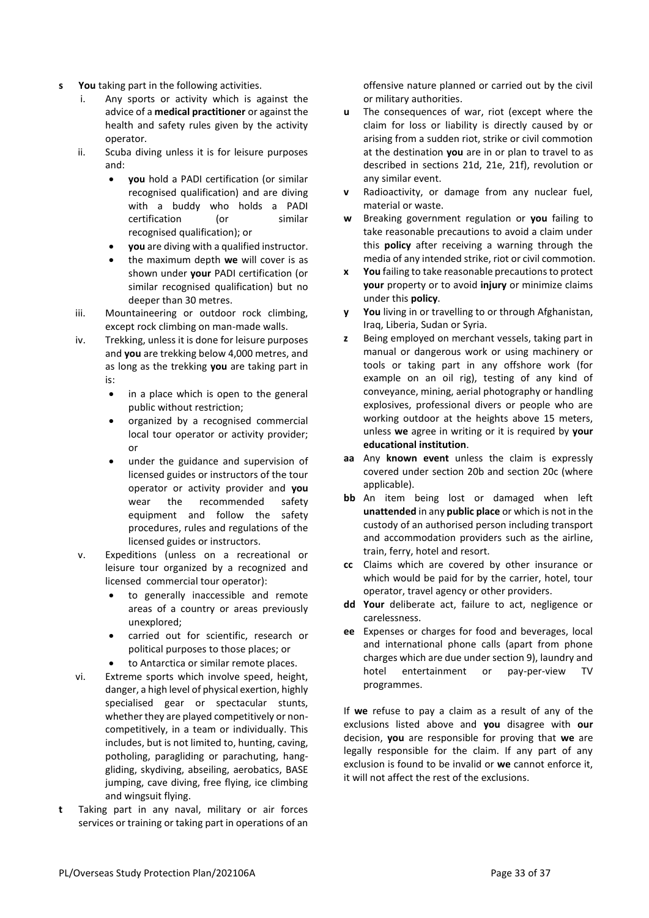- **s You** taking part in the following activities.
	- i. Any sports or activity which is against the advice of a **medical practitioner** or against the health and safety rules given by the activity operator.
	- ii. Scuba diving unless it is for leisure purposes and:
		- **you** hold a PADI certification (or similar recognised qualification) and are diving with a buddy who holds a PADI certification (or similar recognised qualification); or
		- **you** are diving with a qualified instructor.
		- the maximum depth **we** will cover is as shown under **your** PADI certification (or similar recognised qualification) but no deeper than 30 metres.
	- iii. Mountaineering or outdoor rock climbing, except rock climbing on man-made walls.
	- iv. Trekking, unless it is done for leisure purposes and **you** are trekking below 4,000 metres, and as long as the trekking **you** are taking part in is:
		- in a place which is open to the general public without restriction;
		- organized by a recognised commercial local tour operator or activity provider; or
		- under the guidance and supervision of licensed guides or instructors of the tour operator or activity provider and **you**  wear the recommended safety equipment and follow the safety procedures, rules and regulations of the licensed guides or instructors.
	- v. Expeditions (unless on a recreational or leisure tour organized by a recognized and licensed commercial tour operator):
		- to generally inaccessible and remote areas of a country or areas previously unexplored;
		- carried out for scientific, research or political purposes to those places; or
		- to Antarctica or similar remote places.
	- vi. Extreme sports which involve speed, height, danger, a high level of physical exertion, highly specialised gear or spectacular stunts, whether they are played competitively or noncompetitively, in a team or individually. This includes, but is not limited to, hunting, caving, potholing, paragliding or parachuting, hanggliding, skydiving, abseiling, aerobatics, BASE jumping, cave diving, free flying, ice climbing and wingsuit flying.
- **t** Taking part in any naval, military or air forces services or training or taking part in operations of an

offensive nature planned or carried out by the civil or military authorities.

- **u** The consequences of war, riot (except where the claim for loss or liability is directly caused by or arising from a sudden riot, strike or civil commotion at the destination **you** are in or plan to travel to as described in sections 21d, 21e, 21f), revolution or any similar event.
- **v** Radioactivity, or damage from any nuclear fuel, material or waste.
- **w** Breaking government regulation or **you** failing to take reasonable precautions to avoid a claim under this **policy** after receiving a warning through the media of any intended strike, riot or civil commotion.
- **x You** failing to take reasonable precautions to protect **your** property or to avoid **injury** or minimize claims under this **policy**.
- **y You** living in or travelling to or through Afghanistan, Iraq, Liberia, Sudan or Syria.
- **z** Being employed on merchant vessels, taking part in manual or dangerous work or using machinery or tools or taking part in any offshore work (for example on an oil rig), testing of any kind of conveyance, mining, aerial photography or handling explosives, professional divers or people who are working outdoor at the heights above 15 meters, unless **we** agree in writing or it is required by **your educational institution**.
- **aa** Any **known event** unless the claim is expressly covered under section 20b and section 20c (where applicable).
- **bb** An item being lost or damaged when left **unattended** in any **public place** or which is not in the custody of an authorised person including transport and accommodation providers such as the airline, train, ferry, hotel and resort.
- **cc** Claims which are covered by other insurance or which would be paid for by the carrier, hotel, tour operator, travel agency or other providers.
- **dd Your** deliberate act, failure to act, negligence or carelessness.
- **ee** Expenses or charges for food and beverages, local and international phone calls (apart from phone charges which are due under section 9), laundry and hotel entertainment or pay-per-view TV programmes.

If **we** refuse to pay a claim as a result of any of the exclusions listed above and **you** disagree with **our**  decision, **you** are responsible for proving that **we** are legally responsible for the claim. If any part of any exclusion is found to be invalid or **we** cannot enforce it, it will not affect the rest of the exclusions.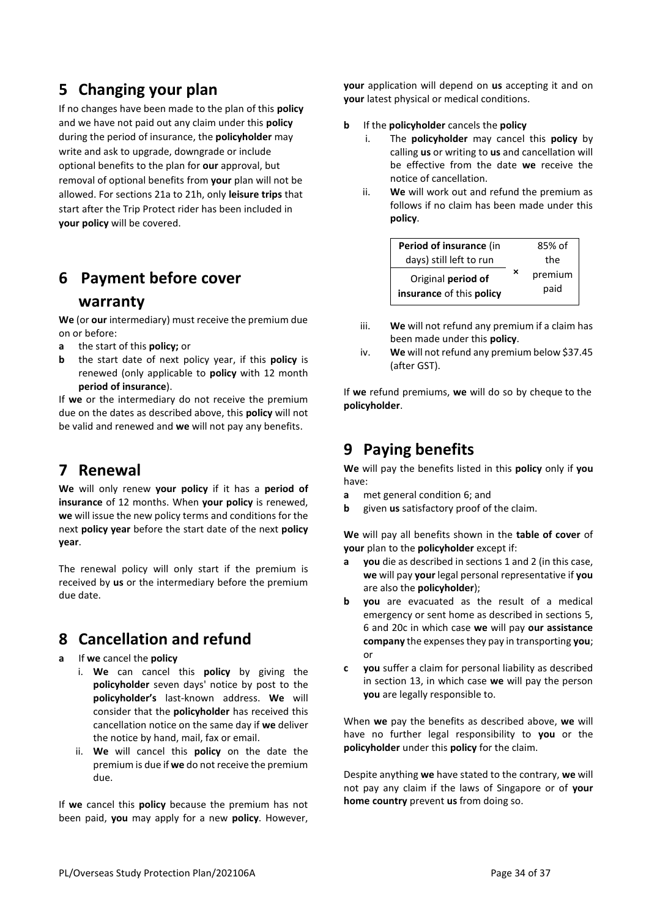## **5 Changing your plan**

If no changes have been made to the plan of this **policy** and we have not paid out any claim under this **policy** during the period of insurance, the **policyholder** may write and ask to upgrade, downgrade or include optional benefits to the plan for **our** approval, but removal of optional benefits from **your** plan will not be allowed. For sections 21a to 21h, only **leisure trips** that start after the Trip Protect rider has been included in **your policy** will be covered.

## **6 Payment before cover**

#### **warranty**

**We** (or **our** intermediary) must receive the premium due on or before:

- **a** the start of this **policy;** or
- **b** the start date of next policy year, if this **policy** is renewed (only applicable to **policy** with 12 month **period of insurance**).

If **we** or the intermediary do not receive the premium due on the dates as described above, this **policy** will not be valid and renewed and **we** will not pay any benefits.

#### **7 Renewal**

**We** will only renew **your policy** if it has a **period of insurance** of 12 months. When **your policy** is renewed, **we** will issue the new policy terms and conditions for the next **policy year** before the start date of the next **policy year**.

The renewal policy will only start if the premium is received by **us** or the intermediary before the premium due date.

# **8 Cancellation and refund**

**a** If **we** cancel the **policy**

- i. **We** can cancel this **policy** by giving the **policyholder** seven days' notice by post to the **policyholder's** last-known address. **We** will consider that the **policyholder** has received this cancellation notice on the same day if **we** deliver the notice by hand, mail, fax or email.
- ii. **We** will cancel this **policy** on the date the premium is due if **we** do not receive the premium due.

If **we** cancel this **policy** because the premium has not been paid, **you** may apply for a new **policy**. However,

**your** application will depend on **us** accepting it and on **your** latest physical or medical conditions.

- **b** If the **policyholder** cancels the **policy**
	- i. The **policyholder** may cancel this **policy** by calling **us** or writing to **us** and cancellation will be effective from the date **we** receive the notice of cancellation.
	- ii. **We** will work out and refund the premium as follows if no claim has been made under this **policy**.

| Period of insurance (in                        |   | 85% of          |
|------------------------------------------------|---|-----------------|
| days) still left to run                        |   | the             |
| Original period of<br>insurance of this policy | × | premium<br>paid |

- iii. **We** will not refund any premium if a claim has been made under this **policy**.
- iv. **We** will not refund any premium below \$37.45 (after GST).

If **we** refund premiums, **we** will do so by cheque to the **policyholder**.

## **9 Paying benefits**

**We** will pay the benefits listed in this **policy** only if **you**  have:

- **a** met general condition 6; and
- **b** given **us** satisfactory proof of the claim.

**We** will pay all benefits shown in the **table of cover** of **your** plan to the **policyholder** except if:

- **a you** die as described in sections 1 and 2 (in this case, **we** will pay **your** legal personal representative if **you**  are also the **policyholder**);
- **b you** are evacuated as the result of a medical emergency or sent home as described in sections 5, 6 and 20c in which case **we** will pay **our assistance company** the expenses they pay in transporting **you**; or
- **c you** suffer a claim for personal liability as described in section 13, in which case **we** will pay the person **you** are legally responsible to.

When **we** pay the benefits as described above, **we** will have no further legal responsibility to **you** or the **policyholder** under this **policy** for the claim.

Despite anything **we** have stated to the contrary, **we** will not pay any claim if the laws of Singapore or of **your home country** prevent **us** from doing so.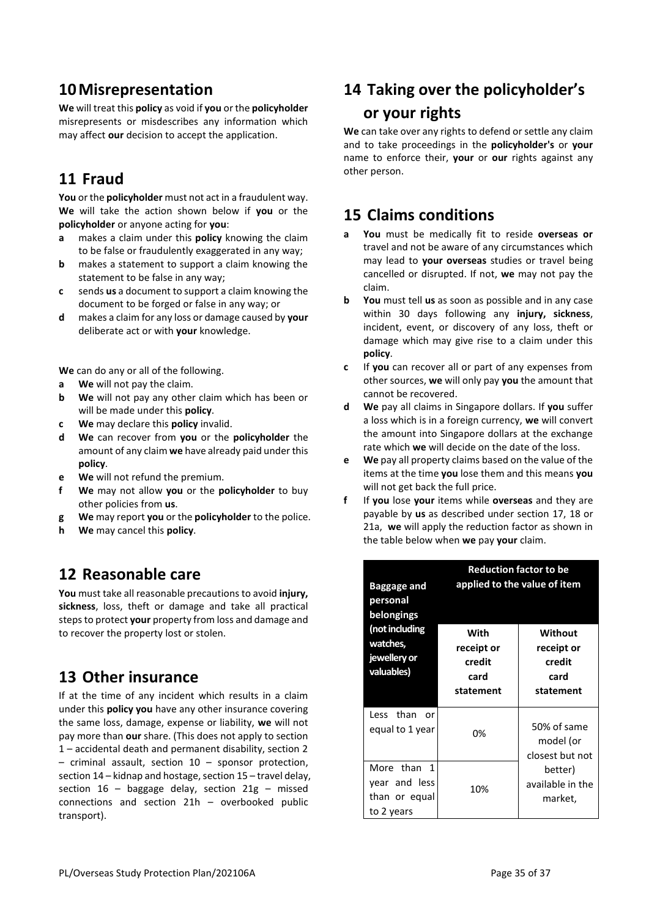### **10Misrepresentation**

**We** will treat this **policy** as void if **you** or the **policyholder**  misrepresents or misdescribes any information which may affect **our** decision to accept the application.

## **11 Fraud**

**You** or the **policyholder** must not act in a fraudulent way. **We** will take the action shown below if **you** or the **policyholder** or anyone acting for **you**:

- **a** makes a claim under this **policy** knowing the claim to be false or fraudulently exaggerated in any way;
- **b** makes a statement to support a claim knowing the statement to be false in any way;
- **c** sends **us** a document to support a claim knowing the document to be forged or false in any way; or
- **d** makes a claim for any loss or damage caused by **your** deliberate act or with **your** knowledge.

**We** can do any or all of the following.

- **a We** will not pay the claim.
- **b We** will not pay any other claim which has been or will be made under this **policy**.
- **c We** may declare this **policy** invalid.
- **d We** can recover from **you** or the **policyholder** the amount of any claim **we** have already paid under this **policy**.
- **e We** will not refund the premium.
- **f We** may not allow **you** or the **policyholder** to buy other policies from **us**.
- **g We** may report **you** or the **policyholder** to the police.
- **h We** may cancel this **policy**.

#### **12 Reasonable care**

**You** must take all reasonable precautions to avoid **injury, sickness**, loss, theft or damage and take all practical stepsto protect **your** property from loss and damage and to recover the property lost or stolen.

## **13 Other insurance**

If at the time of any incident which results in a claim under this **policy you** have any other insurance covering the same loss, damage, expense or liability, **we** will not pay more than **our** share. (This does not apply to section 1 – accidental death and permanent disability, section 2 – criminal assault, section 10 – sponsor protection, section 14 – kidnap and hostage, section 15 – travel delay, section  $16$  – baggage delay, section  $21g$  – missed connections and section 21h – overbooked public transport).

# **14 Taking over the policyholder's or your rights**

**We** can take over any rights to defend or settle any claim and to take proceedings in the **policyholder's** or **your** name to enforce their, **your** or **our** rights against any other person.

### **15 Claims conditions**

- **a You** must be medically fit to reside **overseas or**  travel and not be aware of any circumstances which may lead to **your overseas** studies or travel being cancelled or disrupted. If not, **we** may not pay the claim.
- **b You** must tell **us** as soon as possible and in any case within 30 days following any **injury, sickness**, incident, event, or discovery of any loss, theft or damage which may give rise to a claim under this **policy**.
- **c** If **you** can recover all or part of any expenses from other sources, **we** will only pay **you** the amount that cannot be recovered.
- **d We** pay all claims in Singapore dollars. If **you** suffer a loss which is in a foreign currency, **we** will convert the amount into Singapore dollars at the exchange rate which **we** will decide on the date of the loss.
- **e We** pay all property claims based on the value of the items at the time **you** lose them and this means **you**  will not get back the full price.
- **f** If **you** lose **your** items while **overseas** and they are payable by **us** as described under section 17, 18 or 21a, **we** will apply the reduction factor as shown in the table below when **we** pay **your** claim.

| <b>Baggage and</b><br>personal<br>belongings                                | <b>Reduction factor to be</b><br>applied to the value of item |                                                      |  |  |
|-----------------------------------------------------------------------------|---------------------------------------------------------------|------------------------------------------------------|--|--|
| (not including<br>watches,<br>jewellery or<br>valuables)                    | With<br>receipt or<br>credit<br>card<br>statement             | Without<br>receipt or<br>credit<br>card<br>statement |  |  |
| Less than<br>or<br>equal to 1 year                                          | 0%                                                            | 50% of same<br>model (or<br>closest but not          |  |  |
| More than<br>$\overline{1}$<br>year and less<br>than or equal<br>to 2 years | 10%                                                           | better)<br>available in the<br>market,               |  |  |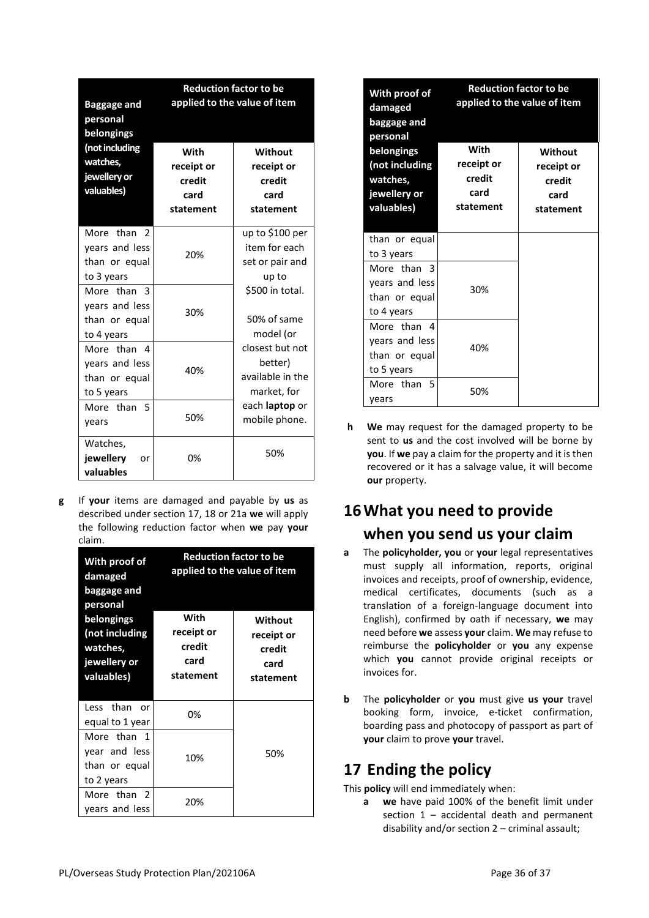|                                                                 | <b>Reduction factor to be</b>                     |                                                               |
|-----------------------------------------------------------------|---------------------------------------------------|---------------------------------------------------------------|
| <b>Baggage and</b><br>personal<br>belongings                    |                                                   | applied to the value of item                                  |
| (not including<br>watches,<br>jewellery or<br>valuables)        | With<br>receipt or<br>credit<br>card<br>statement | Without<br>receipt or<br>credit<br>card<br>statement          |
| More than<br>2<br>years and less<br>than or equal<br>to 3 years | 20%                                               | up to \$100 per<br>item for each<br>set or pair and<br>up to  |
| More than 3<br>years and less<br>than or equal<br>to 4 years    | 30%                                               | \$500 in total.<br>50% of same<br>model (or                   |
| More than<br>Δ<br>years and less<br>than or equal<br>to 5 years | 40%                                               | closest but not<br>better)<br>available in the<br>market, for |
| More than<br>5<br>years                                         | 50%                                               | each <b>laptop</b> or<br>mobile phone.                        |
| Watches,<br>jewellery<br>or<br>valuables                        | 0%                                                | 50%                                                           |

**g** If **your** items are damaged and payable by **us** as described under section 17, 18 or 21a **we** will apply the following reduction factor when **we** pay **your**  claim.

| With proof of<br>damaged<br>baggage and<br>personal<br>belongings | <b>Reduction factor to be</b><br>applied to the value of item<br>With<br>Without |                                           |
|-------------------------------------------------------------------|----------------------------------------------------------------------------------|-------------------------------------------|
| (not including<br>watches,<br>jewellery or<br>valuables)          | receipt or<br>credit<br>card<br>statement                                        | receipt or<br>credit<br>card<br>statement |
| Less than<br>or<br>equal to 1 year                                | 0%                                                                               |                                           |
| More than 1<br>year and less<br>than or equal<br>to 2 years       | 10%                                                                              | 50%                                       |
| More than 2<br>years and less                                     | 20%                                                                              |                                           |

| With proof of<br>damaged<br>baggage and<br>personal                    |                                                   | <b>Reduction factor to be</b><br>applied to the value of item |  |
|------------------------------------------------------------------------|---------------------------------------------------|---------------------------------------------------------------|--|
| belongings<br>(not including<br>watches,<br>jewellery or<br>valuables) | With<br>receipt or<br>credit<br>card<br>statement | Without<br>receipt or<br>credit<br>card<br>statement          |  |
| than or equal<br>to 3 years                                            |                                                   |                                                               |  |
| More than 3<br>years and less<br>than or equal<br>to 4 years           | 30%                                               |                                                               |  |
| More than 4<br>years and less<br>than or equal<br>to 5 years           | 40%                                               |                                                               |  |
| More than<br>5<br>vears                                                | 50%                                               |                                                               |  |

**h We** may request for the damaged property to be sent to **us** and the cost involved will be borne by **you**. If **we** pay a claim for the property and it is then recovered or it has a salvage value, it will become **our** property.

# **16What you need to provide when you send us your claim**

- **a** The **policyholder, you** or **your** legal representatives must supply all information, reports, original invoices and receipts, proof of ownership, evidence, medical certificates, documents (such as a translation of a foreign-language document into English), confirmed by oath if necessary, **we** may need before **we** assess **your** claim. **We** may refuse to reimburse the **policyholder** or **you** any expense which **you** cannot provide original receipts or invoices for.
- **b** The **policyholder** or **you** must give **us your** travel booking form, invoice, e-ticket confirmation, boarding pass and photocopy of passport as part of **your** claim to prove **your** travel.

# **17 Ending the policy**

This **policy** will end immediately when:

**a we** have paid 100% of the benefit limit under section 1 – accidental death and permanent disability and/or section 2 – criminal assault;